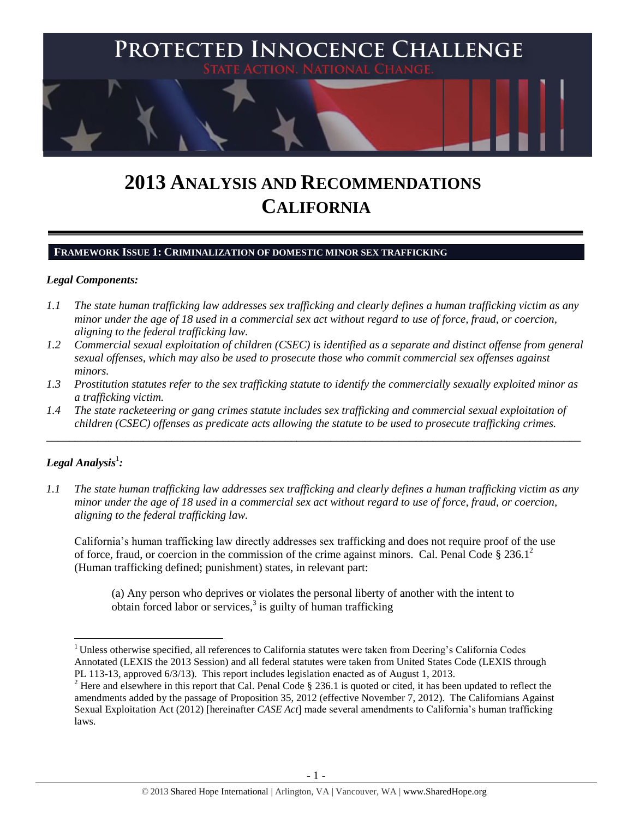

# **2013 ANALYSIS AND RECOMMENDATIONS CALIFORNIA**

### **FRAMEWORK ISSUE 1: CRIMINALIZATION OF DOMESTIC MINOR SEX TRAFFICKING**

### *Legal Components:*

- *1.1 The state human trafficking law addresses sex trafficking and clearly defines a human trafficking victim as any minor under the age of 18 used in a commercial sex act without regard to use of force, fraud, or coercion, aligning to the federal trafficking law.*
- *1.2 Commercial sexual exploitation of children (CSEC) is identified as a separate and distinct offense from general sexual offenses, which may also be used to prosecute those who commit commercial sex offenses against minors.*
- *1.3 Prostitution statutes refer to the sex trafficking statute to identify the commercially sexually exploited minor as a trafficking victim.*
- *1.4 The state racketeering or gang crimes statute includes sex trafficking and commercial sexual exploitation of children (CSEC) offenses as predicate acts allowing the statute to be used to prosecute trafficking crimes.*

\_\_\_\_\_\_\_\_\_\_\_\_\_\_\_\_\_\_\_\_\_\_\_\_\_\_\_\_\_\_\_\_\_\_\_\_\_\_\_\_\_\_\_\_\_\_\_\_\_\_\_\_\_\_\_\_\_\_\_\_\_\_\_\_\_\_\_\_\_\_\_\_\_\_\_\_\_\_\_\_\_\_\_\_\_\_\_\_\_\_\_\_\_\_

# $\bm{L}$ egal Analysis $^1$ :

 $\overline{a}$ 

*1.1 The state human trafficking law addresses sex trafficking and clearly defines a human trafficking victim as any minor under the age of 18 used in a commercial sex act without regard to use of force, fraud, or coercion, aligning to the federal trafficking law.*

California's human trafficking law directly addresses sex trafficking and does not require proof of the use of force, fraud, or coercion in the commission of the crime against minors. Cal. Penal Code  $\S 236.1^2$ (Human trafficking defined; punishment) states, in relevant part:

<span id="page-0-0"></span>(a) Any person who deprives or violates the personal liberty of another with the intent to obtain forced labor or services,<sup>3</sup> is guilty of human trafficking

<sup>&</sup>lt;sup>1</sup> Unless otherwise specified, all references to California statutes were taken from Deering's California Codes Annotated (LEXIS the 2013 Session) and all federal statutes were taken from United States Code (LEXIS through PL 113-13, approved 6/3/13). This report includes legislation enacted as of August 1, 2013.

<sup>&</sup>lt;sup>2</sup> Here and elsewhere in this report that Cal. Penal Code § 236.1 is quoted or cited, it has been updated to reflect the amendments added by the passage of Proposition 35, 2012 (effective November 7, 2012). The Californians Against Sexual Exploitation Act (2012) [hereinafter *CASE Act*] made several amendments to California's human trafficking laws.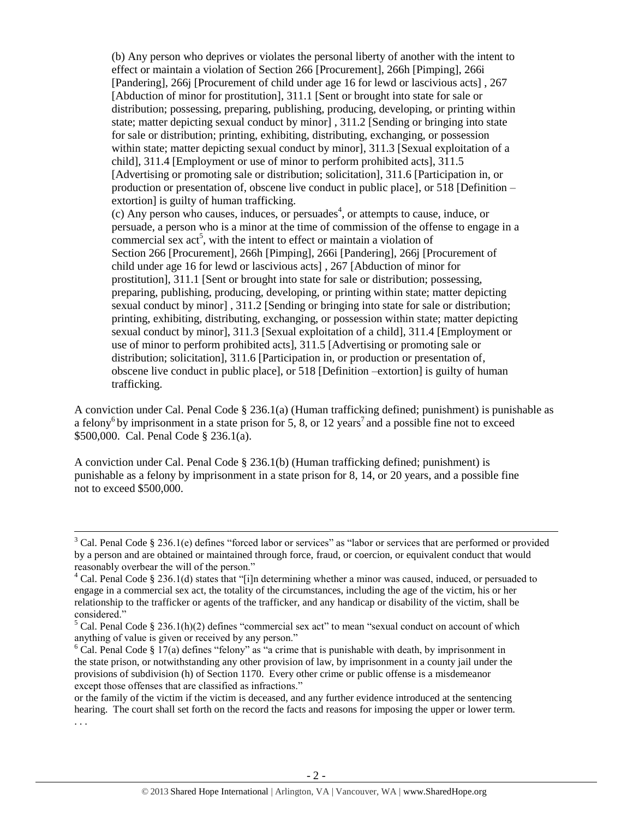(b) Any person who deprives or violates the personal liberty of another with the intent to effect or maintain a violation of Section 266 [Procurement], 266h [Pimping], 266i [Pandering], 266j [Procurement of child under age 16 for lewd or lascivious acts] , 267 [Abduction of minor for prostitution], 311.1 [Sent or brought into state for sale or distribution; possessing, preparing, publishing, producing, developing, or printing within state; matter depicting sexual conduct by minor] , 311.2 [Sending or bringing into state for sale or distribution; printing, exhibiting, distributing, exchanging, or possession within state; matter depicting sexual conduct by minor], 311.3 [Sexual exploitation of a child], 311.4 [Employment or use of minor to perform prohibited acts], 311.5 [Advertising or promoting sale or distribution; solicitation], 311.6 [Participation in, or production or presentation of, obscene live conduct in public place], or 518 [Definition – extortion] is guilty of human trafficking.  $(c)$  Any person who causes, induces, or persuades<sup>4</sup>, or attempts to cause, induce, or

persuade, a person who is a minor at the time of commission of the offense to engage in a commercial sex  $act^5$ , with the intent to effect or maintain a violation of Section 266 [Procurement], 266h [Pimping], 266i [Pandering], 266j [Procurement of child under age 16 for lewd or lascivious acts] , 267 [Abduction of minor for prostitution], 311.1 [Sent or brought into state for sale or distribution; possessing, preparing, publishing, producing, developing, or printing within state; matter depicting sexual conduct by minor] , 311.2 [Sending or bringing into state for sale or distribution; printing, exhibiting, distributing, exchanging, or possession within state; matter depicting sexual conduct by minor], 311.3 [Sexual exploitation of a child], 311.4 [Employment or use of minor to perform prohibited acts], 311.5 [Advertising or promoting sale or distribution; solicitation], 311.6 [Participation in, or production or presentation of, obscene live conduct in public place], or 518 [Definition –extortion] is guilty of human trafficking.

A conviction under Cal. Penal Code § 236.1(a) (Human trafficking defined; punishment) is punishable as a felony<sup>6</sup> by imprisonment in a state prison for 5, 8, or 12 years<sup>7</sup> and a possible fine not to exceed \$500,000. Cal. Penal Code § 236.1(a).

A conviction under Cal. Penal Code  $\S$  236.1(b) (Human trafficking defined; punishment) is punishable as a felony by imprisonment in a state prison for 8, 14, or 20 years, and a possible fine not to exceed \$500,000.

 $\overline{a}$ 

<sup>&</sup>lt;sup>3</sup> Cal. Penal Code § 236.1(e) defines "forced labor or services" as "labor or services that are performed or provided by a person and are obtained or maintained through force, fraud, or coercion, or equivalent conduct that would reasonably overbear the will of the person."

<sup>&</sup>lt;sup>4</sup> Cal. Penal Code § 236.1(d) states that "[i]n determining whether a minor was caused, induced, or persuaded to engage in a commercial sex act, the totality of the circumstances, including the age of the victim, his or her relationship to the trafficker or agents of the trafficker, and any handicap or disability of the victim, shall be considered."

 $5$  Cal. Penal Code § 236.1(h)(2) defines "commercial sex act" to mean "sexual conduct on account of which anything of value is given or received by any person."

 $6$  Cal. Penal Code § 17(a) defines "felony" as "a crime that is punishable with death, by imprisonment in the state prison, or notwithstanding any other provision of law, by imprisonment in a county jail under the provisions of subdivision (h) of Section 1170. Every other crime or public offense is a misdemeanor except those offenses that are classified as infractions."

or the family of the victim if the victim is deceased, and any further evidence introduced at the sentencing hearing. The court shall set forth on the record the facts and reasons for imposing the upper or lower term. . . .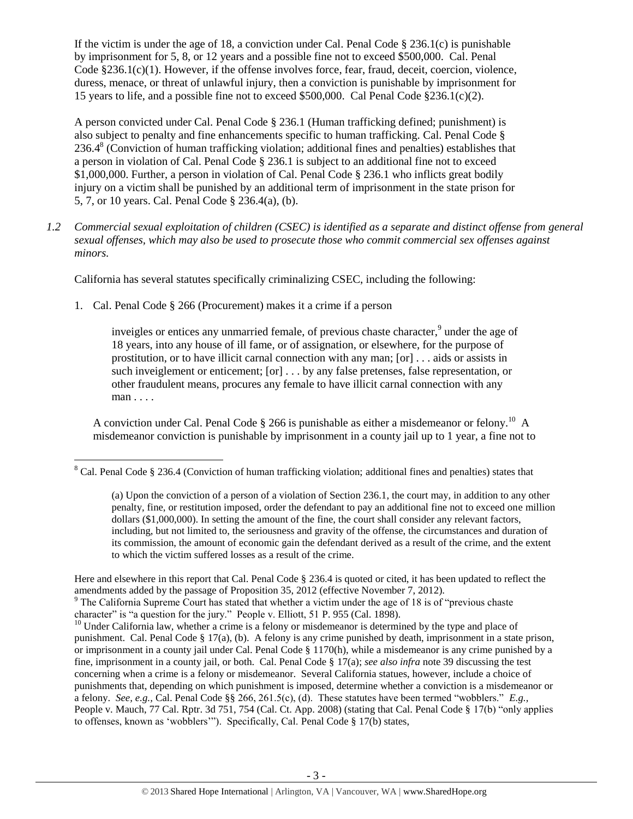If the victim is under the age of 18, a conviction under Cal. Penal Code  $\S 236.1(c)$  is punishable by imprisonment for 5, 8, or 12 years and a possible fine not to exceed \$500,000. Cal. Penal Code §236.1(c)(1). However, if the offense involves force, fear, fraud, deceit, coercion, violence, duress, menace, or threat of unlawful injury, then a conviction is punishable by imprisonment for 15 years to life, and a possible fine not to exceed \$500,000. Cal Penal Code  $\S 236.1(c)(2)$ .

<span id="page-2-1"></span>A person convicted under Cal. Penal Code § 236.1 (Human trafficking defined; punishment) is also subject to penalty and fine enhancements specific to human trafficking. Cal. Penal Code § 236.4<sup>8</sup> (Conviction of human trafficking violation; additional fines and penalties) establishes that a person in violation of Cal. Penal Code § 236.1 is subject to an additional fine not to exceed \$1,000,000. Further, a person in violation of Cal. Penal Code § 236.1 who inflicts great bodily injury on a victim shall be punished by an additional term of imprisonment in the state prison for 5, 7, or 10 years. Cal. Penal Code § 236.4(a), (b).

*1.2 Commercial sexual exploitation of children (CSEC) is identified as a separate and distinct offense from general sexual offenses, which may also be used to prosecute those who commit commercial sex offenses against minors.*

California has several statutes specifically criminalizing CSEC, including the following:

1. Cal. Penal Code § 266 (Procurement) makes it a crime if a person

inveigles or entices any unmarried female, of previous chaste character,<sup>9</sup> under the age of 18 years, into any house of ill fame, or of assignation, or elsewhere, for the purpose of prostitution, or to have illicit carnal connection with any man; [or] . . . aids or assists in such inveiglement or enticement; [or] . . . by any false pretenses, false representation, or other fraudulent means, procures any female to have illicit carnal connection with any man . . . .

A conviction under Cal. Penal Code  $\S 266$  is punishable as either a misdemeanor or felony.<sup>10</sup> A misdemeanor conviction is punishable by imprisonment in a county jail up to 1 year, a fine not to

Here and elsewhere in this report that Cal. Penal Code § 236.4 is quoted or cited, it has been updated to reflect the amendments added by the passage of Proposition 35, 2012 (effective November 7, 2012).

 $\overline{a}$ <sup>8</sup> Cal. Penal Code § 236.4 (Conviction of human trafficking violation; additional fines and penalties) states that

<span id="page-2-0"></span><sup>(</sup>a) Upon the conviction of a person of a violation of Section 236.1, the court may, in addition to any other penalty, fine, or restitution imposed, order the defendant to pay an additional fine not to exceed one million dollars (\$1,000,000). In setting the amount of the fine, the court shall consider any relevant factors, including, but not limited to, the seriousness and gravity of the offense, the circumstances and duration of its commission, the amount of economic gain the defendant derived as a result of the crime, and the extent to which the victim suffered losses as a result of the crime.

<sup>&</sup>lt;sup>9</sup> The California Supreme Court has stated that whether a victim under the age of 18 is of "previous chaste" character" is "a question for the jury." People v. Elliott, 51 P. 955 (Cal. 1898).

 $10$  Under California law, whether a crime is a felony or misdemeanor is determined by the type and place of punishment. Cal. Penal Code § 17(a), (b). A felony is any crime punished by death, imprisonment in a state prison, or imprisonment in a county jail under Cal. Penal Code § 1170(h), while a misdemeanor is any crime punished by a fine, imprisonment in a county jail, or both. Cal. Penal Code § 17(a); *see also infra* not[e 39](#page-18-0) discussing the test concerning when a crime is a felony or misdemeanor. Several California statues, however, include a choice of punishments that, depending on which punishment is imposed, determine whether a conviction is a misdemeanor or a felony. *See, e.g.,* Cal. Penal Code §§ 266, 261.5(c), (d). These statutes have been termed "wobblers." *E.g.,*  People v. Mauch, 77 Cal. Rptr. 3d 751, 754 (Cal. Ct. App. 2008) (stating that Cal. Penal Code § 17(b) "only applies to offenses, known as 'wobblers'"). Specifically, Cal. Penal Code § 17(b) states,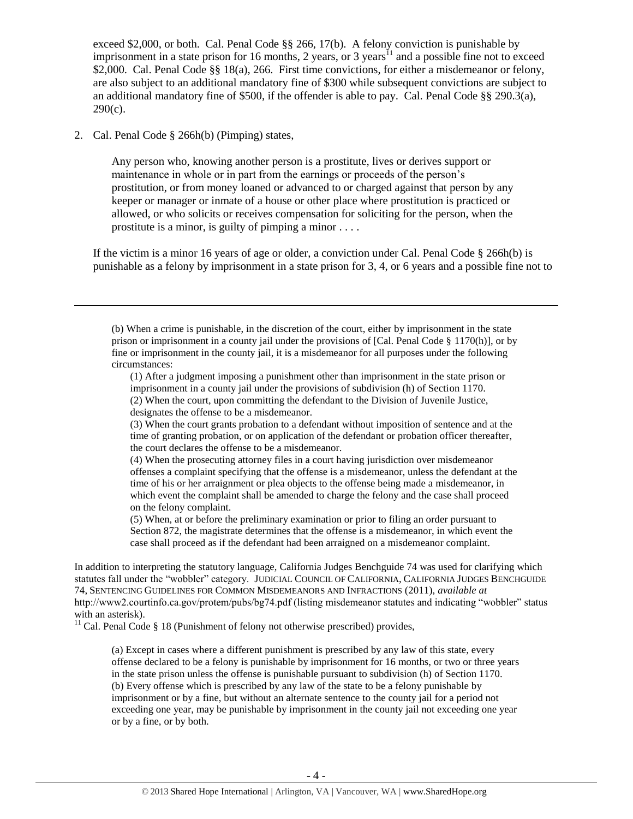<span id="page-3-0"></span>exceed \$2,000, or both. Cal. Penal Code §§ 266, 17(b). A felony conviction is punishable by imprisonment in a state prison for 16 months, 2 years, or 3 years<sup>11</sup> and a possible fine not to exceed \$2,000. Cal. Penal Code §§ 18(a), 266. First time convictions, for either a misdemeanor or felony, are also subject to an additional mandatory fine of \$300 while subsequent convictions are subject to an additional mandatory fine of \$500, if the offender is able to pay. Cal. Penal Code §§ 290.3(a),  $290(c)$ .

2. Cal. Penal Code § 266h(b) (Pimping) states,

l

Any person who, knowing another person is a prostitute, lives or derives support or maintenance in whole or in part from the earnings or proceeds of the person's prostitution, or from money loaned or advanced to or charged against that person by any keeper or manager or inmate of a house or other place where prostitution is practiced or allowed, or who solicits or receives compensation for soliciting for the person, when the prostitute is a minor, is guilty of pimping a minor . . . .

If the victim is a minor 16 years of age or older, a conviction under Cal. Penal Code  $\S$  266h(b) is punishable as a felony by imprisonment in a state prison for 3, 4, or 6 years and a possible fine not to

(1) After a judgment imposing a punishment other than imprisonment in the state prison or imprisonment in a county jail under the provisions of subdivision (h) of Section 1170.

<sup>(</sup>b) When a crime is punishable, in the discretion of the court, either by imprisonment in the state prison or imprisonment in a county jail under the provisions of [Cal. Penal Code § 1170(h)], or by fine or imprisonment in the county jail, it is a misdemeanor for all purposes under the following circumstances:

<sup>(2)</sup> When the court, upon committing the defendant to the Division of Juvenile Justice, designates the offense to be a misdemeanor.

<sup>(3)</sup> When the court grants probation to a defendant without imposition of sentence and at the time of granting probation, or on application of the defendant or probation officer thereafter, the court declares the offense to be a misdemeanor.

<sup>(4)</sup> When the prosecuting attorney files in a court having jurisdiction over misdemeanor offenses a complaint specifying that the offense is a misdemeanor, unless the defendant at the time of his or her arraignment or plea objects to the offense being made a misdemeanor, in which event the complaint shall be amended to charge the felony and the case shall proceed on the felony complaint.

<sup>(5)</sup> When, at or before the preliminary examination or prior to filing an order pursuant to Section 872, the magistrate determines that the offense is a misdemeanor, in which event the case shall proceed as if the defendant had been arraigned on a misdemeanor complaint.

In addition to interpreting the statutory language, California Judges Benchguide 74 was used for clarifying which statutes fall under the "wobbler" category. JUDICIAL COUNCIL OF CALIFORNIA, CALIFORNIA JUDGES BENCHGUIDE 74, SENTENCING GUIDELINES FOR COMMON MISDEMEANORS AND INFRACTIONS (2011), *available at*  http://www2.courtinfo.ca.gov/protem/pubs/bg74.pdf (listing misdemeanor statutes and indicating "wobbler" status with an asterisk).

<sup>&</sup>lt;sup>11</sup> Cal. Penal Code § 18 (Punishment of felony not otherwise prescribed) provides,

<sup>(</sup>a) Except in cases where a different punishment is prescribed by any law of this state, every offense declared to be a felony is punishable by imprisonment for 16 months, or two or three years in the state prison unless the offense is punishable pursuant to subdivision (h) of Section 1170. (b) Every offense which is prescribed by any law of the state to be a felony punishable by imprisonment or by a fine, but without an alternate sentence to the county jail for a period not exceeding one year, may be punishable by imprisonment in the county jail not exceeding one year or by a fine, or by both.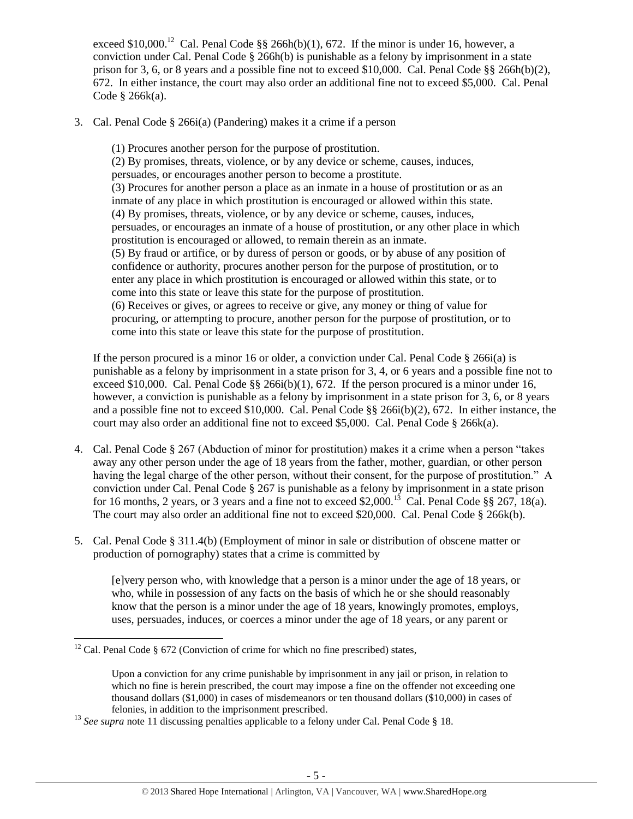exceed \$10,000.<sup>12</sup> Cal. Penal Code  $\S\S$  266h(b)(1), 672. If the minor is under 16, however, a conviction under Cal. Penal Code  $\S$  266h(b) is punishable as a felony by imprisonment in a state prison for 3, 6, or 8 years and a possible fine not to exceed \$10,000. Cal. Penal Code §§ 266h(b)(2), 672. In either instance, the court may also order an additional fine not to exceed \$5,000. Cal. Penal Code § 266k(a).

3. Cal. Penal Code § 266i(a) (Pandering) makes it a crime if a person

(1) Procures another person for the purpose of prostitution. (2) By promises, threats, violence, or by any device or scheme, causes, induces, persuades, or encourages another person to become a prostitute. (3) Procures for another person a place as an inmate in a house of prostitution or as an inmate of any place in which prostitution is encouraged or allowed within this state. (4) By promises, threats, violence, or by any device or scheme, causes, induces, persuades, or encourages an inmate of a house of prostitution, or any other place in which prostitution is encouraged or allowed, to remain therein as an inmate. (5) By fraud or artifice, or by duress of person or goods, or by abuse of any position of confidence or authority, procures another person for the purpose of prostitution, or to enter any place in which prostitution is encouraged or allowed within this state, or to come into this state or leave this state for the purpose of prostitution. (6) Receives or gives, or agrees to receive or give, any money or thing of value for procuring, or attempting to procure, another person for the purpose of prostitution, or to come into this state or leave this state for the purpose of prostitution.

If the person procured is a minor 16 or older, a conviction under Cal. Penal Code  $\S$  266i(a) is punishable as a felony by imprisonment in a state prison for 3, 4, or 6 years and a possible fine not to exceed \$10,000. Cal. Penal Code  $\S$ § 266i(b)(1), 672. If the person procured is a minor under 16, however, a conviction is punishable as a felony by imprisonment in a state prison for 3, 6, or 8 years and a possible fine not to exceed \$10,000. Cal. Penal Code §§ 266i(b)(2), 672. In either instance, the court may also order an additional fine not to exceed \$5,000. Cal. Penal Code  $\S$  266k(a).

- 4. Cal. Penal Code § 267 (Abduction of minor for prostitution) makes it a crime when a person "takes away any other person under the age of 18 years from the father, mother, guardian, or other person having the legal charge of the other person, without their consent, for the purpose of prostitution." A conviction under Cal. Penal Code § 267 is punishable as a felony by imprisonment in a state prison for 16 months, 2 years, or 3 years and a fine not to exceed \$2,000.<sup>13</sup> Cal. Penal Code §§ 267, 18(a). The court may also order an additional fine not to exceed \$20,000. Cal. Penal Code § 266k(b).
- 5. Cal. Penal Code § 311.4(b) (Employment of minor in sale or distribution of obscene matter or production of pornography) states that a crime is committed by

[e]very person who, with knowledge that a person is a minor under the age of 18 years, or who, while in possession of any facts on the basis of which he or she should reasonably know that the person is a minor under the age of 18 years, knowingly promotes, employs, uses, persuades, induces, or coerces a minor under the age of 18 years, or any parent or

 $\overline{a}$ 

 $12$  Cal. Penal Code § 672 (Conviction of crime for which no fine prescribed) states,

Upon a conviction for any crime punishable by imprisonment in any jail or prison, in relation to which no fine is herein prescribed, the court may impose a fine on the offender not exceeding one thousand dollars (\$1,000) in cases of misdemeanors or ten thousand dollars (\$10,000) in cases of felonies, in addition to the imprisonment prescribed.

<sup>&</sup>lt;sup>13</sup> See supra note [11](#page-3-0) discussing penalties applicable to a felony under Cal. Penal Code § 18.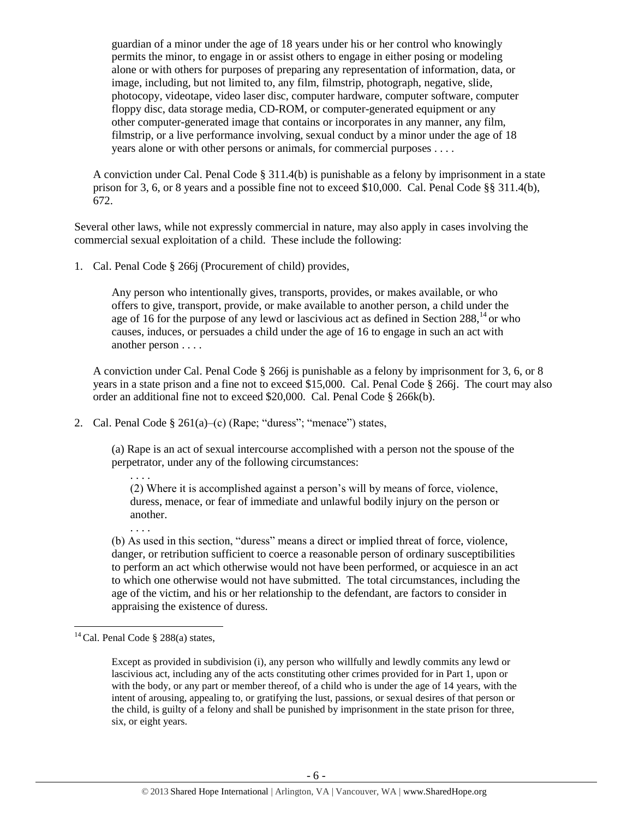guardian of a minor under the age of 18 years under his or her control who knowingly permits the minor, to engage in or assist others to engage in either posing or modeling alone or with others for purposes of preparing any representation of information, data, or image, including, but not limited to, any film, filmstrip, photograph, negative, slide, photocopy, videotape, video laser disc, computer hardware, computer software, computer floppy disc, data storage media, CD-ROM, or computer-generated equipment or any other computer-generated image that contains or incorporates in any manner, any film, filmstrip, or a live performance involving, sexual conduct by a minor under the age of 18 years alone or with other persons or animals, for commercial purposes . . . .

A conviction under Cal. Penal Code  $\S 311.4(b)$  is punishable as a felony by imprisonment in a state prison for 3, 6, or 8 years and a possible fine not to exceed \$10,000. Cal. Penal Code §§ 311.4(b), 672.

Several other laws, while not expressly commercial in nature, may also apply in cases involving the commercial sexual exploitation of a child. These include the following:

1. Cal. Penal Code § 266j (Procurement of child) provides,

<span id="page-5-0"></span>Any person who intentionally gives, transports, provides, or makes available, or who offers to give, transport, provide, or make available to another person, a child under the age of 16 for the purpose of any lewd or lascivious act as defined in Section  $288<sup>14</sup>$  or who causes, induces, or persuades a child under the age of 16 to engage in such an act with another person . . . .

A conviction under Cal. Penal Code § 266j is punishable as a felony by imprisonment for 3, 6, or 8 years in a state prison and a fine not to exceed \$15,000. Cal. Penal Code § 266j. The court may also order an additional fine not to exceed \$20,000. Cal. Penal Code § 266k(b).

2. Cal. Penal Code  $\S 261(a)$ –(c) (Rape; "duress"; "menace") states,

(a) Rape is an act of sexual intercourse accomplished with a person not the spouse of the perpetrator, under any of the following circumstances:

(2) Where it is accomplished against a person's will by means of force, violence, duress, menace, or fear of immediate and unlawful bodily injury on the person or another.

(b) As used in this section, "duress" means a direct or implied threat of force, violence, danger, or retribution sufficient to coerce a reasonable person of ordinary susceptibilities to perform an act which otherwise would not have been performed, or acquiesce in an act to which one otherwise would not have submitted. The total circumstances, including the age of the victim, and his or her relationship to the defendant, are factors to consider in appraising the existence of duress.

l

. . . .

. . . .

 $14$  Cal. Penal Code § 288(a) states,

Except as provided in subdivision (i), any person who willfully and lewdly commits any lewd or lascivious act, including any of the acts constituting other crimes provided for in Part 1, upon or with the body, or any part or member thereof, of a child who is under the age of 14 years, with the intent of arousing, appealing to, or gratifying the lust, passions, or sexual desires of that person or the child, is guilty of a felony and shall be punished by imprisonment in the state prison for three, six, or eight years.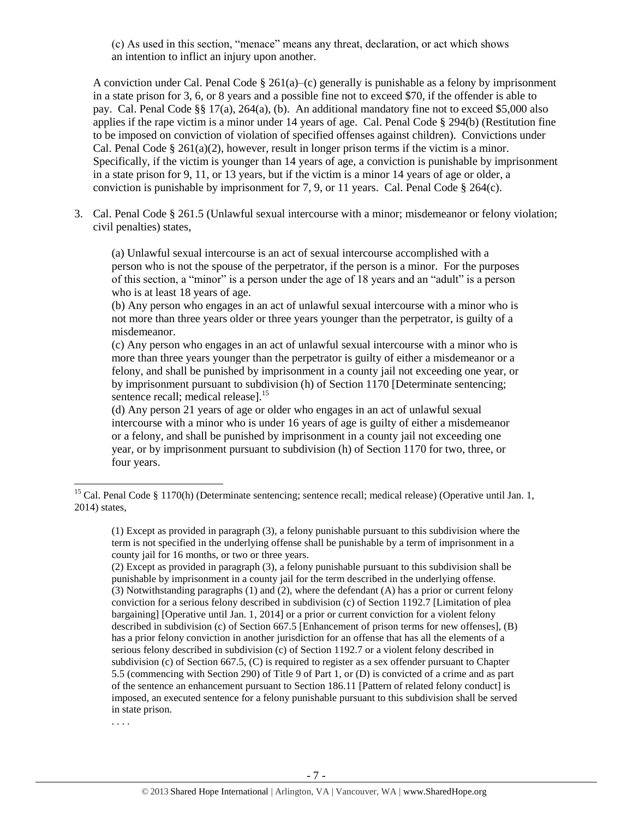(c) As used in this section, "menace" means any threat, declaration, or act which shows an intention to inflict an injury upon another.

A conviction under Cal. Penal Code  $\S 261(a)$ –(c) generally is punishable as a felony by imprisonment in a state prison for 3, 6, or 8 years and a possible fine not to exceed \$70, if the offender is able to pay. Cal. Penal Code §§ 17(a), 264(a), (b). An additional mandatory fine not to exceed \$5,000 also applies if the rape victim is a minor under 14 years of age. Cal. Penal Code § 294(b) (Restitution fine to be imposed on conviction of violation of specified offenses against children). Convictions under Cal. Penal Code  $\S 261(a)(2)$ , however, result in longer prison terms if the victim is a minor. Specifically, if the victim is younger than 14 years of age, a conviction is punishable by imprisonment in a state prison for 9, 11, or 13 years, but if the victim is a minor 14 years of age or older, a conviction is punishable by imprisonment for 7, 9, or 11 years. Cal. Penal Code § 264(c).

3. Cal. Penal Code § 261.5 (Unlawful sexual intercourse with a minor; misdemeanor or felony violation; civil penalties) states,

(a) Unlawful sexual intercourse is an act of sexual intercourse accomplished with a person who is not the spouse of the perpetrator, if the person is a minor. For the purposes of this section, a "minor" is a person under the age of 18 years and an "adult" is a person who is at least 18 years of age.

(b) Any person who engages in an act of unlawful sexual intercourse with a minor who is not more than three years older or three years younger than the perpetrator, is guilty of a misdemeanor.

(c) Any person who engages in an act of unlawful sexual intercourse with a minor who is more than three years younger than the perpetrator is guilty of either a misdemeanor or a felony, and shall be punished by imprisonment in a county jail not exceeding one year, or by imprisonment pursuant to subdivision (h) of Section 1170 [Determinate sentencing; sentence recall; medical release].<sup>15</sup>

(d) Any person 21 years of age or older who engages in an act of unlawful sexual intercourse with a minor who is under 16 years of age is guilty of either a misdemeanor or a felony, and shall be punished by imprisonment in a county jail not exceeding one year, or by imprisonment pursuant to subdivision (h) of Section 1170 for two, three, or four years.

<sup>&</sup>lt;sup>15</sup> Cal. Penal Code § 1170(h) (Determinate sentencing; sentence recall; medical release) (Operative until Jan. 1, 2014) states,

<sup>(1)</sup> Except as provided in paragraph (3), a felony punishable pursuant to this subdivision where the term is not specified in the underlying offense shall be punishable by a term of imprisonment in a county jail for 16 months, or two or three years.

<sup>(2)</sup> Except as provided in paragraph (3), a felony punishable pursuant to this subdivision shall be punishable by imprisonment in a county jail for the term described in the underlying offense. (3) Notwithstanding paragraphs (1) and (2), where the defendant (A) has a prior or current felony conviction for a serious felony described in subdivision (c) of Section 1192.7 [Limitation of plea bargaining] [Operative until Jan. 1, 2014] or a prior or current conviction for a violent felony described in subdivision (c) of Section 667.5 [Enhancement of prison terms for new offenses], (B) has a prior felony conviction in another jurisdiction for an offense that has all the elements of a serious felony described in subdivision (c) of Section 1192.7 or a violent felony described in subdivision (c) of Section 667.5, (C) is required to register as a sex offender pursuant to Chapter 5.5 (commencing with Section 290) of Title 9 of Part 1, or (D) is convicted of a crime and as part of the sentence an enhancement pursuant to Section 186.11 [Pattern of related felony conduct] is imposed, an executed sentence for a felony punishable pursuant to this subdivision shall be served in state prison.

<sup>.</sup> . . .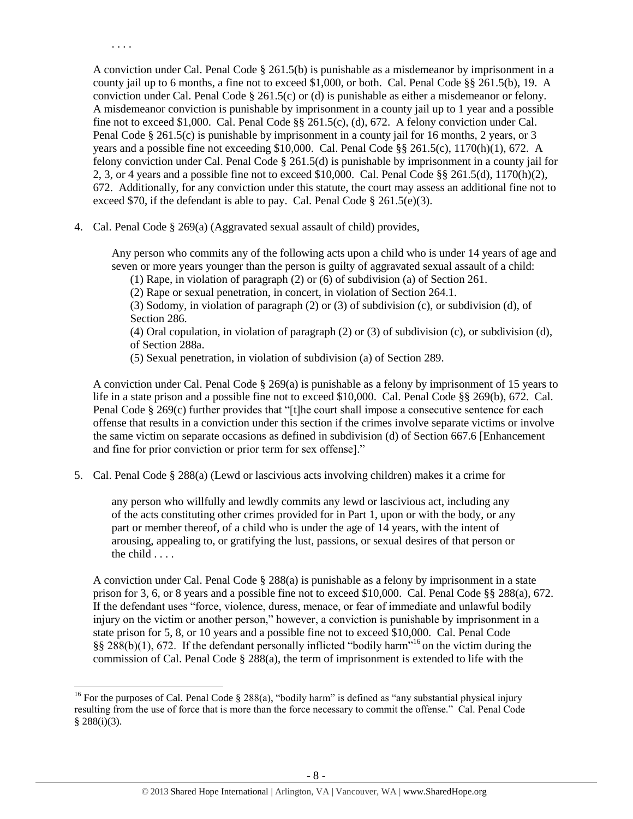A conviction under Cal. Penal Code § 261.5(b) is punishable as a misdemeanor by imprisonment in a county jail up to 6 months, a fine not to exceed \$1,000, or both. Cal. Penal Code §§ 261.5(b), 19. A conviction under Cal. Penal Code  $\S$  261.5(c) or (d) is punishable as either a misdemeanor or felony. A misdemeanor conviction is punishable by imprisonment in a county jail up to 1 year and a possible fine not to exceed \$1,000. Cal. Penal Code §§ 261.5(c), (d), 672. A felony conviction under Cal. Penal Code § 261.5(c) is punishable by imprisonment in a county jail for 16 months, 2 years, or 3 years and a possible fine not exceeding \$10,000. Cal. Penal Code §§ 261.5(c), 1170(h)(1), 672. A felony conviction under Cal. Penal Code § 261.5(d) is punishable by imprisonment in a county jail for 2, 3, or 4 years and a possible fine not to exceed \$10,000. Cal. Penal Code §§ 261.5(d),  $1170(h)(2)$ , 672. Additionally, for any conviction under this statute, the court may assess an additional fine not to exceed \$70, if the defendant is able to pay. Cal. Penal Code  $\S 261.5(e)(3)$ .

4. Cal. Penal Code § 269(a) (Aggravated sexual assault of child) provides,

. . . .

Any person who commits any of the following acts upon a child who is under 14 years of age and seven or more years younger than the person is guilty of aggravated sexual assault of a child:

(1) Rape, in violation of paragraph (2) or (6) of subdivision (a) of Section 261.

(2) Rape or sexual penetration, in concert, in violation of Section 264.1.

(3) Sodomy, in violation of paragraph (2) or (3) of subdivision (c), or subdivision (d), of Section 286.

(4) Oral copulation, in violation of paragraph (2) or (3) of subdivision (c), or subdivision (d), of Section 288a.

(5) Sexual penetration, in violation of subdivision (a) of Section 289.

A conviction under Cal. Penal Code  $\S 269(a)$  is punishable as a felony by imprisonment of 15 years to life in a state prison and a possible fine not to exceed \$10,000. Cal. Penal Code §§ 269(b), 672. Cal. Penal Code § 269(c) further provides that "[t]he court shall impose a consecutive sentence for each offense that results in a conviction under this section if the crimes involve separate victims or involve the same victim on separate occasions as defined in subdivision (d) of Section 667.6 [Enhancement and fine for prior conviction or prior term for sex offense]."

5. Cal. Penal Code § 288(a) (Lewd or lascivious acts involving children) makes it a crime for

any person who willfully and lewdly commits any lewd or lascivious act, including any of the acts constituting other crimes provided for in Part 1, upon or with the body, or any part or member thereof, of a child who is under the age of 14 years, with the intent of arousing, appealing to, or gratifying the lust, passions, or sexual desires of that person or the child . . . .

A conviction under Cal. Penal Code § 288(a) is punishable as a felony by imprisonment in a state prison for 3, 6, or 8 years and a possible fine not to exceed \$10,000. Cal. Penal Code §§ 288(a), 672. If the defendant uses "force, violence, duress, menace, or fear of immediate and unlawful bodily injury on the victim or another person," however, a conviction is punishable by imprisonment in a state prison for 5, 8, or 10 years and a possible fine not to exceed \$10,000. Cal. Penal Code  $\S$ § 288(b)(1), 672. If the defendant personally inflicted "bodily harm"<sup>16</sup> on the victim during the commission of Cal. Penal Code  $\S 288(a)$ , the term of imprisonment is extended to life with the

 $\overline{\phantom{a}}$ <sup>16</sup> For the purposes of Cal. Penal Code  $\S$  288(a), "bodily harm" is defined as "any substantial physical injury resulting from the use of force that is more than the force necessary to commit the offense." Cal. Penal Code  $§ 288(i)(3).$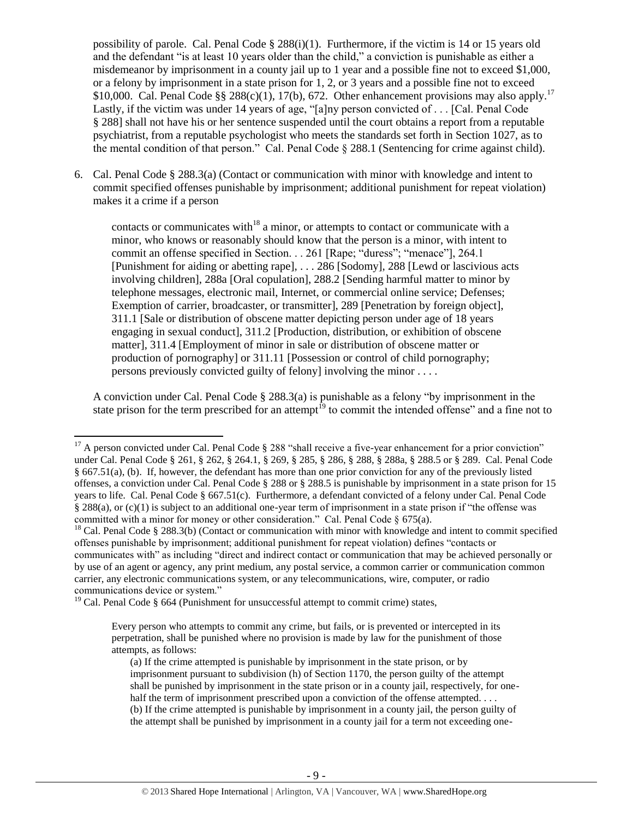possibility of parole. Cal. Penal Code  $\S 288(i)(1)$ . Furthermore, if the victim is 14 or 15 years old and the defendant "is at least 10 years older than the child," a conviction is punishable as either a misdemeanor by imprisonment in a county jail up to 1 year and a possible fine not to exceed \$1,000, or a felony by imprisonment in a state prison for 1, 2, or 3 years and a possible fine not to exceed \$10,000. Cal. Penal Code §§ 288(c)(1), 17(b), 672. Other enhancement provisions may also apply.<sup>17</sup> Lastly, if the victim was under 14 years of age, "[a]ny person convicted of . . . [Cal. Penal Code § 288] shall not have his or her sentence suspended until the court obtains a report from a reputable psychiatrist, from a reputable psychologist who meets the standards set forth in Section 1027, as to the mental condition of that person." Cal. Penal Code § 288.1 (Sentencing for crime against child).

6. Cal. Penal Code § 288.3(a) (Contact or communication with minor with knowledge and intent to commit specified offenses punishable by imprisonment; additional punishment for repeat violation) makes it a crime if a person

<span id="page-8-0"></span>contacts or communicates with<sup>18</sup> a minor, or attempts to contact or communicate with a minor, who knows or reasonably should know that the person is a minor, with intent to commit an offense specified in Section. . . 261 [Rape; "duress"; "menace"], 264.1 [Punishment for aiding or abetting rape], . . . 286 [Sodomy], 288 [Lewd or lascivious acts involving children], 288a [Oral copulation], 288.2 [Sending harmful matter to minor by telephone messages, electronic mail, Internet, or commercial online service; Defenses; Exemption of carrier, broadcaster, or transmitter], 289 [Penetration by foreign object], 311.1 [Sale or distribution of obscene matter depicting person under age of 18 years engaging in sexual conduct], 311.2 [Production, distribution, or exhibition of obscene matter], 311.4 [Employment of minor in sale or distribution of obscene matter or production of pornography] or 311.11 [Possession or control of child pornography; persons previously convicted guilty of felony] involving the minor . . . .

<span id="page-8-1"></span>A conviction under Cal. Penal Code § 288.3(a) is punishable as a felony "by imprisonment in the state prison for the term prescribed for an attempt<sup>19</sup> to commit the intended offense" and a fine not to

<sup>19</sup> Cal. Penal Code § 664 (Punishment for unsuccessful attempt to commit crime) states,

 $17$  A person convicted under Cal. Penal Code § 288 "shall receive a five-year enhancement for a prior conviction" under Cal. Penal Code § 261, § 262, § 264.1, § 269, § 285, § 286, § 288, § 288a, § 288.5 or § 289. Cal. Penal Code § 667.51(a), (b). If, however, the defendant has more than one prior conviction for any of the previously listed offenses, a conviction under Cal. Penal Code § 288 or § 288.5 is punishable by imprisonment in a state prison for 15 years to life. Cal. Penal Code § 667.51(c). Furthermore, a defendant convicted of a felony under Cal. Penal Code § 288(a), or (c)(1) is subject to an additional one-year term of imprisonment in a state prison if "the offense was committed with a minor for money or other consideration." Cal. Penal Code  $\S$  675(a).

 $18$  Cal. Penal Code § 288.3(b) (Contact or communication with minor with knowledge and intent to commit specified offenses punishable by imprisonment; additional punishment for repeat violation) defines "contacts or communicates with" as including "direct and indirect contact or communication that may be achieved personally or by use of an agent or agency, any print medium, any postal service, a common carrier or communication common carrier, any electronic communications system, or any telecommunications, wire, computer, or radio communications device or system."

Every person who attempts to commit any crime, but fails, or is prevented or intercepted in its perpetration, shall be punished where no provision is made by law for the punishment of those attempts, as follows:

<sup>(</sup>a) If the crime attempted is punishable by imprisonment in the state prison, or by imprisonment pursuant to subdivision (h) of Section 1170, the person guilty of the attempt shall be punished by imprisonment in the state prison or in a county jail, respectively, for onehalf the term of imprisonment prescribed upon a conviction of the offense attempted. . . . (b) If the crime attempted is punishable by imprisonment in a county jail, the person guilty of the attempt shall be punished by imprisonment in a county jail for a term not exceeding one-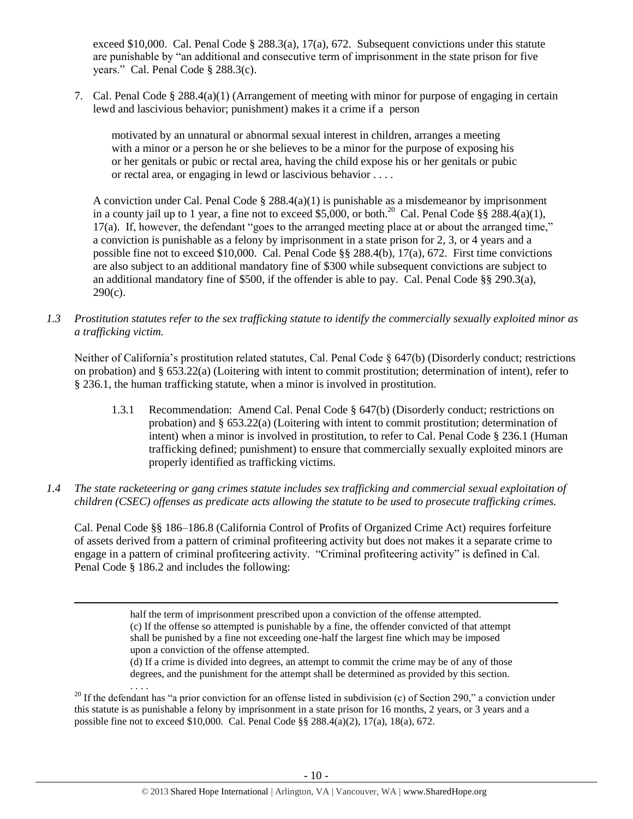exceed \$10,000. Cal. Penal Code § 288.3(a), 17(a), 672. Subsequent convictions under this statute are punishable by "an additional and consecutive term of imprisonment in the state prison for five years." Cal. Penal Code § 288.3(c).

7. Cal. Penal Code § 288.4(a)(1) (Arrangement of meeting with minor for purpose of engaging in certain lewd and lascivious behavior; punishment) makes it a crime if a person

motivated by an unnatural or abnormal sexual interest in children, arranges a meeting with a minor or a person he or she believes to be a minor for the purpose of exposing his or her genitals or pubic or rectal area, having the child expose his or her genitals or pubic or rectal area, or engaging in lewd or lascivious behavior . . . .

A conviction under Cal. Penal Code  $\S 288.4(a)(1)$  is punishable as a misdemeanor by imprisonment in a county jail up to 1 year, a fine not to exceed \$5,000, or both.<sup>20</sup> Cal. Penal Code §§ 288.4(a)(1), 17(a). If, however, the defendant "goes to the arranged meeting place at or about the arranged time," a conviction is punishable as a felony by imprisonment in a state prison for 2, 3, or 4 years and a possible fine not to exceed \$10,000. Cal. Penal Code §§ 288.4(b), 17(a), 672. First time convictions are also subject to an additional mandatory fine of \$300 while subsequent convictions are subject to an additional mandatory fine of \$500, if the offender is able to pay. Cal. Penal Code  $\S$ § 290.3(a), 290(c).

*1.3 Prostitution statutes refer to the sex trafficking statute to identify the commercially sexually exploited minor as a trafficking victim.* 

Neither of California's prostitution related statutes, Cal. Penal Code § 647(b) (Disorderly conduct; restrictions on probation) and § 653.22(a) (Loitering with intent to commit prostitution; determination of intent), refer to § 236.1, the human trafficking statute, when a minor is involved in prostitution.

- 1.3.1 Recommendation: Amend Cal. Penal Code § 647(b) (Disorderly conduct; restrictions on probation) and § 653.22(a) (Loitering with intent to commit prostitution; determination of intent) when a minor is involved in prostitution, to refer to Cal. Penal Code § 236.1 (Human trafficking defined; punishment) to ensure that commercially sexually exploited minors are properly identified as trafficking victims.
- *1.4 The state racketeering or gang crimes statute includes sex trafficking and commercial sexual exploitation of children (CSEC) offenses as predicate acts allowing the statute to be used to prosecute trafficking crimes.*

Cal. Penal Code §§ 186–186.8 (California Control of Profits of Organized Crime Act) requires forfeiture of assets derived from a pattern of criminal profiteering activity but does not makes it a separate crime to engage in a pattern of criminal profiteering activity. "Criminal profiteering activity" is defined in Cal. Penal Code § 186.2 and includes the following:

> half the term of imprisonment prescribed upon a conviction of the offense attempted. (c) If the offense so attempted is punishable by a fine, the offender convicted of that attempt shall be punished by a fine not exceeding one-half the largest fine which may be imposed upon a conviction of the offense attempted.

 $\overline{a}$ 

(d) If a crime is divided into degrees, an attempt to commit the crime may be of any of those degrees, and the punishment for the attempt shall be determined as provided by this section.

. . . . <sup>20</sup> If the defendant has "a prior conviction for an offense listed in subdivision (c) of Section 290," a conviction under this statute is as punishable a felony by imprisonment in a state prison for 16 months, 2 years, or 3 years and a possible fine not to exceed \$10,000. Cal. Penal Code §§ 288.4(a)(2), 17(a), 18(a), 672.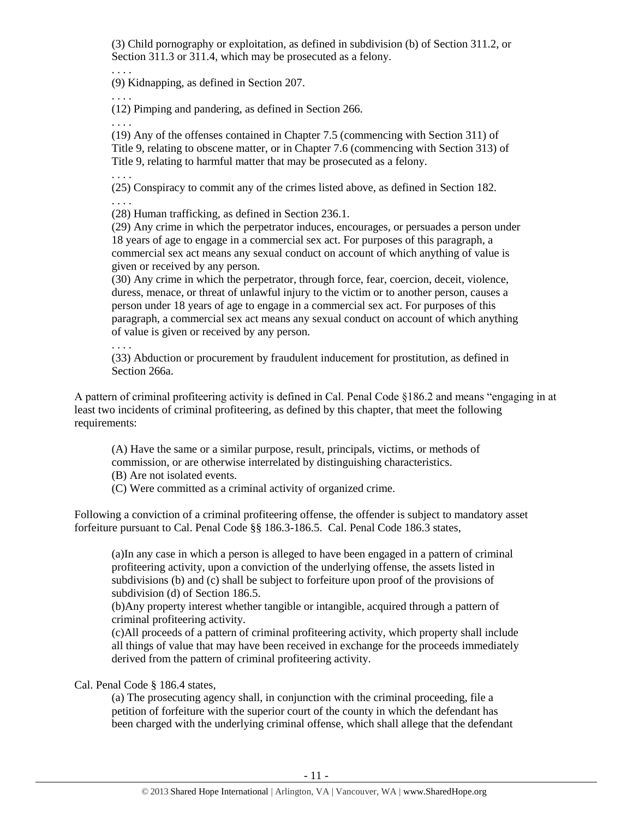(3) Child pornography or exploitation, as defined in subdivision (b) of Section 311.2, or Section 311.3 or 311.4, which may be prosecuted as a felony.

(9) Kidnapping, as defined in Section 207.

. . . .

. . . .

. . . .

(12) Pimping and pandering, as defined in Section 266.

(19) Any of the offenses contained in Chapter 7.5 (commencing with Section 311) of Title 9, relating to obscene matter, or in Chapter 7.6 (commencing with Section 313) of Title 9, relating to harmful matter that may be prosecuted as a felony.

. . . .

. . . .

(25) Conspiracy to commit any of the crimes listed above, as defined in Section 182.

(28) Human trafficking, as defined in Section 236.1.

(29) Any crime in which the perpetrator induces, encourages, or persuades a person under 18 years of age to engage in a commercial sex act. For purposes of this paragraph, a commercial sex act means any sexual conduct on account of which anything of value is given or received by any person.

(30) Any crime in which the perpetrator, through force, fear, coercion, deceit, violence, duress, menace, or threat of unlawful injury to the victim or to another person, causes a person under 18 years of age to engage in a commercial sex act. For purposes of this paragraph, a commercial sex act means any sexual conduct on account of which anything of value is given or received by any person.

. . . .

(33) Abduction or procurement by fraudulent inducement for prostitution, as defined in Section 266a.

A pattern of criminal profiteering activity is defined in Cal. Penal Code §186.2 and means "engaging in at least two incidents of criminal profiteering, as defined by this chapter, that meet the following requirements:

(A) Have the same or a similar purpose, result, principals, victims, or methods of commission, or are otherwise interrelated by distinguishing characteristics.

(B) Are not isolated events.

(C) Were committed as a criminal activity of organized crime.

Following a conviction of a criminal profiteering offense, the offender is subject to mandatory asset forfeiture pursuant to Cal. Penal Code §§ 186.3-186.5. Cal. Penal Code 186.3 states,

(a)In any case in which a person is alleged to have been engaged in a pattern of criminal profiteering activity, upon a conviction of the underlying offense, the assets listed in subdivisions (b) and (c) shall be subject to forfeiture upon proof of the provisions of subdivision (d) of Section 186.5.

(b)Any property interest whether tangible or intangible, acquired through a pattern of criminal profiteering activity.

(c)All proceeds of a pattern of criminal profiteering activity, which property shall include all things of value that may have been received in exchange for the proceeds immediately derived from the pattern of criminal profiteering activity.

Cal. Penal Code § 186.4 states,

(a) The prosecuting agency shall, in conjunction with the criminal proceeding, file a petition of forfeiture with the superior court of the county in which the defendant has been charged with the underlying criminal offense, which shall allege that the defendant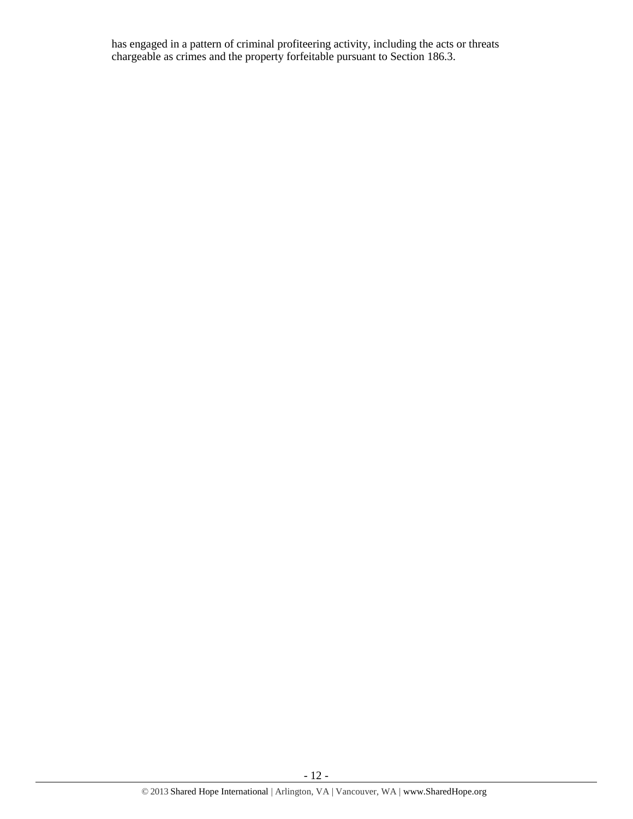has engaged in a pattern of criminal profiteering activity, including the acts or threats chargeable as crimes and the property forfeitable pursuant to Section 186.3.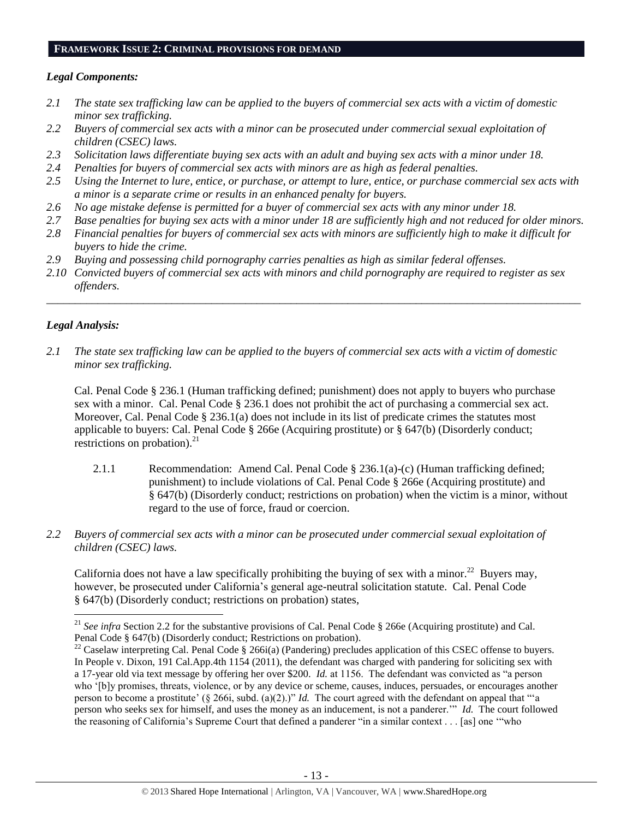### **FRAMEWORK ISSUE 2: CRIMINAL PROVISIONS FOR DEMAND**

# *Legal Components:*

- *2.1 The state sex trafficking law can be applied to the buyers of commercial sex acts with a victim of domestic minor sex trafficking.*
- *2.2 Buyers of commercial sex acts with a minor can be prosecuted under commercial sexual exploitation of children (CSEC) laws.*
- *2.3 Solicitation laws differentiate buying sex acts with an adult and buying sex acts with a minor under 18.*
- *2.4 Penalties for buyers of commercial sex acts with minors are as high as federal penalties.*
- *2.5 Using the Internet to lure, entice, or purchase, or attempt to lure, entice, or purchase commercial sex acts with a minor is a separate crime or results in an enhanced penalty for buyers.*
- *2.6 No age mistake defense is permitted for a buyer of commercial sex acts with any minor under 18.*
- *2.7 Base penalties for buying sex acts with a minor under 18 are sufficiently high and not reduced for older minors.*
- *2.8 Financial penalties for buyers of commercial sex acts with minors are sufficiently high to make it difficult for buyers to hide the crime.*
- *2.9 Buying and possessing child pornography carries penalties as high as similar federal offenses.*
- *2.10 Convicted buyers of commercial sex acts with minors and child pornography are required to register as sex offenders.*

\_\_\_\_\_\_\_\_\_\_\_\_\_\_\_\_\_\_\_\_\_\_\_\_\_\_\_\_\_\_\_\_\_\_\_\_\_\_\_\_\_\_\_\_\_\_\_\_\_\_\_\_\_\_\_\_\_\_\_\_\_\_\_\_\_\_\_\_\_\_\_\_\_\_\_\_\_\_\_\_\_\_\_\_\_\_\_\_\_\_\_\_\_\_

# *Legal Analysis:*

 $\overline{\phantom{a}}$ 

*2.1 The state sex trafficking law can be applied to the buyers of commercial sex acts with a victim of domestic minor sex trafficking.*

Cal. Penal Code § 236.1 (Human trafficking defined; punishment) does not apply to buyers who purchase sex with a minor. Cal. Penal Code § 236.1 does not prohibit the act of purchasing a commercial sex act. Moreover, Cal. Penal Code § 236.1(a) does not include in its list of predicate crimes the statutes most applicable to buyers: Cal. Penal Code § 266e (Acquiring prostitute) or § 647(b) (Disorderly conduct; restrictions on probation). $^{21}$ 

- 2.1.1 Recommendation: Amend Cal. Penal Code § 236.1(a)-(c) (Human trafficking defined; punishment) to include violations of Cal. Penal Code § 266e (Acquiring prostitute) and § 647(b) (Disorderly conduct; restrictions on probation) when the victim is a minor, without regard to the use of force, fraud or coercion.
- *2.2 Buyers of commercial sex acts with a minor can be prosecuted under commercial sexual exploitation of children (CSEC) laws.*

California does not have a law specifically prohibiting the buying of sex with a minor.<sup>22</sup> Buyers may, however, be prosecuted under California's general age-neutral solicitation statute. Cal. Penal Code § 647(b) (Disorderly conduct; restrictions on probation) states,

<sup>&</sup>lt;sup>21</sup> *See infra* Section 2.2 for the substantive provisions of Cal. Penal Code § 266e (Acquiring prostitute) and Cal. Penal Code § 647(b) (Disorderly conduct; Restrictions on probation).

<sup>&</sup>lt;sup>22</sup> Caselaw interpreting Cal. Penal Code § 266i(a) (Pandering) precludes application of this CSEC offense to buyers. In People v. Dixon, 191 Cal.App.4th 1154 (2011), the defendant was charged with pandering for soliciting sex with a 17-year old via text message by offering her over \$200. *Id.* at 1156. The defendant was convicted as "a person who '[b]y promises, threats, violence, or by any device or scheme, causes, induces, persuades, or encourages another person to become a prostitute' (§ 266i, subd. (a)(2).)" *Id.* The court agreed with the defendant on appeal that "'a person who seeks sex for himself, and uses the money as an inducement, is not a panderer.'" *Id.* The court followed the reasoning of California's Supreme Court that defined a panderer "in a similar context . . . [as] one '"who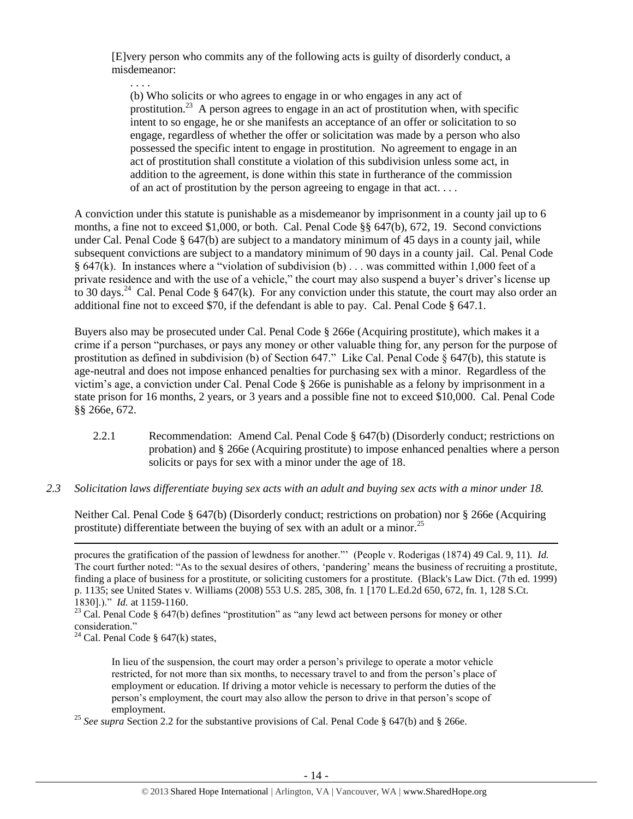[E]very person who commits any of the following acts is guilty of disorderly conduct, a misdemeanor:

. . . .

(b) Who solicits or who agrees to engage in or who engages in any act of prostitution.<sup>23</sup> A person agrees to engage in an act of prostitution when, with specific intent to so engage, he or she manifests an acceptance of an offer or solicitation to so engage, regardless of whether the offer or solicitation was made by a person who also possessed the specific intent to engage in prostitution. No agreement to engage in an act of prostitution shall constitute a violation of this subdivision unless some act, in addition to the agreement, is done within this state in furtherance of the commission of an act of prostitution by the person agreeing to engage in that act. . . .

A conviction under this statute is punishable as a misdemeanor by imprisonment in a county jail up to 6 months, a fine not to exceed \$1,000, or both. Cal. Penal Code §§ 647(b), 672, 19. Second convictions under Cal. Penal Code § 647(b) are subject to a mandatory minimum of 45 days in a county jail, while subsequent convictions are subject to a mandatory minimum of 90 days in a county jail. Cal. Penal Code § 647(k). In instances where a "violation of subdivision (b) . . . was committed within 1,000 feet of a private residence and with the use of a vehicle," the court may also suspend a buyer's driver's license up to 30 days.<sup>24</sup> Cal. Penal Code § 647(k). For any conviction under this statute, the court may also order an additional fine not to exceed \$70, if the defendant is able to pay. Cal. Penal Code § 647.1.

<span id="page-13-0"></span>Buyers also may be prosecuted under Cal. Penal Code § 266e (Acquiring prostitute), which makes it a crime if a person "purchases, or pays any money or other valuable thing for, any person for the purpose of prostitution as defined in subdivision (b) of Section 647." Like Cal. Penal Code § 647(b), this statute is age-neutral and does not impose enhanced penalties for purchasing sex with a minor. Regardless of the victim's age, a conviction under Cal. Penal Code § 266e is punishable as a felony by imprisonment in a state prison for 16 months, 2 years, or 3 years and a possible fine not to exceed \$10,000. Cal. Penal Code §§ 266e, 672.

- 2.2.1 Recommendation: Amend Cal. Penal Code § 647(b) (Disorderly conduct; restrictions on probation) and § 266e (Acquiring prostitute) to impose enhanced penalties where a person solicits or pays for sex with a minor under the age of 18.
- *2.3 Solicitation laws differentiate buying sex acts with an adult and buying sex acts with a minor under 18.*

Neither Cal. Penal Code § 647(b) (Disorderly conduct; restrictions on probation) nor § 266e (Acquiring prostitute) differentiate between the buying of sex with an adult or a minor.<sup>25</sup>

 $\overline{\phantom{a}}$ 

In lieu of the suspension, the court may order a person's privilege to operate a motor vehicle restricted, for not more than six months, to necessary travel to and from the person's place of employment or education. If driving a motor vehicle is necessary to perform the duties of the person's employment, the court may also allow the person to drive in that person's scope of employment.

<sup>25</sup> See supra<sup>Section</sup> 2.2 for the substantive provisions of Cal. Penal Code § 647(b) and § 266e.

procures the gratification of the passion of lewdness for another."' (People v. Roderigas (1874) 49 Cal. 9, 11). *Id.* The court further noted: "As to the sexual desires of others, 'pandering' means the business of recruiting a prostitute, finding a place of business for a prostitute, or soliciting customers for a prostitute. (Black's Law Dict. (7th ed. 1999) p. 1135; see United States v. Williams (2008) 553 U.S. 285, 308, fn. 1 [170 L.Ed.2d 650, 672, fn. 1, 128 S.Ct. 1830].)." *Id.* at 1159-1160.

<sup>&</sup>lt;sup>23</sup> Cal. Penal Code § 647(b) defines "prostitution" as "any lewd act between persons for money or other consideration."

<sup>&</sup>lt;sup>24</sup> Cal. Penal Code  $\S$  647(k) states,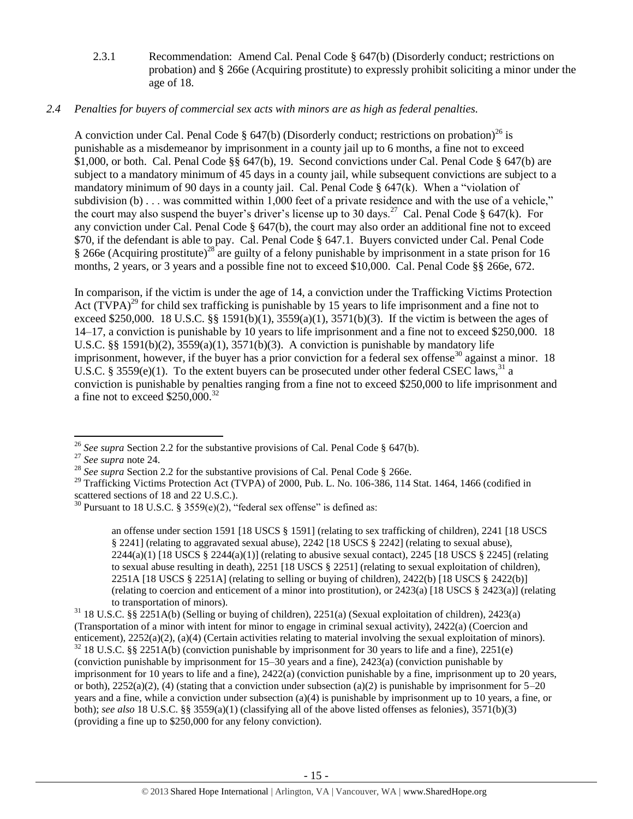2.3.1 Recommendation: Amend Cal. Penal Code § 647(b) (Disorderly conduct; restrictions on probation) and § 266e (Acquiring prostitute) to expressly prohibit soliciting a minor under the age of 18.

# *2.4 Penalties for buyers of commercial sex acts with minors are as high as federal penalties.*

A conviction under Cal. Penal Code § 647(b) (Disorderly conduct; restrictions on probation)<sup>26</sup> is punishable as a misdemeanor by imprisonment in a county jail up to 6 months, a fine not to exceed \$1,000, or both. Cal. Penal Code §§ 647(b), 19. Second convictions under Cal. Penal Code § 647(b) are subject to a mandatory minimum of 45 days in a county jail, while subsequent convictions are subject to a mandatory minimum of 90 days in a county jail. Cal. Penal Code  $\S$  647(k). When a "violation of subdivision (b) . . . was committed within 1,000 feet of a private residence and with the use of a vehicle," the court may also suspend the buyer's driver's license up to 30 days.<sup>27</sup> Cal. Penal Code § 647(k). For any conviction under Cal. Penal Code § 647(b), the court may also order an additional fine not to exceed \$70, if the defendant is able to pay. Cal. Penal Code § 647.1. Buyers convicted under Cal. Penal Code § 266e (Acquiring prostitute)<sup>28</sup> are guilty of a felony punishable by imprisonment in a state prison for 16 months, 2 years, or 3 years and a possible fine not to exceed \$10,000. Cal. Penal Code §§ 266e, 672.

<span id="page-14-0"></span>In comparison, if the victim is under the age of 14, a conviction under the Trafficking Victims Protection Act  $(TVPA)^{29}$  for child sex trafficking is punishable by 15 years to life imprisonment and a fine not to exceed \$250,000. 18 U.S.C. §§ 1591(b)(1), 3559(a)(1), 3571(b)(3). If the victim is between the ages of 14–17, a conviction is punishable by 10 years to life imprisonment and a fine not to exceed \$250,000. 18 U.S.C. §§ 1591(b)(2),  $3559(a)(1)$ ,  $3571(b)(3)$ . A conviction is punishable by mandatory life imprisonment, however, if the buyer has a prior conviction for a federal sex offense<sup>30</sup> against a minor. 18 U.S.C. § 3559(e)(1). To the extent buyers can be prosecuted under other federal CSEC laws,<sup>31</sup> a conviction is punishable by penalties ranging from a fine not to exceed \$250,000 to life imprisonment and a fine not to exceed  $$250,000.<sup>32</sup>$ 

<span id="page-14-1"></span>an offense under section 1591 [18 USCS § 1591] (relating to sex trafficking of children), 2241 [18 USCS § 2241] (relating to aggravated sexual abuse), 2242 [18 USCS § 2242] (relating to sexual abuse),  $2244(a)(1)$  [18 USCS §  $2244(a)(1)$ ] (relating to abusive sexual contact),  $2245$  [18 USCS § 2245] (relating to sexual abuse resulting in death), 2251 [18 USCS § 2251] (relating to sexual exploitation of children), 2251A [18 USCS § 2251A] (relating to selling or buying of children), 2422(b) [18 USCS § 2422(b)] (relating to coercion and enticement of a minor into prostitution), or 2423(a) [18 USCS § 2423(a)] (relating to transportation of minors).

 $\overline{\phantom{a}}$ <sup>26</sup> *See supra* Section 2.2 for the substantive provisions of Cal. Penal Code § 647(b).

<sup>27</sup> *See supra* note [24.](#page-13-0) 

<sup>&</sup>lt;sup>28</sup> See supra Section 2.2 for the substantive provisions of Cal. Penal Code § 266e.

<sup>&</sup>lt;sup>29</sup> Trafficking Victims Protection Act (TVPA) of 2000, Pub. L. No. 106-386, 114 Stat. 1464, 1466 (codified in scattered sections of 18 and 22 U.S.C.).

<sup>&</sup>lt;sup>30</sup> Pursuant to 18 U.S.C. § 3559(e)(2), "federal sex offense" is defined as:

<sup>31</sup> 18 U.S.C. §§ 2251A(b) (Selling or buying of children), 2251(a) (Sexual exploitation of children), 2423(a) (Transportation of a minor with intent for minor to engage in criminal sexual activity), 2422(a) (Coercion and enticement), 2252(a)(2), (a)(4) (Certain activities relating to material involving the sexual exploitation of minors). <sup>32</sup> 18 U.S.C. §§ 2251A(b) (conviction punishable by imprisonment for 30 years to life and a fine), 2251(e)

<sup>(</sup>conviction punishable by imprisonment for 15–30 years and a fine), 2423(a) (conviction punishable by imprisonment for 10 years to life and a fine), 2422(a) (conviction punishable by a fine, imprisonment up to 20 years, or both),  $2252(a)(2)$ , (4) (stating that a conviction under subsection (a)(2) is punishable by imprisonment for  $5-20$ years and a fine, while a conviction under subsection (a)(4) is punishable by imprisonment up to 10 years, a fine, or both); *see also* 18 U.S.C. §§ 3559(a)(1) (classifying all of the above listed offenses as felonies), 3571(b)(3) (providing a fine up to \$250,000 for any felony conviction).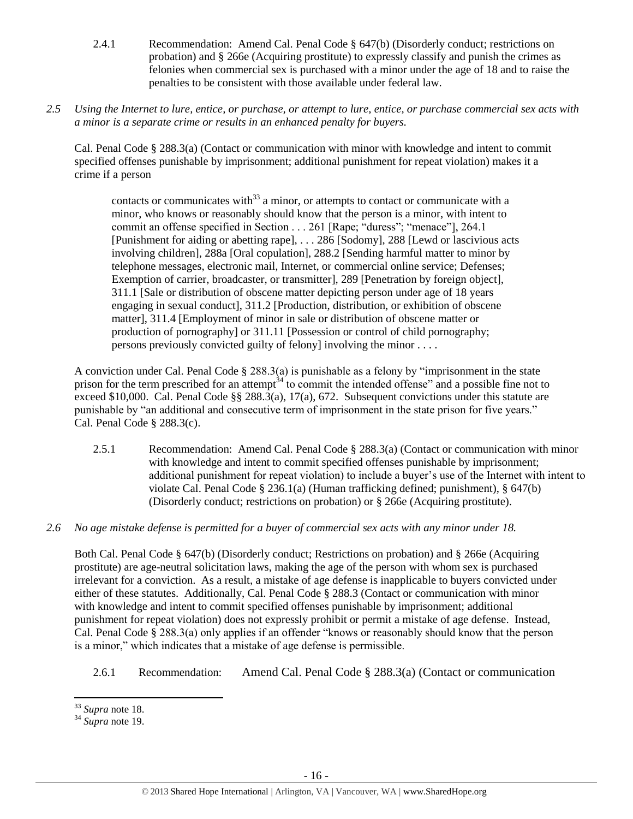- 2.4.1 Recommendation: Amend Cal. Penal Code § 647(b) (Disorderly conduct; restrictions on probation) and § 266e (Acquiring prostitute) to expressly classify and punish the crimes as felonies when commercial sex is purchased with a minor under the age of 18 and to raise the penalties to be consistent with those available under federal law.
- *2.5 Using the Internet to lure, entice, or purchase, or attempt to lure, entice, or purchase commercial sex acts with a minor is a separate crime or results in an enhanced penalty for buyers.*

Cal. Penal Code § 288.3(a) (Contact or communication with minor with knowledge and intent to commit specified offenses punishable by imprisonment; additional punishment for repeat violation) makes it a crime if a person

contacts or communicates with $33$  a minor, or attempts to contact or communicate with a minor, who knows or reasonably should know that the person is a minor, with intent to commit an offense specified in Section . . . 261 [Rape; "duress"; "menace"], 264.1 [Punishment for aiding or abetting rape], . . . 286 [Sodomy], 288 [Lewd or lascivious acts involving children], 288a [Oral copulation], 288.2 [Sending harmful matter to minor by telephone messages, electronic mail, Internet, or commercial online service; Defenses; Exemption of carrier, broadcaster, or transmitter], 289 [Penetration by foreign object], 311.1 [Sale or distribution of obscene matter depicting person under age of 18 years engaging in sexual conduct], 311.2 [Production, distribution, or exhibition of obscene matter], 311.4 [Employment of minor in sale or distribution of obscene matter or production of pornography] or 311.11 [Possession or control of child pornography; persons previously convicted guilty of felony] involving the minor . . . .

A conviction under Cal. Penal Code § 288.3(a) is punishable as a felony by "imprisonment in the state prison for the term prescribed for an attempt<sup> $34$ </sup> to commit the intended offense" and a possible fine not to exceed \$10,000. Cal. Penal Code §§ 288.3(a), 17(a), 672. Subsequent convictions under this statute are punishable by "an additional and consecutive term of imprisonment in the state prison for five years." Cal. Penal Code § 288.3(c).

- 2.5.1 Recommendation: Amend Cal. Penal Code § 288.3(a) (Contact or communication with minor with knowledge and intent to commit specified offenses punishable by imprisonment; additional punishment for repeat violation) to include a buyer's use of the Internet with intent to violate Cal. Penal Code § 236.1(a) (Human trafficking defined; punishment), § 647(b) (Disorderly conduct; restrictions on probation) or § 266e (Acquiring prostitute).
- *2.6 No age mistake defense is permitted for a buyer of commercial sex acts with any minor under 18.*

Both Cal. Penal Code § 647(b) (Disorderly conduct; Restrictions on probation) and § 266e (Acquiring prostitute) are age-neutral solicitation laws, making the age of the person with whom sex is purchased irrelevant for a conviction. As a result, a mistake of age defense is inapplicable to buyers convicted under either of these statutes. Additionally, Cal. Penal Code § 288.3 (Contact or communication with minor with knowledge and intent to commit specified offenses punishable by imprisonment; additional punishment for repeat violation) does not expressly prohibit or permit a mistake of age defense. Instead, Cal. Penal Code § 288.3(a) only applies if an offender "knows or reasonably should know that the person is a minor," which indicates that a mistake of age defense is permissible.

2.6.1 Recommendation: Amend Cal. Penal Code § 288.3(a) (Contact or communication

l <sup>33</sup> *Supra* note [18.](#page-8-0)

<sup>34</sup> *Supra* note [19.](#page-8-1)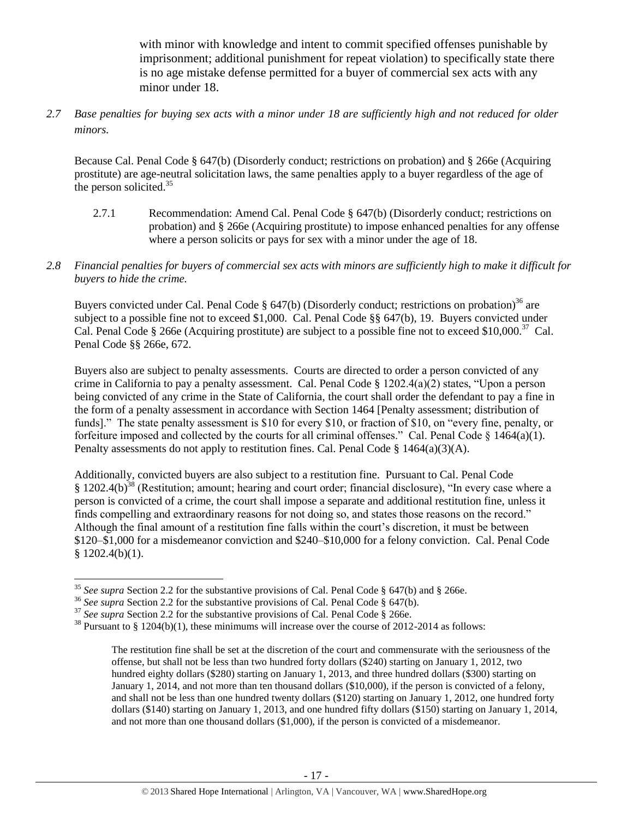with minor with knowledge and intent to commit specified offenses punishable by imprisonment; additional punishment for repeat violation) to specifically state there is no age mistake defense permitted for a buyer of commercial sex acts with any minor under 18.

*2.7 Base penalties for buying sex acts with a minor under 18 are sufficiently high and not reduced for older minors.*

Because Cal. Penal Code § 647(b) (Disorderly conduct; restrictions on probation) and § 266e (Acquiring prostitute) are age-neutral solicitation laws, the same penalties apply to a buyer regardless of the age of the person solicited. $35$ 

- 2.7.1 Recommendation: Amend Cal. Penal Code § 647(b) (Disorderly conduct; restrictions on probation) and § 266e (Acquiring prostitute) to impose enhanced penalties for any offense where a person solicits or pays for sex with a minor under the age of 18.
- *2.8 Financial penalties for buyers of commercial sex acts with minors are sufficiently high to make it difficult for buyers to hide the crime.*

Buyers convicted under Cal. Penal Code § 647(b) (Disorderly conduct; restrictions on probation)<sup>36</sup> are subject to a possible fine not to exceed \$1,000. Cal. Penal Code §§ 647(b), 19. Buyers convicted under Cal. Penal Code § 266e (Acquiring prostitute) are subject to a possible fine not to exceed \$10,000.<sup>37</sup> Cal. Penal Code §§ 266e, 672.

Buyers also are subject to penalty assessments. Courts are directed to order a person convicted of any crime in California to pay a penalty assessment. Cal. Penal Code § 1202.4(a)(2) states, "Upon a person being convicted of any crime in the State of California, the court shall order the defendant to pay a fine in the form of a penalty assessment in accordance with Section 1464 [Penalty assessment; distribution of funds]." The state penalty assessment is \$10 for every \$10, or fraction of \$10, on "every fine, penalty, or forfeiture imposed and collected by the courts for all criminal offenses." Cal. Penal Code  $\S$  1464(a)(1). Penalty assessments do not apply to restitution fines. Cal. Penal Code  $\S$  1464(a)(3)(A).

Additionally, convicted buyers are also subject to a restitution fine. Pursuant to Cal. Penal Code § 1202.4(b)<sup>38</sup> (Restitution; amount; hearing and court order; financial disclosure), "In every case where a person is convicted of a crime, the court shall impose a separate and additional restitution fine, unless it finds compelling and extraordinary reasons for not doing so, and states those reasons on the record." Although the final amount of a restitution fine falls within the court's discretion, it must be between \$120–\$1,000 for a misdemeanor conviction and \$240–\$10,000 for a felony conviction. Cal. Penal Code  $$1202.4(b)(1).$ 

<sup>&</sup>lt;sup>35</sup> See supra Section 2.2 for the substantive provisions of Cal. Penal Code § 647(b) and § 266e.

<sup>&</sup>lt;sup>36</sup> *See supra* Section 2.2 for the substantive provisions of Cal. Penal Code § 647(b).

<sup>&</sup>lt;sup>37</sup> See supra Section 2.2 for the substantive provisions of Cal. Penal Code § 266e.

 $38$  Pursuant to § 1204(b)(1), these minimums will increase over the course of 2012-2014 as follows:

The restitution fine shall be set at the discretion of the court and commensurate with the seriousness of the offense, but shall not be less than two hundred forty dollars (\$240) starting on January 1, 2012, two hundred eighty dollars (\$280) starting on January 1, 2013, and three hundred dollars (\$300) starting on January 1, 2014, and not more than ten thousand dollars (\$10,000), if the person is convicted of a felony, and shall not be less than one hundred twenty dollars (\$120) starting on January 1, 2012, one hundred forty dollars (\$140) starting on January 1, 2013, and one hundred fifty dollars (\$150) starting on January 1, 2014, and not more than one thousand dollars (\$1,000), if the person is convicted of a misdemeanor.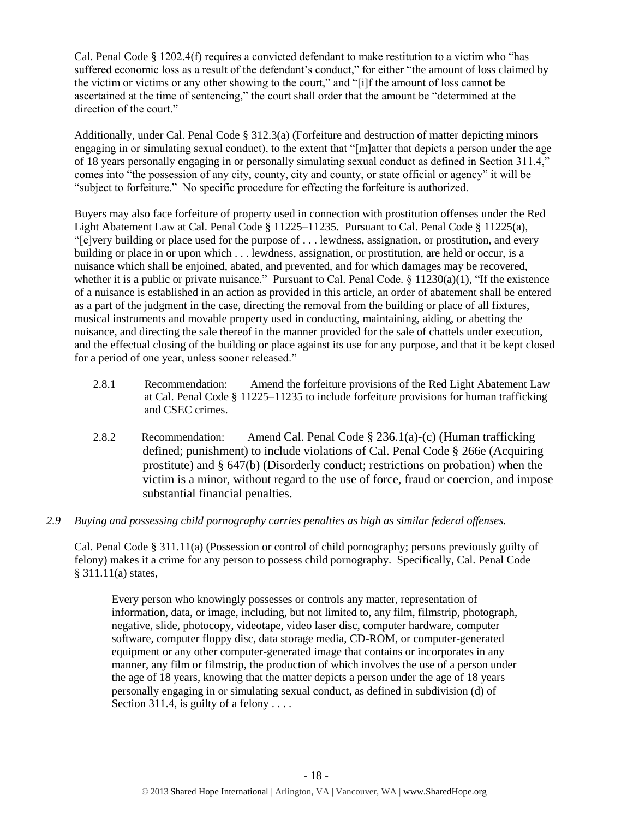Cal. Penal Code § 1202.4(f) requires a convicted defendant to make restitution to a victim who "has suffered economic loss as a result of the defendant's conduct," for either "the amount of loss claimed by the victim or victims or any other showing to the court," and "[i]f the amount of loss cannot be ascertained at the time of sentencing," the court shall order that the amount be "determined at the direction of the court."

Additionally, under Cal. Penal Code § 312.3(a) (Forfeiture and destruction of matter depicting minors engaging in or simulating sexual conduct), to the extent that "[m]atter that depicts a person under the age of 18 years personally engaging in or personally simulating sexual conduct as defined in Section 311.4," comes into "the possession of any city, county, city and county, or state official or agency" it will be "subject to forfeiture." No specific procedure for effecting the forfeiture is authorized.

Buyers may also face forfeiture of property used in connection with prostitution offenses under the Red Light Abatement Law at Cal. Penal Code § 11225–11235. Pursuant to Cal. Penal Code § 11225(a), "[e]very building or place used for the purpose of . . . lewdness, assignation, or prostitution, and every building or place in or upon which . . . lewdness, assignation, or prostitution, are held or occur, is a nuisance which shall be enjoined, abated, and prevented, and for which damages may be recovered, whether it is a public or private nuisance." Pursuant to Cal. Penal Code.  $\S$  11230(a)(1), "If the existence of a nuisance is established in an action as provided in this article, an order of abatement shall be entered as a part of the judgment in the case, directing the removal from the building or place of all fixtures, musical instruments and movable property used in conducting, maintaining, aiding, or abetting the nuisance, and directing the sale thereof in the manner provided for the sale of chattels under execution, and the effectual closing of the building or place against its use for any purpose, and that it be kept closed for a period of one year, unless sooner released."

- 2.8.1 Recommendation: Amend the forfeiture provisions of the Red Light Abatement Law at Cal. Penal Code § 11225–11235 to include forfeiture provisions for human trafficking and CSEC crimes.
- 2.8.2 Recommendation: Amend Cal. Penal Code § 236.1(a)-(c) (Human trafficking defined; punishment) to include violations of Cal. Penal Code § 266e (Acquiring prostitute) and § 647(b) (Disorderly conduct; restrictions on probation) when the victim is a minor, without regard to the use of force, fraud or coercion, and impose substantial financial penalties.
- *2.9 Buying and possessing child pornography carries penalties as high as similar federal offenses.*

Cal. Penal Code § 311.11(a) (Possession or control of child pornography; persons previously guilty of felony) makes it a crime for any person to possess child pornography. Specifically, Cal. Penal Code § 311.11(a) states,

Every person who knowingly possesses or controls any matter, representation of information, data, or image, including, but not limited to, any film, filmstrip, photograph, negative, slide, photocopy, videotape, video laser disc, computer hardware, computer software, computer floppy disc, data storage media, CD-ROM, or computer-generated equipment or any other computer-generated image that contains or incorporates in any manner, any film or filmstrip, the production of which involves the use of a person under the age of 18 years, knowing that the matter depicts a person under the age of 18 years personally engaging in or simulating sexual conduct, as defined in subdivision (d) of Section 311.4, is guilty of a felony  $\dots$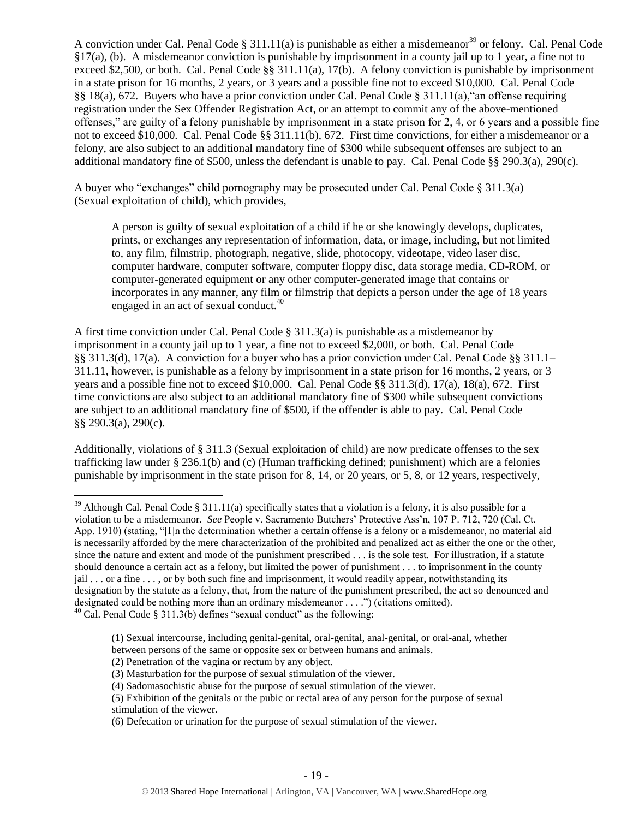<span id="page-18-0"></span>A conviction under Cal. Penal Code § 311.11(a) is punishable as either a misdemeanor<sup>39</sup> or felony. Cal. Penal Code §17(a), (b). A misdemeanor conviction is punishable by imprisonment in a county jail up to 1 year, a fine not to exceed \$2,500, or both. Cal. Penal Code  $\S$ § 311.11(a), 17(b). A felony conviction is punishable by imprisonment in a state prison for 16 months, 2 years, or 3 years and a possible fine not to exceed \$10,000. Cal. Penal Code §§ 18(a), 672. Buyers who have a prior conviction under Cal. Penal Code § 311.11(a),"an offense requiring registration under the Sex Offender Registration Act, or an attempt to commit any of the above-mentioned offenses," are guilty of a felony punishable by imprisonment in a state prison for 2, 4, or 6 years and a possible fine not to exceed \$10,000. Cal. Penal Code §§ 311.11(b), 672. First time convictions, for either a misdemeanor or a felony, are also subject to an additional mandatory fine of \$300 while subsequent offenses are subject to an additional mandatory fine of \$500, unless the defendant is unable to pay. Cal. Penal Code §§ 290.3(a), 290(c).

A buyer who "exchanges" child pornography may be prosecuted under Cal. Penal Code § 311.3(a) (Sexual exploitation of child), which provides,

A person is guilty of sexual exploitation of a child if he or she knowingly develops, duplicates, prints, or exchanges any representation of information, data, or image, including, but not limited to, any film, filmstrip, photograph, negative, slide, photocopy, videotape, video laser disc, computer hardware, computer software, computer floppy disc, data storage media, CD-ROM, or computer-generated equipment or any other computer-generated image that contains or incorporates in any manner, any film or filmstrip that depicts a person under the age of 18 years engaged in an act of sexual conduct.<sup>40</sup>

A first time conviction under Cal. Penal Code § 311.3(a) is punishable as a misdemeanor by imprisonment in a county jail up to 1 year, a fine not to exceed \$2,000, or both. Cal. Penal Code §§ 311.3(d), 17(a). A conviction for a buyer who has a prior conviction under Cal. Penal Code §§ 311.1– 311.11, however, is punishable as a felony by imprisonment in a state prison for 16 months, 2 years, or 3 years and a possible fine not to exceed \$10,000. Cal. Penal Code §§ 311.3(d), 17(a), 18(a), 672. First time convictions are also subject to an additional mandatory fine of \$300 while subsequent convictions are subject to an additional mandatory fine of \$500, if the offender is able to pay. Cal. Penal Code §§ 290.3(a), 290(c).

Additionally, violations of § 311.3 (Sexual exploitation of child) are now predicate offenses to the sex trafficking law under § 236.1(b) and (c) (Human trafficking defined; punishment) which are a felonies punishable by imprisonment in the state prison for 8, 14, or 20 years, or 5, 8, or 12 years, respectively,

 $\overline{a}$ 

 $39$  Although Cal. Penal Code § 311.11(a) specifically states that a violation is a felony, it is also possible for a violation to be a misdemeanor. *See* People v. Sacramento Butchers' Protective Ass'n, 107 P. 712, 720 (Cal. Ct. App. 1910) (stating, "[I]n the determination whether a certain offense is a felony or a misdemeanor, no material aid is necessarily afforded by the mere characterization of the prohibited and penalized act as either the one or the other, since the nature and extent and mode of the punishment prescribed . . . is the sole test. For illustration, if a statute should denounce a certain act as a felony, but limited the power of punishment . . . to imprisonment in the county  $j$ ail  $\ldots$  or a fine  $\ldots$ , or by both such fine and imprisonment, it would readily appear, notwithstanding its designation by the statute as a felony, that, from the nature of the punishment prescribed, the act so denounced and designated could be nothing more than an ordinary misdemeanor . . . .") (citations omitted).

 $^{40}$  Cal. Penal Code § 311.3(b) defines "sexual conduct" as the following:

<sup>(1)</sup> Sexual intercourse, including genital-genital, oral-genital, anal-genital, or oral-anal, whether

between persons of the same or opposite sex or between humans and animals.

<sup>(2)</sup> Penetration of the vagina or rectum by any object.

<sup>(3)</sup> Masturbation for the purpose of sexual stimulation of the viewer.

<sup>(4)</sup> Sadomasochistic abuse for the purpose of sexual stimulation of the viewer.

<sup>(5)</sup> Exhibition of the genitals or the pubic or rectal area of any person for the purpose of sexual stimulation of the viewer.

<sup>(6)</sup> Defecation or urination for the purpose of sexual stimulation of the viewer.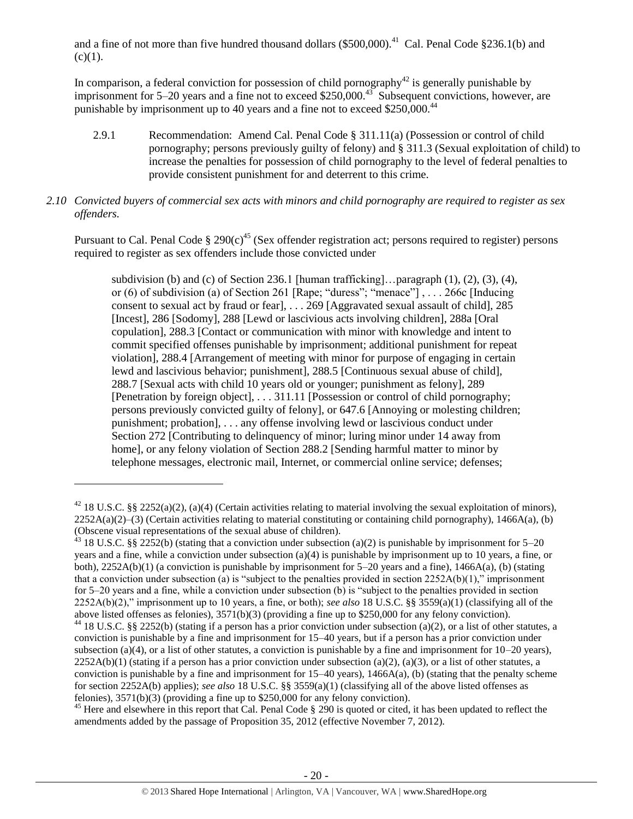and a fine of not more than five hundred thousand dollars  $(\$500,000)$ <sup>41</sup> Cal. Penal Code  $§236.1(b)$  and  $(c)(1)$ .

In comparison, a federal conviction for possession of child pornography<sup>42</sup> is generally punishable by imprisonment for 5–20 years and a fine not to exceed \$250,000.<sup>43</sup> Subsequent convictions, however, are punishable by imprisonment up to 40 years and a fine not to exceed \$250,000.<sup>44</sup>

2.9.1 Recommendation: Amend Cal. Penal Code § 311.11(a) (Possession or control of child pornography; persons previously guilty of felony) and § 311.3 (Sexual exploitation of child) to increase the penalties for possession of child pornography to the level of federal penalties to provide consistent punishment for and deterrent to this crime.

# *2.10 Convicted buyers of commercial sex acts with minors and child pornography are required to register as sex offenders.*

Pursuant to Cal. Penal Code  $\S 290(c)^{45}$  (Sex offender registration act; persons required to register) persons required to register as sex offenders include those convicted under

subdivision (b) and (c) of Section 236.1 [human trafficking]... paragraph  $(1)$ ,  $(2)$ ,  $(3)$ ,  $(4)$ , or (6) of subdivision (a) of Section 261 [Rape; "duress"; "menace"] , . . . 266c [Inducing consent to sexual act by fraud or fear], . . . 269 [Aggravated sexual assault of child], 285 [Incest], 286 [Sodomy], 288 [Lewd or lascivious acts involving children], 288a [Oral copulation], 288.3 [Contact or communication with minor with knowledge and intent to commit specified offenses punishable by imprisonment; additional punishment for repeat violation], 288.4 [Arrangement of meeting with minor for purpose of engaging in certain lewd and lascivious behavior; punishment], 288.5 [Continuous sexual abuse of child], 288.7 [Sexual acts with child 10 years old or younger; punishment as felony], 289 [Penetration by foreign object], . . . 311.11 [Possession or control of child pornography; persons previously convicted guilty of felony], or 647.6 [Annoying or molesting children; punishment; probation], . . . any offense involving lewd or lascivious conduct under Section 272 [Contributing to delinquency of minor; luring minor under 14 away from home], or any felony violation of Section 288.2 [Sending harmful matter to minor by telephone messages, electronic mail, Internet, or commercial online service; defenses;

 $\overline{\phantom{a}}$ 

<sup>43</sup> 18 U.S.C. §§ 2252(b) (stating that a conviction under subsection (a)(2) is punishable by imprisonment for 5–20 years and a fine, while a conviction under subsection (a)(4) is punishable by imprisonment up to 10 years, a fine, or both),  $2252A(b)(1)$  (a conviction is punishable by imprisonment for 5–20 years and a fine),  $1466A(a)$ , (b) (stating that a conviction under subsection (a) is "subject to the penalties provided in section  $2252A(b)(1)$ ," imprisonment for 5–20 years and a fine, while a conviction under subsection (b) is "subject to the penalties provided in section 2252A(b)(2)," imprisonment up to 10 years, a fine, or both); *see also* 18 U.S.C. §§ 3559(a)(1) (classifying all of the above listed offenses as felonies), 3571(b)(3) (providing a fine up to \$250,000 for any felony conviction).

<sup>&</sup>lt;sup>42</sup> 18 U.S.C. §§ 2252(a)(2), (a)(4) (Certain activities relating to material involving the sexual exploitation of minors),  $2252A(a)(2)$ –(3) (Certain activities relating to material constituting or containing child pornography), 1466A(a), (b) (Obscene visual representations of the sexual abuse of children).

 $44$  18 U.S.C. §§ 2252(b) (stating if a person has a prior conviction under subsection (a)(2), or a list of other statutes, a conviction is punishable by a fine and imprisonment for 15–40 years, but if a person has a prior conviction under subsection (a)(4), or a list of other statutes, a conviction is punishable by a fine and imprisonment for  $10-20$  years),  $2252A(b)(1)$  (stating if a person has a prior conviction under subsection (a)(2), (a)(3), or a list of other statutes, a conviction is punishable by a fine and imprisonment for  $15-40$  years),  $1466A(a)$ , (b) (stating that the penalty scheme for section 2252A(b) applies); *see also* 18 U.S.C. §§ 3559(a)(1) (classifying all of the above listed offenses as felonies), 3571(b)(3) (providing a fine up to \$250,000 for any felony conviction).

 $45$  Here and elsewhere in this report that Cal. Penal Code  $\S$  290 is quoted or cited, it has been updated to reflect the amendments added by the passage of Proposition 35, 2012 (effective November 7, 2012).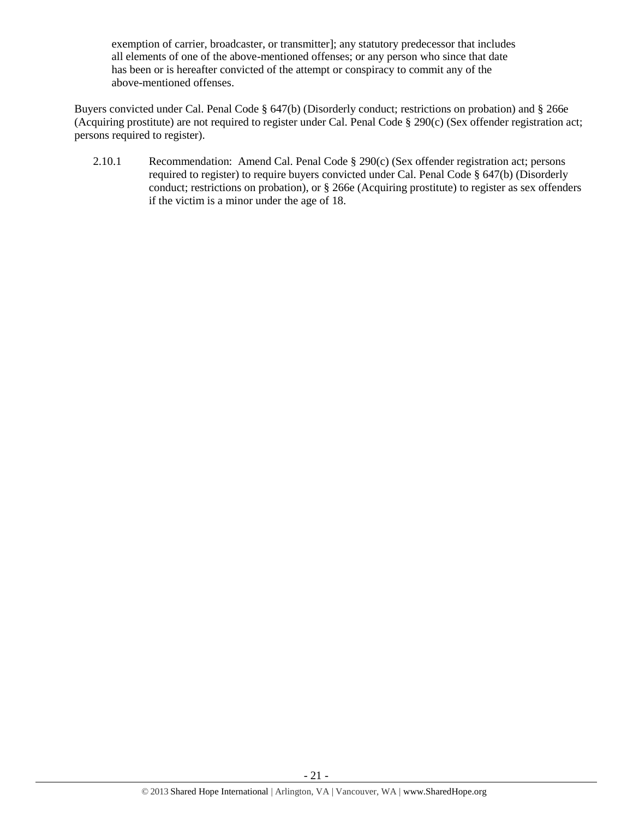exemption of carrier, broadcaster, or transmitter]; any statutory predecessor that includes all elements of one of the above-mentioned offenses; or any person who since that date has been or is hereafter convicted of the attempt or conspiracy to commit any of the above-mentioned offenses.

Buyers convicted under Cal. Penal Code § 647(b) (Disorderly conduct; restrictions on probation) and § 266e (Acquiring prostitute) are not required to register under Cal. Penal Code § 290(c) (Sex offender registration act; persons required to register).

2.10.1 Recommendation: Amend Cal. Penal Code § 290(c) (Sex offender registration act; persons required to register) to require buyers convicted under Cal. Penal Code § 647(b) (Disorderly conduct; restrictions on probation), or § 266e (Acquiring prostitute) to register as sex offenders if the victim is a minor under the age of 18.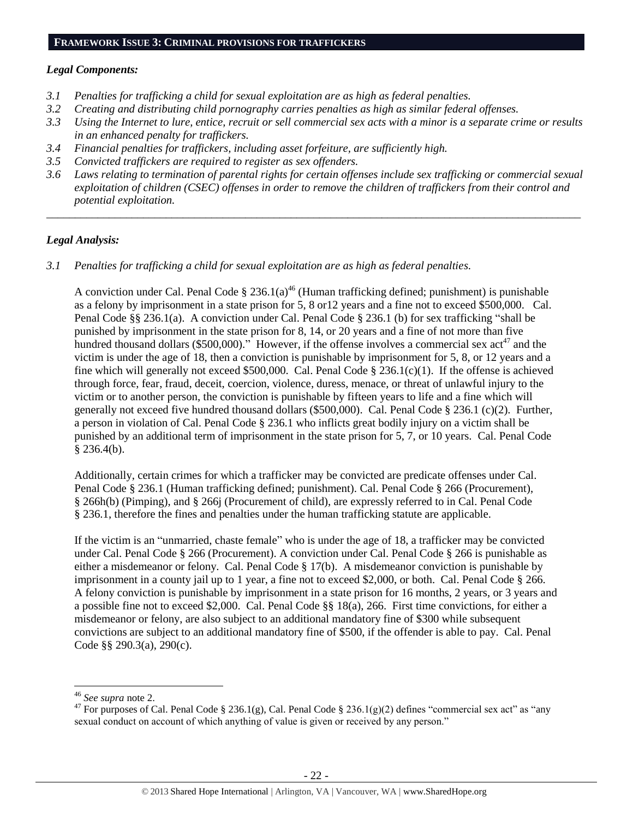### **FRAMEWORK ISSUE 3: CRIMINAL PROVISIONS FOR TRAFFICKERS**

### *Legal Components:*

- *3.1 Penalties for trafficking a child for sexual exploitation are as high as federal penalties.*
- *3.2 Creating and distributing child pornography carries penalties as high as similar federal offenses.*
- *3.3 Using the Internet to lure, entice, recruit or sell commercial sex acts with a minor is a separate crime or results in an enhanced penalty for traffickers.*
- *3.4 Financial penalties for traffickers, including asset forfeiture, are sufficiently high.*
- *3.5 Convicted traffickers are required to register as sex offenders.*
- *3.6 Laws relating to termination of parental rights for certain offenses include sex trafficking or commercial sexual exploitation of children (CSEC) offenses in order to remove the children of traffickers from their control and potential exploitation.*

*\_\_\_\_\_\_\_\_\_\_\_\_\_\_\_\_\_\_\_\_\_\_\_\_\_\_\_\_\_\_\_\_\_\_\_\_\_\_\_\_\_\_\_\_\_\_\_\_\_\_\_\_\_\_\_\_\_\_\_\_\_\_\_\_\_\_\_\_\_\_\_\_\_\_\_\_\_\_\_\_\_\_\_\_\_\_\_\_\_\_\_\_\_\_*

### *Legal Analysis:*

*3.1 Penalties for trafficking a child for sexual exploitation are as high as federal penalties.* 

A conviction under Cal. Penal Code § 236.1(a)<sup>46</sup> (Human trafficking defined; punishment) is punishable as a felony by imprisonment in a state prison for 5, 8 or12 years and a fine not to exceed \$500,000. Cal. Penal Code §§ 236.1(a). A conviction under Cal. Penal Code § 236.1 (b) for sex trafficking "shall be punished by imprisonment in the state prison for 8, 14, or 20 years and a fine of not more than five hundred thousand dollars (\$500,000)." However, if the offense involves a commercial sex  $\arctan 47$  and the victim is under the age of 18, then a conviction is punishable by imprisonment for 5, 8, or 12 years and a fine which will generally not exceed \$500,000. Cal. Penal Code  $\S 236.1(c)(1)$ . If the offense is achieved through force, fear, fraud, deceit, coercion, violence, duress, menace, or threat of unlawful injury to the victim or to another person, the conviction is punishable by fifteen years to life and a fine which will generally not exceed five hundred thousand dollars (\$500,000). Cal. Penal Code § 236.1 (c)(2). Further, a person in violation of Cal. Penal Code § 236.1 who inflicts great bodily injury on a victim shall be punished by an additional term of imprisonment in the state prison for 5, 7, or 10 years. Cal. Penal Code  $§$  236.4(b).

Additionally, certain crimes for which a trafficker may be convicted are predicate offenses under Cal. Penal Code § 236.1 (Human trafficking defined; punishment). Cal. Penal Code § 266 (Procurement), § 266h(b) (Pimping), and § 266j (Procurement of child), are expressly referred to in Cal. Penal Code § 236.1, therefore the fines and penalties under the human trafficking statute are applicable.

If the victim is an "unmarried, chaste female" who is under the age of 18, a trafficker may be convicted under Cal. Penal Code § 266 (Procurement). A conviction under Cal. Penal Code § 266 is punishable as either a misdemeanor or felony. Cal. Penal Code § 17(b). A misdemeanor conviction is punishable by imprisonment in a county jail up to 1 year, a fine not to exceed \$2,000, or both. Cal. Penal Code § 266. A felony conviction is punishable by imprisonment in a state prison for 16 months, 2 years, or 3 years and a possible fine not to exceed \$2,000. Cal. Penal Code §§ 18(a), 266. First time convictions, for either a misdemeanor or felony, are also subject to an additional mandatory fine of \$300 while subsequent convictions are subject to an additional mandatory fine of \$500, if the offender is able to pay. Cal. Penal Code §§ 290.3(a), 290(c).

<sup>46</sup> *See supra* note [2.](#page-0-0)

<sup>&</sup>lt;sup>47</sup> For purposes of Cal. Penal Code § 236.1(g), Cal. Penal Code § 236.1(g)(2) defines "commercial sex act" as "any sexual conduct on account of which anything of value is given or received by any person."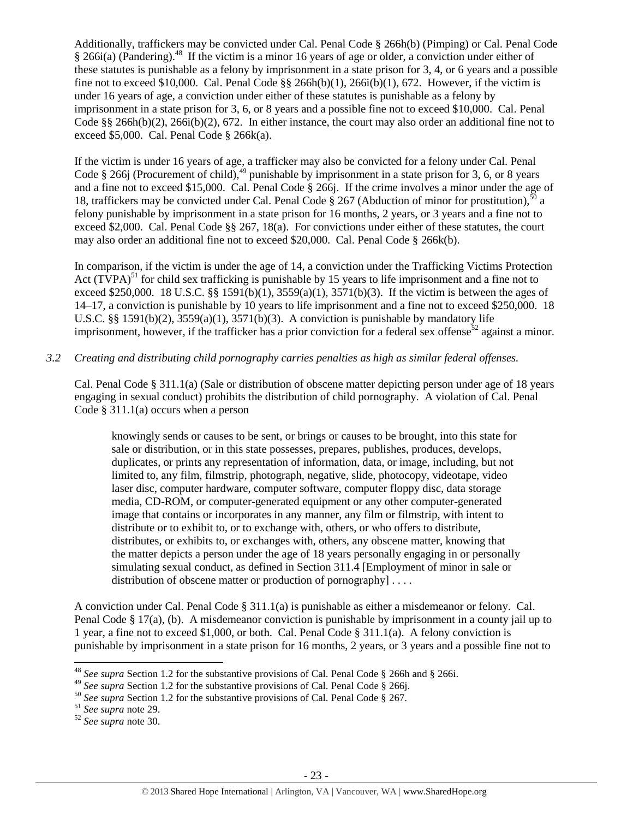Additionally, traffickers may be convicted under Cal. Penal Code § 266h(b) (Pimping) or Cal. Penal Code § 266i(a) (Pandering).<sup>48</sup> If the victim is a minor 16 years of age or older, a conviction under either of these statutes is punishable as a felony by imprisonment in a state prison for 3, 4, or 6 years and a possible fine not to exceed \$10,000. Cal. Penal Code  $\S$ § 266h(b)(1), 266i(b)(1), 672. However, if the victim is under 16 years of age, a conviction under either of these statutes is punishable as a felony by imprisonment in a state prison for 3, 6, or 8 years and a possible fine not to exceed \$10,000. Cal. Penal Code §§ 266h(b)(2), 266i(b)(2), 672. In either instance, the court may also order an additional fine not to exceed \$5,000. Cal. Penal Code § 266k(a).

If the victim is under 16 years of age, a trafficker may also be convicted for a felony under Cal. Penal Code § 266j (Procurement of child), $^{49}$  punishable by imprisonment in a state prison for 3, 6, or 8 years and a fine not to exceed \$15,000. Cal. Penal Code § 266j. If the crime involves a minor under the age of 18, traffickers may be convicted under Cal. Penal Code  $\S 267$  (Abduction of minor for prostitution),<sup>50</sup> a felony punishable by imprisonment in a state prison for 16 months, 2 years, or 3 years and a fine not to exceed \$2,000. Cal. Penal Code §§ 267, 18(a). For convictions under either of these statutes, the court may also order an additional fine not to exceed \$20,000. Cal. Penal Code § 266k(b).

In comparison, if the victim is under the age of 14, a conviction under the Trafficking Victims Protection Act  $(TVPA)^{51}$  for child sex trafficking is punishable by 15 years to life imprisonment and a fine not to exceed \$250,000. 18 U.S.C. §§ 1591(b)(1),  $3559(a)(1)$ ,  $3571(b)(3)$ . If the victim is between the ages of 14–17, a conviction is punishable by 10 years to life imprisonment and a fine not to exceed \$250,000. 18 U.S.C.  $\S$ § 1591(b)(2), 3559(a)(1), 3571(b)(3). A conviction is punishable by mandatory life imprisonment, however, if the trafficker has a prior conviction for a federal sex offense<sup>52</sup> against a minor.

# *3.2 Creating and distributing child pornography carries penalties as high as similar federal offenses.*

Cal. Penal Code § 311.1(a) (Sale or distribution of obscene matter depicting person under age of 18 years engaging in sexual conduct) prohibits the distribution of child pornography. A violation of Cal. Penal Code  $\S 311.1(a)$  occurs when a person

knowingly sends or causes to be sent, or brings or causes to be brought, into this state for sale or distribution, or in this state possesses, prepares, publishes, produces, develops, duplicates, or prints any representation of information, data, or image, including, but not limited to, any film, filmstrip, photograph, negative, slide, photocopy, videotape, video laser disc, computer hardware, computer software, computer floppy disc, data storage media, CD-ROM, or computer-generated equipment or any other computer-generated image that contains or incorporates in any manner, any film or filmstrip, with intent to distribute or to exhibit to, or to exchange with, others, or who offers to distribute, distributes, or exhibits to, or exchanges with, others, any obscene matter, knowing that the matter depicts a person under the age of 18 years personally engaging in or personally simulating sexual conduct, as defined in Section 311.4 [Employment of minor in sale or distribution of obscene matter or production of pornography  $] \ldots$ .

A conviction under Cal. Penal Code § 311.1(a) is punishable as either a misdemeanor or felony. Cal. Penal Code § 17(a), (b). A misdemeanor conviction is punishable by imprisonment in a county jail up to 1 year, a fine not to exceed \$1,000, or both. Cal. Penal Code § 311.1(a). A felony conviction is punishable by imprisonment in a state prison for 16 months, 2 years, or 3 years and a possible fine not to

<sup>48</sup> *See supra* Section 1.2 for the substantive provisions of Cal. Penal Code § 266h and § 266i.

<sup>&</sup>lt;sup>49</sup> See supra Section 1.2 for the substantive provisions of Cal. Penal Code § 266j.

<sup>50</sup> *See supra* Section 1.2 for the substantive provisions of Cal. Penal Code § 267.

<sup>51</sup> *See supra* note [29.](#page-14-0)

<sup>52</sup> *See supra* note [30.](#page-14-1)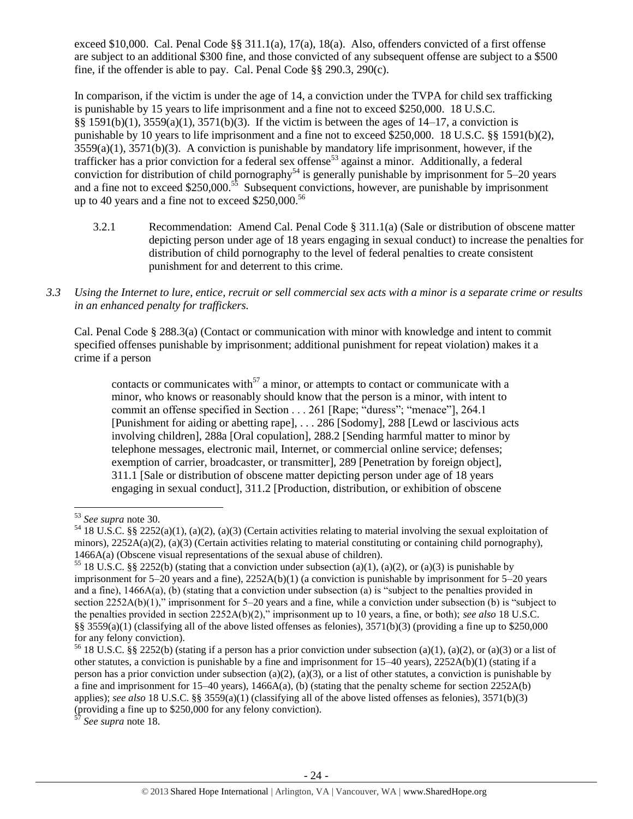exceed \$10,000. Cal. Penal Code §§ 311.1(a), 17(a), 18(a). Also, offenders convicted of a first offense are subject to an additional \$300 fine, and those convicted of any subsequent offense are subject to a \$500 fine, if the offender is able to pay. Cal. Penal Code §§ 290.3, 290(c).

In comparison, if the victim is under the age of 14, a conviction under the TVPA for child sex trafficking is punishable by 15 years to life imprisonment and a fine not to exceed \$250,000. 18 U.S.C. §§ 1591(b)(1), 3559(a)(1), 3571(b)(3). If the victim is between the ages of 14–17, a conviction is punishable by 10 years to life imprisonment and a fine not to exceed \$250,000. 18 U.S.C. §§ 1591(b)(2), 3559(a)(1), 3571(b)(3). A conviction is punishable by mandatory life imprisonment, however, if the trafficker has a prior conviction for a federal sex offense<sup>53</sup> against a minor. Additionally, a federal conviction for distribution of child pornography<sup>54</sup> is generally punishable by imprisonment for 5–20 years and a fine not to exceed \$250,000.<sup>55</sup> Subsequent convictions, however, are punishable by imprisonment up to 40 years and a fine not to exceed \$250,000.<sup>56</sup>

- 3.2.1 Recommendation: Amend Cal. Penal Code § 311.1(a) (Sale or distribution of obscene matter depicting person under age of 18 years engaging in sexual conduct) to increase the penalties for distribution of child pornography to the level of federal penalties to create consistent punishment for and deterrent to this crime.
- *3.3 Using the Internet to lure, entice, recruit or sell commercial sex acts with a minor is a separate crime or results in an enhanced penalty for traffickers.*

Cal. Penal Code § 288.3(a) (Contact or communication with minor with knowledge and intent to commit specified offenses punishable by imprisonment; additional punishment for repeat violation) makes it a crime if a person

contacts or communicates with<sup>57</sup> a minor, or attempts to contact or communicate with a minor, who knows or reasonably should know that the person is a minor, with intent to commit an offense specified in Section . . . 261 [Rape; "duress"; "menace"], 264.1 [Punishment for aiding or abetting rape], . . . 286 [Sodomy], 288 [Lewd or lascivious acts involving children], 288a [Oral copulation], 288.2 [Sending harmful matter to minor by telephone messages, electronic mail, Internet, or commercial online service; defenses; exemption of carrier, broadcaster, or transmitter], 289 [Penetration by foreign object], 311.1 [Sale or distribution of obscene matter depicting person under age of 18 years engaging in sexual conduct], 311.2 [Production, distribution, or exhibition of obscene

 $\overline{\phantom{a}}$ <sup>53</sup> *See supra* note [30.](#page-14-1)

 $54$  18 U.S.C. §§ 2252(a)(1), (a)(2), (a)(3) (Certain activities relating to material involving the sexual exploitation of minors),  $2252A(a)(2)$ ,  $(a)(3)$  (Certain activities relating to material constituting or containing child pornography), 1466A(a) (Obscene visual representations of the sexual abuse of children).

<sup>&</sup>lt;sup>55</sup> 18 U.S.C. §§ 2252(b) (stating that a conviction under subsection (a)(1), (a)(2), or (a)(3) is punishable by imprisonment for  $5-20$  years and a fine),  $2252A(b)(1)$  (a conviction is punishable by imprisonment for  $5-20$  years and a fine), 1466A(a), (b) (stating that a conviction under subsection (a) is "subject to the penalties provided in section 2252A(b)(1)," imprisonment for 5–20 years and a fine, while a conviction under subsection (b) is "subject to the penalties provided in section 2252A(b)(2)," imprisonment up to 10 years, a fine, or both); *see also* 18 U.S.C. §§ 3559(a)(1) (classifying all of the above listed offenses as felonies), 3571(b)(3) (providing a fine up to \$250,000 for any felony conviction).

<sup>&</sup>lt;sup>56</sup> 18 U.S.C. §§ 2252(b) (stating if a person has a prior conviction under subsection (a)(1), (a)(2), or (a)(3) or a list of other statutes, a conviction is punishable by a fine and imprisonment for 15–40 years), 2252A(b)(1) (stating if a person has a prior conviction under subsection (a)(2), (a)(3), or a list of other statutes, a conviction is punishable by a fine and imprisonment for 15–40 years), 1466A(a), (b) (stating that the penalty scheme for section 2252A(b) applies); *see also* 18 U.S.C. §§ 3559(a)(1) (classifying all of the above listed offenses as felonies), 3571(b)(3) (providing a fine up to \$250,000 for any felony conviction).

See supra note [18.](#page-8-0)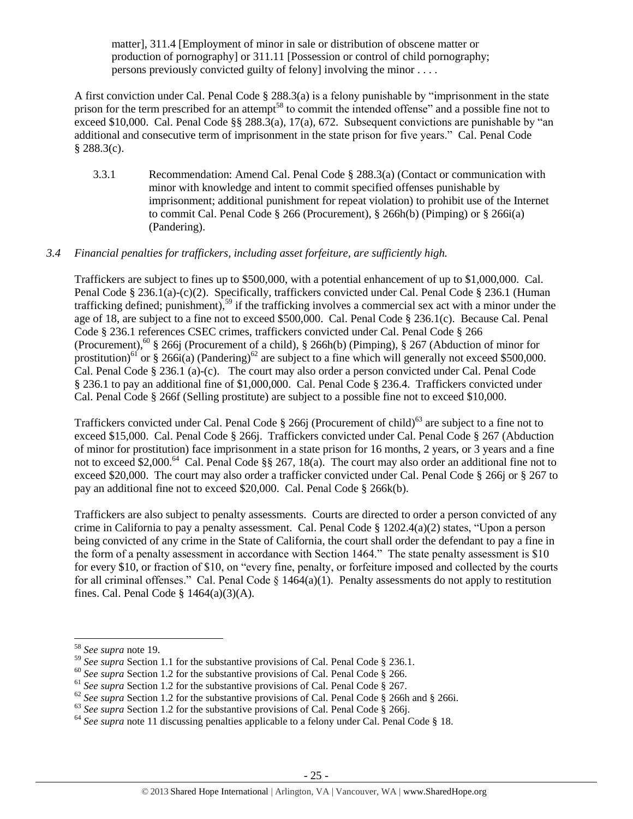matter], 311.4 [Employment of minor in sale or distribution of obscene matter or production of pornography] or 311.11 [Possession or control of child pornography; persons previously convicted guilty of felony] involving the minor . . . .

A first conviction under Cal. Penal Code § 288.3(a) is a felony punishable by "imprisonment in the state prison for the term prescribed for an attempt<sup>58</sup> to commit the intended offense" and a possible fine not to exceed \$10,000. Cal. Penal Code  $\S$ § 288.3(a), 17(a), 672. Subsequent convictions are punishable by "an additional and consecutive term of imprisonment in the state prison for five years." Cal. Penal Code  $§$  288.3(c).

3.3.1 Recommendation: Amend Cal. Penal Code § 288.3(a) (Contact or communication with minor with knowledge and intent to commit specified offenses punishable by imprisonment; additional punishment for repeat violation) to prohibit use of the Internet to commit Cal. Penal Code § 266 (Procurement), § 266h(b) (Pimping) or § 266i(a) (Pandering).

# *3.4 Financial penalties for traffickers, including asset forfeiture, are sufficiently high.*

Traffickers are subject to fines up to \$500,000, with a potential enhancement of up to \$1,000,000. Cal. Penal Code § 236.1(a)-(c)(2). Specifically, traffickers convicted under Cal. Penal Code § 236.1 (Human trafficking defined; punishment),<sup>59</sup> if the trafficking involves a commercial sex act with a minor under the age of 18, are subject to a fine not to exceed \$500,000. Cal. Penal Code § 236.1(c). Because Cal. Penal Code § 236.1 references CSEC crimes, traffickers convicted under Cal. Penal Code § 266 (Procurement), <sup>60</sup> § 266j (Procurement of a child), § 266h(b) (Pimping), § 267 (Abduction of minor for prostitution)<sup>61</sup> or § 266i(a) (Pandering)<sup>62</sup> are subject to a fine which will generally not exceed \$500,000. Cal. Penal Code § 236.1 (a)-(c). The court may also order a person convicted under Cal. Penal Code § 236.1 to pay an additional fine of \$1,000,000. Cal. Penal Code § 236.4. Traffickers convicted under Cal. Penal Code § 266f (Selling prostitute) are subject to a possible fine not to exceed \$10,000.

Traffickers convicted under Cal. Penal Code § 266j (Procurement of child)<sup>63</sup> are subject to a fine not to exceed \$15,000. Cal. Penal Code § 266j. Traffickers convicted under Cal. Penal Code § 267 (Abduction of minor for prostitution) face imprisonment in a state prison for 16 months, 2 years, or 3 years and a fine not to exceed \$2,000.<sup>64</sup> Cal. Penal Code §§ 267, 18(a). The court may also order an additional fine not to exceed \$20,000. The court may also order a trafficker convicted under Cal. Penal Code § 266j or § 267 to pay an additional fine not to exceed \$20,000. Cal. Penal Code § 266k(b).

Traffickers are also subject to penalty assessments. Courts are directed to order a person convicted of any crime in California to pay a penalty assessment. Cal. Penal Code § 1202.4(a)(2) states, "Upon a person being convicted of any crime in the State of California, the court shall order the defendant to pay a fine in the form of a penalty assessment in accordance with Section 1464." The state penalty assessment is \$10 for every \$10, or fraction of \$10, on "every fine, penalty, or forfeiture imposed and collected by the courts for all criminal offenses." Cal. Penal Code  $\S$  1464(a)(1). Penalty assessments do not apply to restitution fines. Cal. Penal Code  $\S$  1464(a)(3)(A).

 $\overline{a}$ 

<sup>58</sup> *See supra* note [19.](#page-8-1) 

<sup>59</sup> *See supra* Section 1.1 for the substantive provisions of Cal. Penal Code § 236.1.

<sup>&</sup>lt;sup>60</sup> See supra Section 1.2 for the substantive provisions of Cal. Penal Code § 266.

<sup>61</sup> *See supra* Section 1.2 for the substantive provisions of Cal. Penal Code § 267.

<sup>&</sup>lt;sup>62</sup> See supra Section 1.2 for the substantive provisions of Cal. Penal Code § 266h and § 266i.

<sup>&</sup>lt;sup>63</sup> See supra Section 1.2 for the substantive provisions of Cal. Penal Code § 266j.

<sup>&</sup>lt;sup>64</sup> See supra note [11](#page-3-0) discussing penalties applicable to a felony under Cal. Penal Code § 18.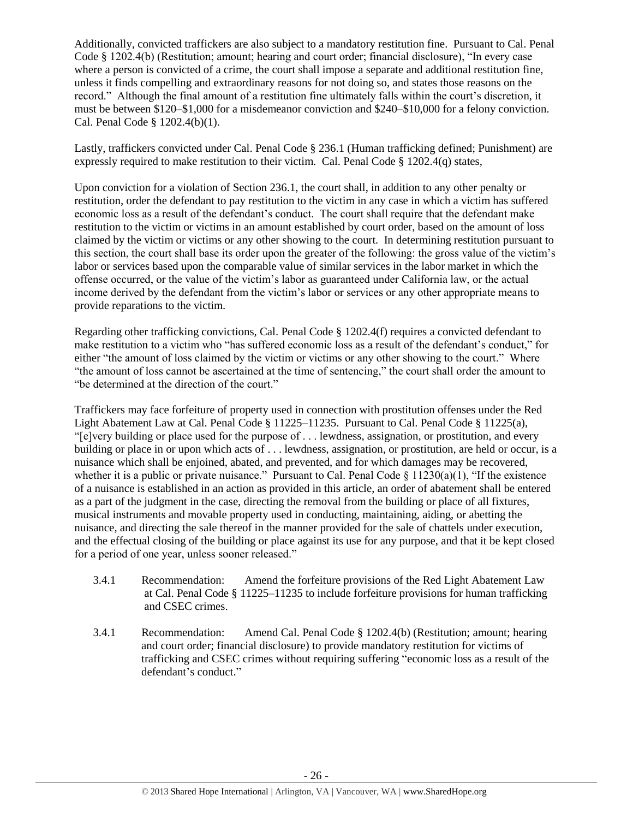Additionally, convicted traffickers are also subject to a mandatory restitution fine. Pursuant to Cal. Penal Code § 1202.4(b) (Restitution; amount; hearing and court order; financial disclosure), "In every case where a person is convicted of a crime, the court shall impose a separate and additional restitution fine, unless it finds compelling and extraordinary reasons for not doing so, and states those reasons on the record." Although the final amount of a restitution fine ultimately falls within the court's discretion, it must be between \$120–\$1,000 for a misdemeanor conviction and \$240–\$10,000 for a felony conviction. Cal. Penal Code § 1202.4(b)(1).

Lastly, traffickers convicted under Cal. Penal Code § 236.1 (Human trafficking defined; Punishment) are expressly required to make restitution to their victim. Cal. Penal Code § 1202.4(q) states,

Upon conviction for a violation of Section 236.1, the court shall, in addition to any other penalty or restitution, order the defendant to pay restitution to the victim in any case in which a victim has suffered economic loss as a result of the defendant's conduct. The court shall require that the defendant make restitution to the victim or victims in an amount established by court order, based on the amount of loss claimed by the victim or victims or any other showing to the court. In determining restitution pursuant to this section, the court shall base its order upon the greater of the following: the gross value of the victim's labor or services based upon the comparable value of similar services in the labor market in which the offense occurred, or the value of the victim's labor as guaranteed under California law, or the actual income derived by the defendant from the victim's labor or services or any other appropriate means to provide reparations to the victim.

Regarding other trafficking convictions, Cal. Penal Code § 1202.4(f) requires a convicted defendant to make restitution to a victim who "has suffered economic loss as a result of the defendant's conduct," for either "the amount of loss claimed by the victim or victims or any other showing to the court." Where "the amount of loss cannot be ascertained at the time of sentencing," the court shall order the amount to "be determined at the direction of the court."

Traffickers may face forfeiture of property used in connection with prostitution offenses under the Red Light Abatement Law at Cal. Penal Code § 11225–11235. Pursuant to Cal. Penal Code § 11225(a), "[e]very building or place used for the purpose of . . . lewdness, assignation, or prostitution, and every building or place in or upon which acts of . . . lewdness, assignation, or prostitution, are held or occur, is a nuisance which shall be enjoined, abated, and prevented, and for which damages may be recovered, whether it is a public or private nuisance." Pursuant to Cal. Penal Code  $\S 11230(a)(1)$ , "If the existence of a nuisance is established in an action as provided in this article, an order of abatement shall be entered as a part of the judgment in the case, directing the removal from the building or place of all fixtures, musical instruments and movable property used in conducting, maintaining, aiding, or abetting the nuisance, and directing the sale thereof in the manner provided for the sale of chattels under execution, and the effectual closing of the building or place against its use for any purpose, and that it be kept closed for a period of one year, unless sooner released."

- 3.4.1 Recommendation: Amend the forfeiture provisions of the Red Light Abatement Law at Cal. Penal Code § 11225–11235 to include forfeiture provisions for human trafficking and CSEC crimes.
- 3.4.1 Recommendation: Amend Cal. Penal Code § 1202.4(b) (Restitution; amount; hearing and court order; financial disclosure) to provide mandatory restitution for victims of trafficking and CSEC crimes without requiring suffering "economic loss as a result of the defendant's conduct."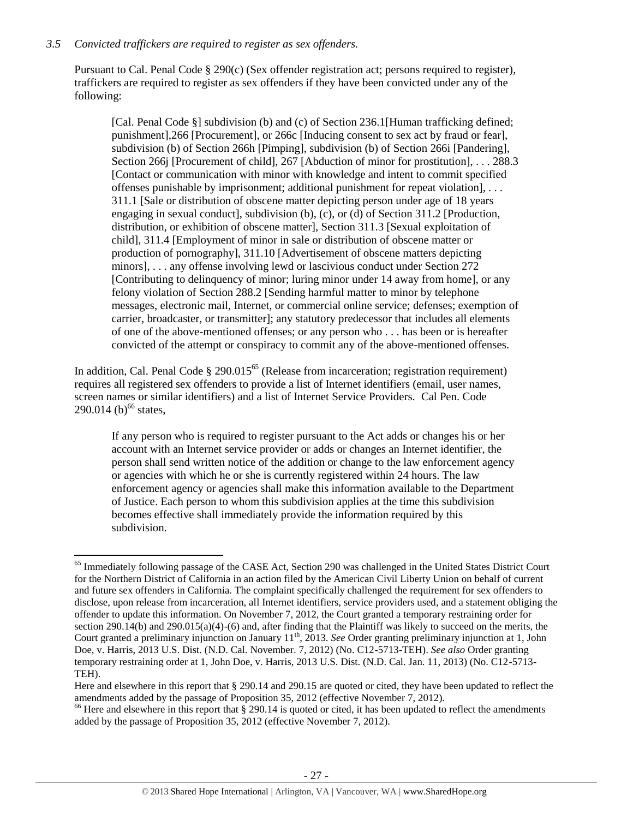# *3.5 Convicted traffickers are required to register as sex offenders.*

Pursuant to Cal. Penal Code § 290(c) (Sex offender registration act; persons required to register), traffickers are required to register as sex offenders if they have been convicted under any of the following:

[Cal. Penal Code §] subdivision (b) and (c) of Section 236.1[Human trafficking defined; punishment],266 [Procurement], or 266c [Inducing consent to sex act by fraud or fear], subdivision (b) of Section 266h [Pimping], subdivision (b) of Section 266i [Pandering], Section 266j [Procurement of child], 267 [Abduction of minor for prostitution], ... 288.3 [Contact or communication with minor with knowledge and intent to commit specified offenses punishable by imprisonment; additional punishment for repeat violation], . . . 311.1 [Sale or distribution of obscene matter depicting person under age of 18 years engaging in sexual conduct], subdivision (b), (c), or (d) of Section 311.2 [Production, distribution, or exhibition of obscene matter], Section 311.3 [Sexual exploitation of child], 311.4 [Employment of minor in sale or distribution of obscene matter or production of pornography], 311.10 [Advertisement of obscene matters depicting minors], . . . any offense involving lewd or lascivious conduct under Section 272 [Contributing to delinquency of minor; luring minor under 14 away from home], or any felony violation of Section 288.2 [Sending harmful matter to minor by telephone messages, electronic mail, Internet, or commercial online service; defenses; exemption of carrier, broadcaster, or transmitter]; any statutory predecessor that includes all elements of one of the above-mentioned offenses; or any person who . . . has been or is hereafter convicted of the attempt or conspiracy to commit any of the above-mentioned offenses.

In addition, Cal. Penal Code § 290.015<sup>65</sup> (Release from incarceration; registration requirement) requires all registered sex offenders to provide a list of Internet identifiers (email, user names, screen names or similar identifiers) and a list of Internet Service Providers. Cal Pen. Code 290.014 (b)<sup>66</sup> states,

If any person who is required to register pursuant to the Act adds or changes his or her account with an Internet service provider or adds or changes an Internet identifier, the person shall send written notice of the addition or change to the law enforcement agency or agencies with which he or she is currently registered within 24 hours. The law enforcement agency or agencies shall make this information available to the Department of Justice. Each person to whom this subdivision applies at the time this subdivision becomes effective shall immediately provide the information required by this subdivision.

 $\overline{\phantom{a}}$ <sup>65</sup> Immediately following passage of the CASE Act, Section 290 was challenged in the United States District Court for the Northern District of California in an action filed by the American Civil Liberty Union on behalf of current and future sex offenders in California. The complaint specifically challenged the requirement for sex offenders to disclose, upon release from incarceration, all Internet identifiers, service providers used, and a statement obliging the offender to update this information. On November 7, 2012, the Court granted a temporary restraining order for section 290.14(b) and 290.015(a)(4)-(6) and, after finding that the Plaintiff was likely to succeed on the merits, the Court granted a preliminary injunction on January 11<sup>th</sup>, 2013. *See* Order granting preliminary injunction at 1, John Doe, v. Harris, 2013 U.S. Dist. (N.D. Cal. November. 7, 2012) (No. C12-5713-TEH). *See also* Order granting temporary restraining order at 1, John Doe, v. Harris, 2013 U.S. Dist. (N.D. Cal. Jan. 11, 2013) (No. C12-5713- TEH).

Here and elsewhere in this report that § 290.14 and 290.15 are quoted or cited, they have been updated to reflect the amendments added by the passage of Proposition 35, 2012 (effective November 7, 2012).

 $66$  Here and elsewhere in this report that  $\S$  290.14 is quoted or cited, it has been updated to reflect the amendments added by the passage of Proposition 35, 2012 (effective November 7, 2012).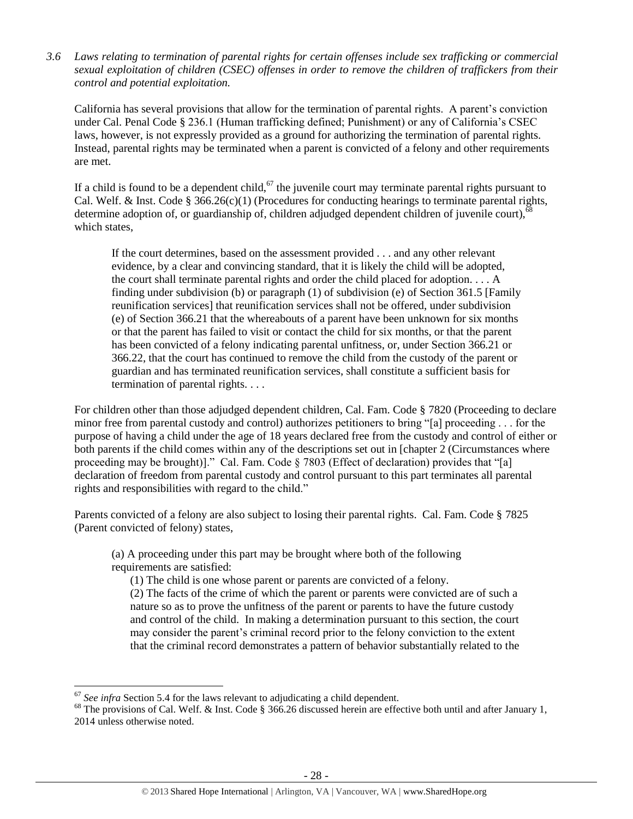*3.6 Laws relating to termination of parental rights for certain offenses include sex trafficking or commercial sexual exploitation of children (CSEC) offenses in order to remove the children of traffickers from their control and potential exploitation.* 

California has several provisions that allow for the termination of parental rights. A parent's conviction under Cal. Penal Code § 236.1 (Human trafficking defined; Punishment) or any of California's CSEC laws, however, is not expressly provided as a ground for authorizing the termination of parental rights. Instead, parental rights may be terminated when a parent is convicted of a felony and other requirements are met.

If a child is found to be a dependent child,<sup>67</sup> the juvenile court may terminate parental rights pursuant to Cal. Welf. & Inst. Code § 366.26(c)(1) (Procedures for conducting hearings to terminate parental rights, determine adoption of, or guardianship of, children adjudged dependent children of juvenile court),<sup>61</sup> which states,

If the court determines, based on the assessment provided . . . and any other relevant evidence, by a clear and convincing standard, that it is likely the child will be adopted, the court shall terminate parental rights and order the child placed for adoption. . . . A finding under subdivision (b) or paragraph (1) of subdivision (e) of Section 361.5 [Family reunification services] that reunification services shall not be offered, under subdivision (e) of Section 366.21 that the whereabouts of a parent have been unknown for six months or that the parent has failed to visit or contact the child for six months, or that the parent has been convicted of a felony indicating parental unfitness, or, under Section 366.21 or 366.22, that the court has continued to remove the child from the custody of the parent or guardian and has terminated reunification services, shall constitute a sufficient basis for termination of parental rights. . . .

For children other than those adjudged dependent children, Cal. Fam. Code § 7820 (Proceeding to declare minor free from parental custody and control) authorizes petitioners to bring "[a] proceeding . . . for the purpose of having a child under the age of 18 years declared free from the custody and control of either or both parents if the child comes within any of the descriptions set out in [chapter 2 (Circumstances where proceeding may be brought)]." Cal. Fam. Code  $\S$  7803 (Effect of declaration) provides that "[a] declaration of freedom from parental custody and control pursuant to this part terminates all parental rights and responsibilities with regard to the child."

Parents convicted of a felony are also subject to losing their parental rights. Cal. Fam. Code § 7825 (Parent convicted of felony) states,

(a) A proceeding under this part may be brought where both of the following requirements are satisfied:

(1) The child is one whose parent or parents are convicted of a felony.

(2) The facts of the crime of which the parent or parents were convicted are of such a nature so as to prove the unfitness of the parent or parents to have the future custody and control of the child. In making a determination pursuant to this section, the court may consider the parent's criminal record prior to the felony conviction to the extent that the criminal record demonstrates a pattern of behavior substantially related to the

<sup>&</sup>lt;sup>67</sup> See infra Section 5.4 for the laws relevant to adjudicating a child dependent.

 $^{68}$  The provisions of Cal. Welf. & Inst. Code § 366.26 discussed herein are effective both until and after January 1, 2014 unless otherwise noted.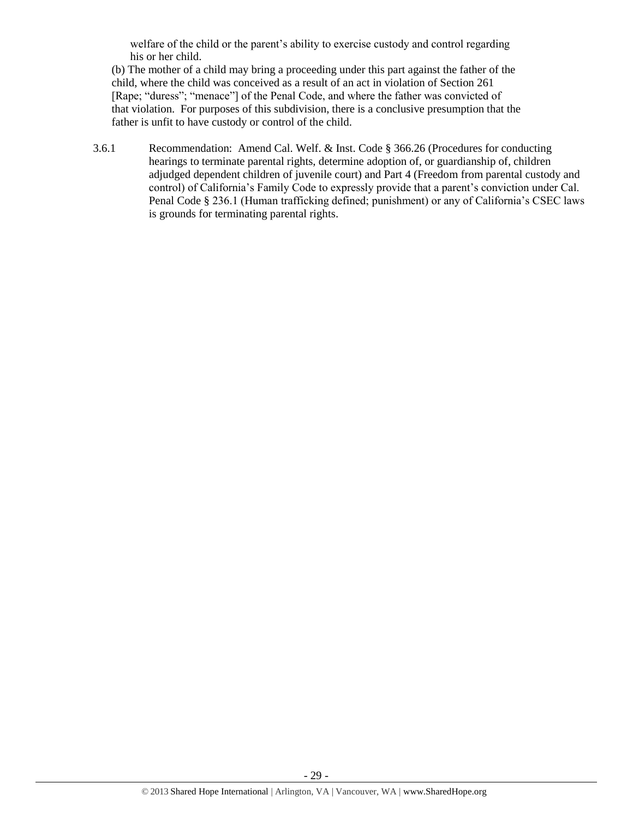welfare of the child or the parent's ability to exercise custody and control regarding his or her child.

(b) The mother of a child may bring a proceeding under this part against the father of the child, where the child was conceived as a result of an act in violation of Section 261 [Rape; "duress"; "menace"] of the Penal Code, and where the father was convicted of that violation. For purposes of this subdivision, there is a conclusive presumption that the father is unfit to have custody or control of the child.

3.6.1 Recommendation: Amend Cal. Welf. & Inst. Code § 366.26 (Procedures for conducting hearings to terminate parental rights, determine adoption of, or guardianship of, children adjudged dependent children of juvenile court) and Part 4 (Freedom from parental custody and control) of California's Family Code to expressly provide that a parent's conviction under Cal. Penal Code § 236.1 (Human trafficking defined; punishment) or any of California's CSEC laws is grounds for terminating parental rights.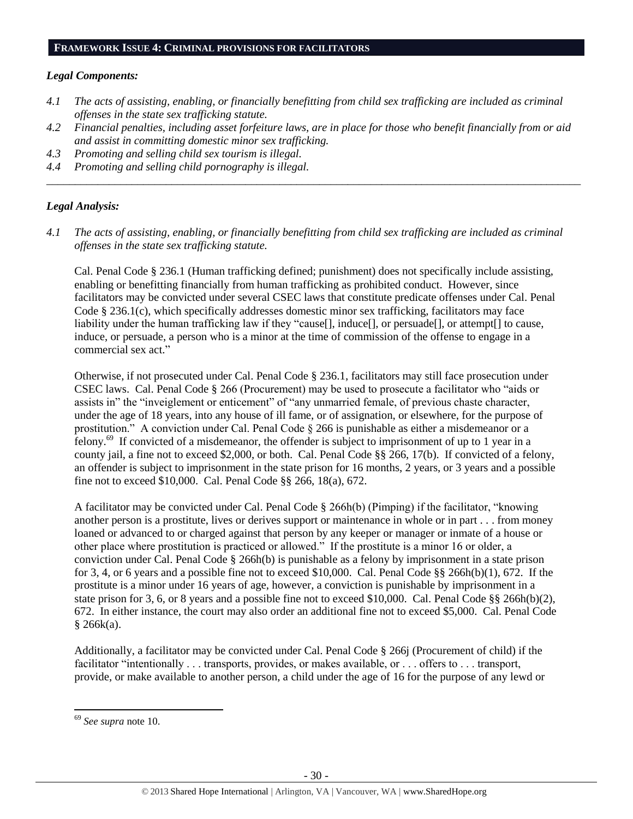#### **FRAMEWORK ISSUE 4: CRIMINAL PROVISIONS FOR FACILITATORS**

### *Legal Components:*

- *4.1 The acts of assisting, enabling, or financially benefitting from child sex trafficking are included as criminal offenses in the state sex trafficking statute.*
- *4.2 Financial penalties, including asset forfeiture laws, are in place for those who benefit financially from or aid and assist in committing domestic minor sex trafficking.*

*\_\_\_\_\_\_\_\_\_\_\_\_\_\_\_\_\_\_\_\_\_\_\_\_\_\_\_\_\_\_\_\_\_\_\_\_\_\_\_\_\_\_\_\_\_\_\_\_\_\_\_\_\_\_\_\_\_\_\_\_\_\_\_\_\_\_\_\_\_\_\_\_\_\_\_\_\_\_\_\_\_\_\_\_\_\_\_\_\_\_\_\_\_\_*

- *4.3 Promoting and selling child sex tourism is illegal.*
- *4.4 Promoting and selling child pornography is illegal.*

### *Legal Analysis:*

*4.1 The acts of assisting, enabling, or financially benefitting from child sex trafficking are included as criminal offenses in the state sex trafficking statute.*

Cal. Penal Code § 236.1 (Human trafficking defined; punishment) does not specifically include assisting, enabling or benefitting financially from human trafficking as prohibited conduct. However, since facilitators may be convicted under several CSEC laws that constitute predicate offenses under Cal. Penal Code § 236.1(c), which specifically addresses domestic minor sex trafficking, facilitators may face liability under the human trafficking law if they "cause[], induce[], or persuade[], or attempt[] to cause, induce, or persuade, a person who is a minor at the time of commission of the offense to engage in a commercial sex act."

Otherwise, if not prosecuted under Cal. Penal Code § 236.1, facilitators may still face prosecution under CSEC laws. Cal. Penal Code § 266 (Procurement) may be used to prosecute a facilitator who "aids or assists in" the "inveiglement or enticement" of "any unmarried female, of previous chaste character, under the age of 18 years, into any house of ill fame, or of assignation, or elsewhere, for the purpose of prostitution." A conviction under Cal. Penal Code § 266 is punishable as either a misdemeanor or a felony.<sup>69</sup> If convicted of a misdemeanor, the offender is subject to imprisonment of up to 1 year in a county jail, a fine not to exceed \$2,000, or both. Cal. Penal Code §§ 266, 17(b). If convicted of a felony, an offender is subject to imprisonment in the state prison for 16 months, 2 years, or 3 years and a possible fine not to exceed \$10,000. Cal. Penal Code §§ 266, 18(a), 672.

A facilitator may be convicted under Cal. Penal Code § 266h(b) (Pimping) if the facilitator, "knowing another person is a prostitute, lives or derives support or maintenance in whole or in part . . . from money loaned or advanced to or charged against that person by any keeper or manager or inmate of a house or other place where prostitution is practiced or allowed." If the prostitute is a minor 16 or older, a conviction under Cal. Penal Code § 266h(b) is punishable as a felony by imprisonment in a state prison for 3, 4, or 6 years and a possible fine not to exceed \$10,000. Cal. Penal Code  $\S$ § 266h(b)(1), 672. If the prostitute is a minor under 16 years of age, however, a conviction is punishable by imprisonment in a state prison for 3, 6, or 8 years and a possible fine not to exceed \$10,000. Cal. Penal Code §§ 266h(b)(2), 672. In either instance, the court may also order an additional fine not to exceed \$5,000. Cal. Penal Code  $§ 266k(a).$ 

Additionally, a facilitator may be convicted under Cal. Penal Code § 266j (Procurement of child) if the facilitator "intentionally . . . transports, provides, or makes available, or . . . offers to . . . transport, provide, or make available to another person, a child under the age of 16 for the purpose of any lewd or

 $\overline{a}$ 

<sup>69</sup> *See supra* note [10.](#page-2-0)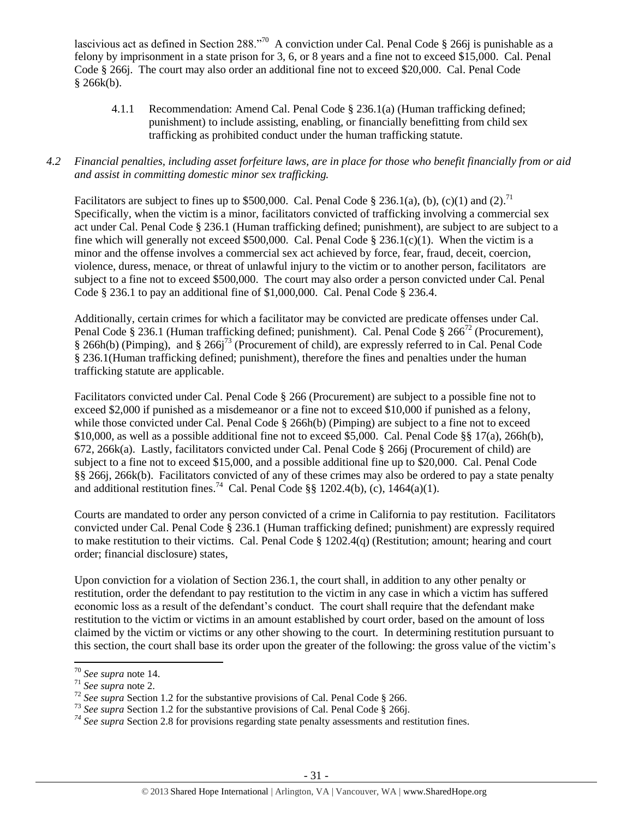lascivious act as defined in Section 288."<sup>70</sup> A conviction under Cal. Penal Code § 266j is punishable as a felony by imprisonment in a state prison for 3, 6, or 8 years and a fine not to exceed \$15,000. Cal. Penal Code § 266j. The court may also order an additional fine not to exceed \$20,000. Cal. Penal Code  $§ 266k(b).$ 

4.1.1 Recommendation: Amend Cal. Penal Code § 236.1(a) (Human trafficking defined; punishment) to include assisting, enabling, or financially benefitting from child sex trafficking as prohibited conduct under the human trafficking statute.

# *4.2 Financial penalties, including asset forfeiture laws, are in place for those who benefit financially from or aid and assist in committing domestic minor sex trafficking.*

Facilitators are subject to fines up to \$500,000. Cal. Penal Code § 236.1(a), (b), (c)(1) and (2).<sup>71</sup> Specifically, when the victim is a minor, facilitators convicted of trafficking involving a commercial sex act under Cal. Penal Code § 236.1 (Human trafficking defined; punishment), are subject to are subject to a fine which will generally not exceed \$500,000. Cal. Penal Code § 236.1(c)(1). When the victim is a minor and the offense involves a commercial sex act achieved by force, fear, fraud, deceit, coercion, violence, duress, menace, or threat of unlawful injury to the victim or to another person, facilitators are subject to a fine not to exceed \$500,000. The court may also order a person convicted under Cal. Penal Code § 236.1 to pay an additional fine of \$1,000,000. Cal. Penal Code § 236.4.

Additionally, certain crimes for which a facilitator may be convicted are predicate offenses under Cal. Penal Code § 236.1 (Human trafficking defined; punishment). Cal. Penal Code § 266<sup>72</sup> (Procurement), § 266h(b) (Pimping), and § 266j<sup>73</sup> (Procurement of child), are expressly referred to in Cal. Penal Code § 236.1(Human trafficking defined; punishment), therefore the fines and penalties under the human trafficking statute are applicable.

Facilitators convicted under Cal. Penal Code § 266 (Procurement) are subject to a possible fine not to exceed \$2,000 if punished as a misdemeanor or a fine not to exceed \$10,000 if punished as a felony, while those convicted under Cal. Penal Code § 266h(b) (Pimping) are subject to a fine not to exceed \$10,000, as well as a possible additional fine not to exceed \$5,000. Cal. Penal Code §§ 17(a), 266h(b), 672, 266k(a). Lastly, facilitators convicted under Cal. Penal Code § 266j (Procurement of child) are subject to a fine not to exceed \$15,000, and a possible additional fine up to \$20,000. Cal. Penal Code §§ 266j, 266k(b). Facilitators convicted of any of these crimes may also be ordered to pay a state penalty and additional restitution fines.<sup>74</sup> Cal. Penal Code §§ 1202.4(b), (c), 1464(a)(1).

Courts are mandated to order any person convicted of a crime in California to pay restitution. Facilitators convicted under Cal. Penal Code § 236.1 (Human trafficking defined; punishment) are expressly required to make restitution to their victims. Cal. Penal Code § 1202.4(q) (Restitution; amount; hearing and court order; financial disclosure) states,

Upon conviction for a violation of Section 236.1, the court shall, in addition to any other penalty or restitution, order the defendant to pay restitution to the victim in any case in which a victim has suffered economic loss as a result of the defendant's conduct. The court shall require that the defendant make restitution to the victim or victims in an amount established by court order, based on the amount of loss claimed by the victim or victims or any other showing to the court. In determining restitution pursuant to this section, the court shall base its order upon the greater of the following: the gross value of the victim's

<sup>70</sup> *See supra* note [14.](#page-5-0) 

<sup>71</sup> *See supra* note [2.](#page-0-0)

<sup>72</sup> *See supra* Section 1.2 for the substantive provisions of Cal. Penal Code § 266.

<sup>&</sup>lt;sup>73</sup> See supra Section 1.2 for the substantive provisions of Cal. Penal Code § 266j.

*<sup>74</sup> See supra* Section 2.8 for provisions regarding state penalty assessments and restitution fines.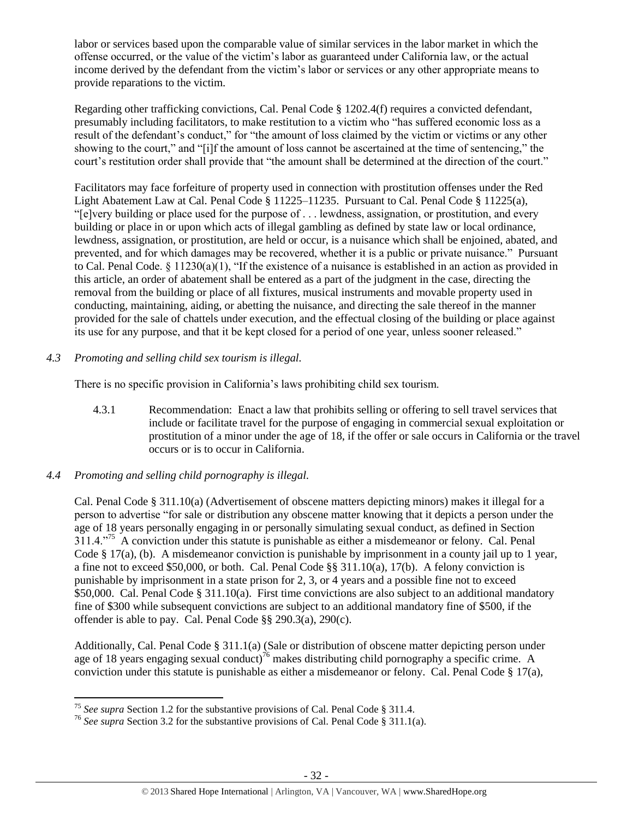labor or services based upon the comparable value of similar services in the labor market in which the offense occurred, or the value of the victim's labor as guaranteed under California law, or the actual income derived by the defendant from the victim's labor or services or any other appropriate means to provide reparations to the victim.

Regarding other trafficking convictions, Cal. Penal Code § 1202.4(f) requires a convicted defendant, presumably including facilitators, to make restitution to a victim who "has suffered economic loss as a result of the defendant's conduct," for "the amount of loss claimed by the victim or victims or any other showing to the court," and "[i]f the amount of loss cannot be ascertained at the time of sentencing," the court's restitution order shall provide that "the amount shall be determined at the direction of the court."

Facilitators may face forfeiture of property used in connection with prostitution offenses under the Red Light Abatement Law at Cal. Penal Code § 11225–11235. Pursuant to Cal. Penal Code § 11225(a), "[e]very building or place used for the purpose of . . . lewdness, assignation, or prostitution, and every building or place in or upon which acts of illegal gambling as defined by state law or local ordinance, lewdness, assignation, or prostitution, are held or occur, is a nuisance which shall be enjoined, abated, and prevented, and for which damages may be recovered, whether it is a public or private nuisance." Pursuant to Cal. Penal Code. § 11230(a)(1), "If the existence of a nuisance is established in an action as provided in this article, an order of abatement shall be entered as a part of the judgment in the case, directing the removal from the building or place of all fixtures, musical instruments and movable property used in conducting, maintaining, aiding, or abetting the nuisance, and directing the sale thereof in the manner provided for the sale of chattels under execution, and the effectual closing of the building or place against its use for any purpose, and that it be kept closed for a period of one year, unless sooner released."

# *4.3 Promoting and selling child sex tourism is illegal.*

There is no specific provision in California's laws prohibiting child sex tourism.

4.3.1 Recommendation: Enact a law that prohibits selling or offering to sell travel services that include or facilitate travel for the purpose of engaging in commercial sexual exploitation or prostitution of a minor under the age of 18, if the offer or sale occurs in California or the travel occurs or is to occur in California.

# *4.4 Promoting and selling child pornography is illegal.*

Cal. Penal Code § 311.10(a) (Advertisement of obscene matters depicting minors) makes it illegal for a person to advertise "for sale or distribution any obscene matter knowing that it depicts a person under the age of 18 years personally engaging in or personally simulating sexual conduct, as defined in Section 311.4."<sup>75</sup> A conviction under this statute is punishable as either a misdemeanor or felony. Cal. Penal Code § 17(a), (b). A misdemeanor conviction is punishable by imprisonment in a county jail up to 1 year, a fine not to exceed \$50,000, or both. Cal. Penal Code §§ 311.10(a), 17(b). A felony conviction is punishable by imprisonment in a state prison for 2, 3, or 4 years and a possible fine not to exceed \$50,000. Cal. Penal Code § 311.10(a). First time convictions are also subject to an additional mandatory fine of \$300 while subsequent convictions are subject to an additional mandatory fine of \$500, if the offender is able to pay. Cal. Penal Code §§ 290.3(a), 290(c).

Additionally, Cal. Penal Code § 311.1(a) (Sale or distribution of obscene matter depicting person under age of 18 years engaging sexual conduct)<sup>76</sup> makes distributing child pornography a specific crime. A conviction under this statute is punishable as either a misdemeanor or felony. Cal. Penal Code § 17(a),

l <sup>75</sup> *See supra* Section 1.2 for the substantive provisions of Cal. Penal Code § 311.4.

<sup>76</sup> *See supra* Section 3.2 for the substantive provisions of Cal. Penal Code § 311.1(a).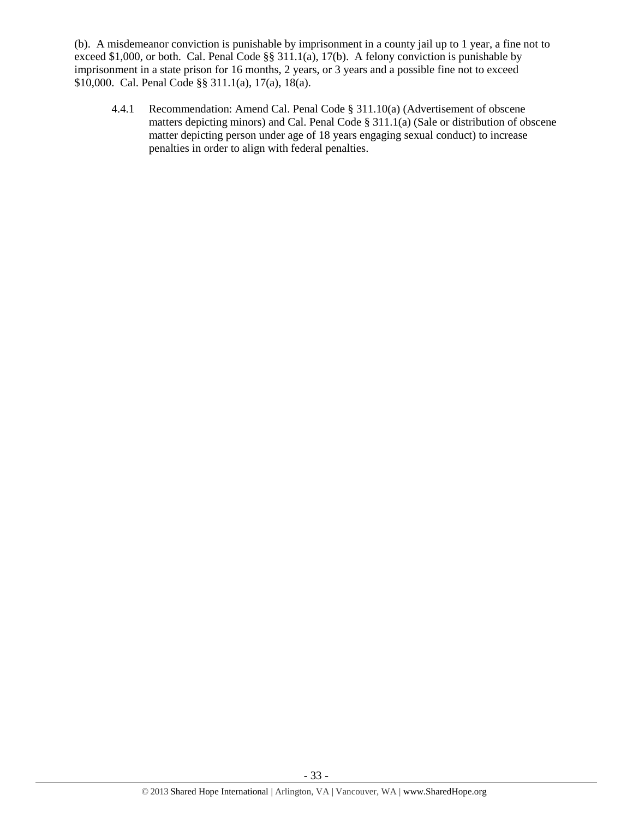(b). A misdemeanor conviction is punishable by imprisonment in a county jail up to 1 year, a fine not to exceed \$1,000, or both. Cal. Penal Code §§ 311.1(a), 17(b). A felony conviction is punishable by imprisonment in a state prison for 16 months, 2 years, or 3 years and a possible fine not to exceed \$10,000. Cal. Penal Code §§ 311.1(a), 17(a), 18(a).

4.4.1 Recommendation: Amend Cal. Penal Code § 311.10(a) (Advertisement of obscene matters depicting minors) and Cal. Penal Code § 311.1(a) (Sale or distribution of obscene matter depicting person under age of 18 years engaging sexual conduct) to increase penalties in order to align with federal penalties.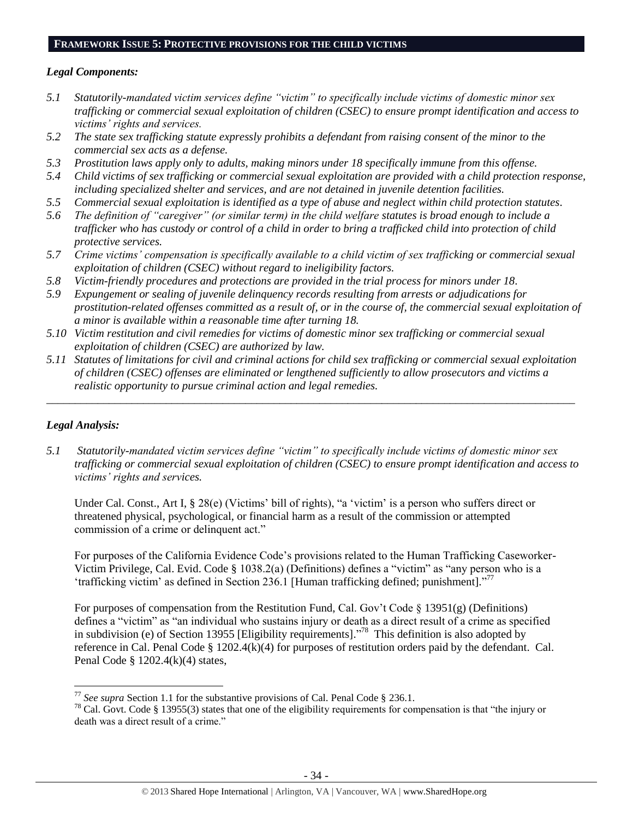### **FRAMEWORK ISSUE 5: PROTECTIVE PROVISIONS FOR THE CHILD VICTIMS**

# *Legal Components:*

- *5.1 Statutorily-mandated victim services define "victim" to specifically include victims of domestic minor sex trafficking or commercial sexual exploitation of children (CSEC) to ensure prompt identification and access to victims' rights and services.*
- *5.2 The state sex trafficking statute expressly prohibits a defendant from raising consent of the minor to the commercial sex acts as a defense.*
- *5.3 Prostitution laws apply only to adults, making minors under 18 specifically immune from this offense.*
- *5.4 Child victims of sex trafficking or commercial sexual exploitation are provided with a child protection response, including specialized shelter and services, and are not detained in juvenile detention facilities.*
- *5.5 Commercial sexual exploitation is identified as a type of abuse and neglect within child protection statutes.*
- *5.6 The definition of "caregiver" (or similar term) in the child welfare statutes is broad enough to include a trafficker who has custody or control of a child in order to bring a trafficked child into protection of child protective services.*
- *5.7 Crime victims' compensation is specifically available to a child victim of sex trafficking or commercial sexual exploitation of children (CSEC) without regard to ineligibility factors.*
- *5.8 Victim-friendly procedures and protections are provided in the trial process for minors under 18.*
- *5.9 Expungement or sealing of juvenile delinquency records resulting from arrests or adjudications for prostitution-related offenses committed as a result of, or in the course of, the commercial sexual exploitation of a minor is available within a reasonable time after turning 18.*
- *5.10 Victim restitution and civil remedies for victims of domestic minor sex trafficking or commercial sexual exploitation of children (CSEC) are authorized by law.*
- *5.11 Statutes of limitations for civil and criminal actions for child sex trafficking or commercial sexual exploitation of children (CSEC) offenses are eliminated or lengthened sufficiently to allow prosecutors and victims a realistic opportunity to pursue criminal action and legal remedies.*

*\_\_\_\_\_\_\_\_\_\_\_\_\_\_\_\_\_\_\_\_\_\_\_\_\_\_\_\_\_\_\_\_\_\_\_\_\_\_\_\_\_\_\_\_\_\_\_\_\_\_\_\_\_\_\_\_\_\_\_\_\_\_\_\_\_\_\_\_\_\_\_\_\_\_\_\_\_\_\_\_\_\_\_\_\_\_\_\_\_\_\_\_\_*

# *Legal Analysis:*

 $\overline{\phantom{a}}$ 

*5.1 Statutorily-mandated victim services define "victim" to specifically include victims of domestic minor sex trafficking or commercial sexual exploitation of children (CSEC) to ensure prompt identification and access to victims' rights and services.* 

Under Cal. Const., Art I, § 28(e) (Victims' bill of rights), "a 'victim' is a person who suffers direct or threatened physical, psychological, or financial harm as a result of the commission or attempted commission of a crime or delinquent act."

For purposes of the California Evidence Code's provisions related to the Human Trafficking Caseworker-Victim Privilege, Cal. Evid. Code § 1038.2(a) (Definitions) defines a "victim" as "any person who is a 'trafficking victim' as defined in Section 236.1 [Human trafficking defined; punishment]."<sup>77</sup>

For purposes of compensation from the Restitution Fund, Cal. Gov't Code § 13951(g) (Definitions) defines a "victim" as "an individual who sustains injury or death as a direct result of a crime as specified in subdivision (e) of Section 13955 [Eligibility requirements]." 78 This definition is also adopted by reference in Cal. Penal Code § 1202.4(k)(4) for purposes of restitution orders paid by the defendant. Cal. Penal Code § 1202.4(k)(4) states,

<sup>77</sup> *See supra* Section 1.1 for the substantive provisions of Cal. Penal Code § 236.1.

<sup>&</sup>lt;sup>78</sup> Cal. Govt. Code § 13955(3) states that one of the eligibility requirements for compensation is that "the injury or death was a direct result of a crime."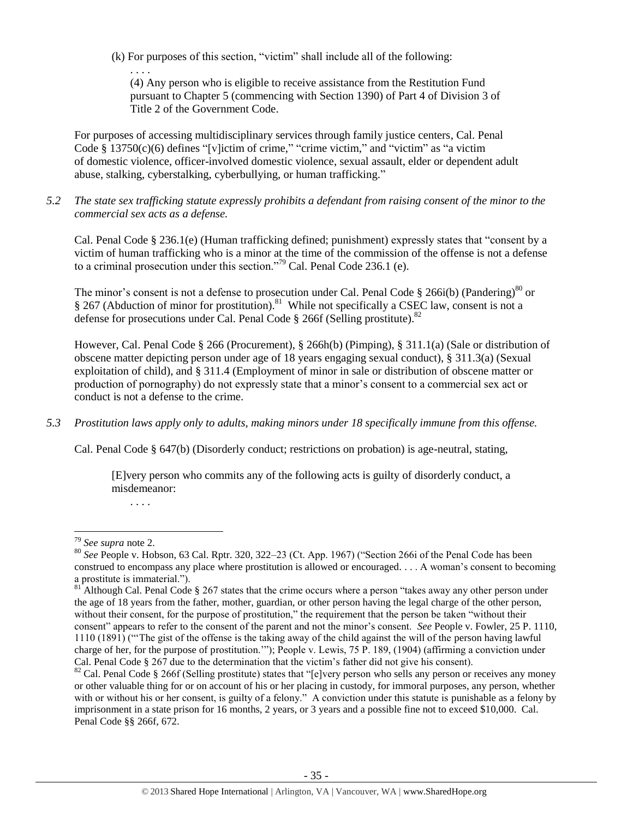(k) For purposes of this section, "victim" shall include all of the following:

(4) Any person who is eligible to receive assistance from the Restitution Fund pursuant to Chapter 5 (commencing with Section 1390) of Part 4 of Division 3 of Title 2 of the Government Code.

For purposes of accessing multidisciplinary services through family justice centers, Cal. Penal Code  $\S$  13750(c)(6) defines "[v]ictim of crime," "crime victim," and "victim" as "a victim" of domestic violence, officer-involved domestic violence, sexual assault, elder or dependent adult abuse, stalking, cyberstalking, cyberbullying, or human trafficking."

*5.2 The state sex trafficking statute expressly prohibits a defendant from raising consent of the minor to the commercial sex acts as a defense.*

Cal. Penal Code § 236.1(e) (Human trafficking defined; punishment) expressly states that "consent by a victim of human trafficking who is a minor at the time of the commission of the offense is not a defense to a criminal prosecution under this section."<sup>79</sup> Cal. Penal Code 236.1 (e).

The minor's consent is not a defense to prosecution under Cal. Penal Code  $\S 266i(b)$  (Pandering)<sup>80</sup> or § 267 (Abduction of minor for prostitution).<sup>81</sup> While not specifically a CSEC law, consent is not a defense for prosecutions under Cal. Penal Code  $\S$  266f (Selling prostitute).<sup>82</sup>

However, Cal. Penal Code § 266 (Procurement), § 266h(b) (Pimping), § 311.1(a) (Sale or distribution of obscene matter depicting person under age of 18 years engaging sexual conduct), § 311.3(a) (Sexual exploitation of child), and § 311.4 (Employment of minor in sale or distribution of obscene matter or production of pornography) do not expressly state that a minor's consent to a commercial sex act or conduct is not a defense to the crime.

*5.3 Prostitution laws apply only to adults, making minors under 18 specifically immune from this offense.*

Cal. Penal Code § 647(b) (Disorderly conduct; restrictions on probation) is age-neutral, stating,

[E]very person who commits any of the following acts is guilty of disorderly conduct, a misdemeanor:

. . . .

. . . .

 $\overline{a}$ <sup>79</sup> *See supra* note [2.](#page-0-0)

<sup>80</sup> *See* People v. Hobson, 63 Cal. Rptr. 320, 322–23 (Ct. App. 1967) ("Section 266i of the Penal Code has been construed to encompass any place where prostitution is allowed or encouraged. . . . A woman's consent to becoming a prostitute is immaterial.").

 $81$ <sup>Although Cal. Penal Code § 267 states that the crime occurs where a person "takes away any other person under</sup> the age of 18 years from the father, mother, guardian, or other person having the legal charge of the other person, without their consent, for the purpose of prostitution," the requirement that the person be taken "without their consent" appears to refer to the consent of the parent and not the minor's consent. *See* People v. Fowler, 25 P. 1110, 1110 (1891) ("'The gist of the offense is the taking away of the child against the will of the person having lawful charge of her, for the purpose of prostitution.'"); People v. Lewis, 75 P. 189, (1904) (affirming a conviction under Cal. Penal Code § 267 due to the determination that the victim's father did not give his consent).

 $82$  Cal. Penal Code § 266f (Selling prostitute) states that "[e]very person who sells any person or receives any money or other valuable thing for or on account of his or her placing in custody, for immoral purposes, any person, whether with or without his or her consent, is guilty of a felony." A conviction under this statute is punishable as a felony by imprisonment in a state prison for 16 months, 2 years, or 3 years and a possible fine not to exceed \$10,000. Cal. Penal Code §§ 266f, 672.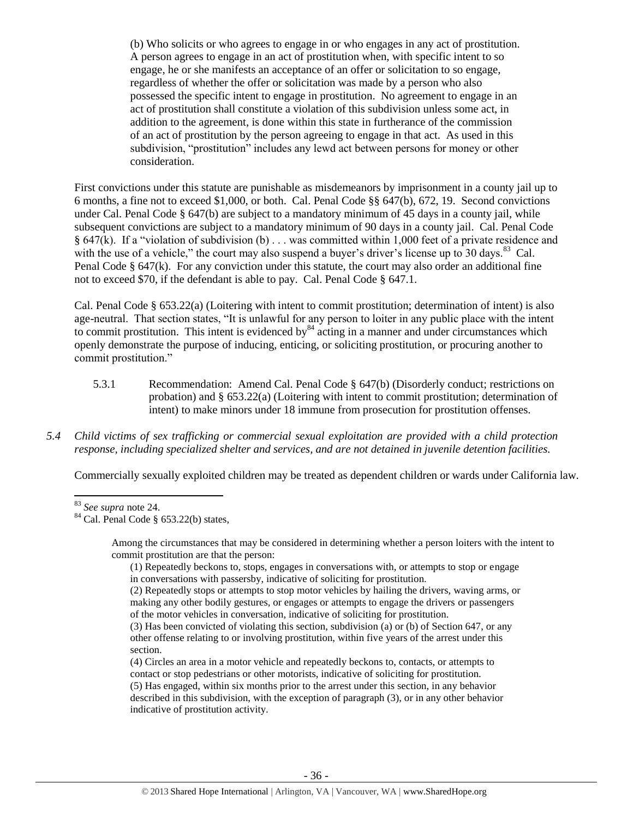(b) Who solicits or who agrees to engage in or who engages in any act of prostitution. A person agrees to engage in an act of prostitution when, with specific intent to so engage, he or she manifests an acceptance of an offer or solicitation to so engage, regardless of whether the offer or solicitation was made by a person who also possessed the specific intent to engage in prostitution. No agreement to engage in an act of prostitution shall constitute a violation of this subdivision unless some act, in addition to the agreement, is done within this state in furtherance of the commission of an act of prostitution by the person agreeing to engage in that act. As used in this subdivision, "prostitution" includes any lewd act between persons for money or other consideration.

First convictions under this statute are punishable as misdemeanors by imprisonment in a county jail up to 6 months, a fine not to exceed \$1,000, or both. Cal. Penal Code §§ 647(b), 672, 19. Second convictions under Cal. Penal Code § 647(b) are subject to a mandatory minimum of 45 days in a county jail, while subsequent convictions are subject to a mandatory minimum of 90 days in a county jail. Cal. Penal Code § 647(k). If a "violation of subdivision (b) . . . was committed within 1,000 feet of a private residence and with the use of a vehicle," the court may also suspend a buyer's driver's license up to  $30 \text{ days}$ . Cal. Penal Code § 647(k). For any conviction under this statute, the court may also order an additional fine not to exceed \$70, if the defendant is able to pay. Cal. Penal Code § 647.1.

Cal. Penal Code § 653.22(a) (Loitering with intent to commit prostitution; determination of intent) is also age-neutral. That section states, "It is unlawful for any person to loiter in any public place with the intent to commit prostitution. This intent is evidenced by  $84$  acting in a manner and under circumstances which openly demonstrate the purpose of inducing, enticing, or soliciting prostitution, or procuring another to commit prostitution."

- 5.3.1 Recommendation: Amend Cal. Penal Code § 647(b) (Disorderly conduct; restrictions on probation) and § 653.22(a) (Loitering with intent to commit prostitution; determination of intent) to make minors under 18 immune from prosecution for prostitution offenses.
- *5.4 Child victims of sex trafficking or commercial sexual exploitation are provided with a child protection response, including specialized shelter and services, and are not detained in juvenile detention facilities.*

Commercially sexually exploited children may be treated as dependent children or wards under California law.

(1) Repeatedly beckons to, stops, engages in conversations with, or attempts to stop or engage in conversations with passersby, indicative of soliciting for prostitution.

(4) Circles an area in a motor vehicle and repeatedly beckons to, contacts, or attempts to contact or stop pedestrians or other motorists, indicative of soliciting for prostitution.

 $\overline{a}$ <sup>83</sup> *See supra* note [24.](#page-13-0) 

 $84$  Cal. Penal Code § 653.22(b) states,

Among the circumstances that may be considered in determining whether a person loiters with the intent to commit prostitution are that the person:

<sup>(2)</sup> Repeatedly stops or attempts to stop motor vehicles by hailing the drivers, waving arms, or making any other bodily gestures, or engages or attempts to engage the drivers or passengers of the motor vehicles in conversation, indicative of soliciting for prostitution.

<sup>(3)</sup> Has been convicted of violating this section, subdivision (a) or (b) of Section 647, or any other offense relating to or involving prostitution, within five years of the arrest under this section.

<sup>(5)</sup> Has engaged, within six months prior to the arrest under this section, in any behavior described in this subdivision, with the exception of paragraph (3), or in any other behavior indicative of prostitution activity.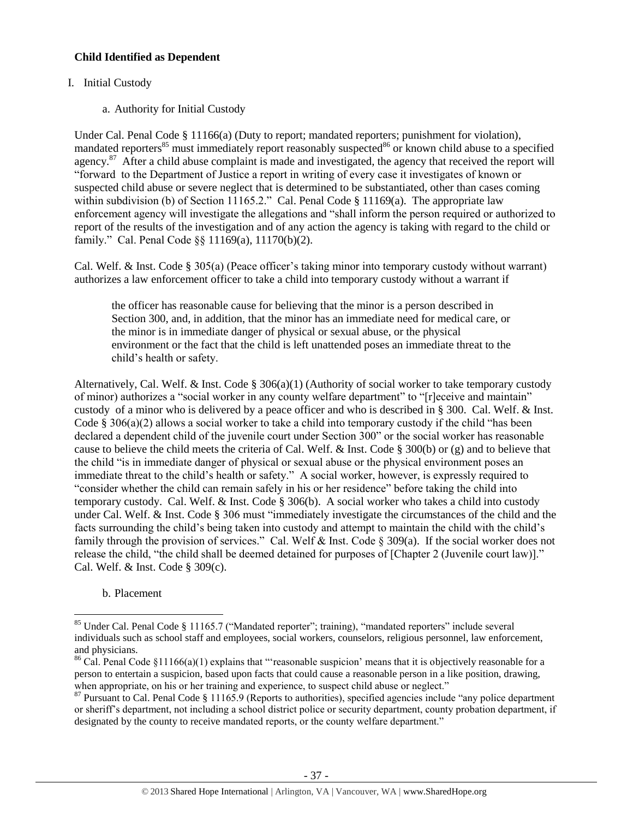# **Child Identified as Dependent**

# I. Initial Custody

a. Authority for Initial Custody

Under Cal. Penal Code § 11166(a) (Duty to report; mandated reporters; punishment for violation), mandated reporters<sup>85</sup> must immediately report reasonably suspected<sup>86</sup> or known child abuse to a specified agency.<sup>87</sup> After a child abuse complaint is made and investigated, the agency that received the report will "forward to the Department of Justice a report in writing of every case it investigates of known or suspected child abuse or severe neglect that is determined to be substantiated, other than cases coming within subdivision (b) of Section 11165.2." Cal. Penal Code § 11169(a). The appropriate law enforcement agency will investigate the allegations and "shall inform the person required or authorized to report of the results of the investigation and of any action the agency is taking with regard to the child or family." Cal. Penal Code §§ 11169(a), 11170(b)(2).

Cal. Welf. & Inst. Code § 305(a) (Peace officer's taking minor into temporary custody without warrant) authorizes a law enforcement officer to take a child into temporary custody without a warrant if

the officer has reasonable cause for believing that the minor is a person described in Section 300, and, in addition, that the minor has an immediate need for medical care, or the minor is in immediate danger of physical or sexual abuse, or the physical environment or the fact that the child is left unattended poses an immediate threat to the child's health or safety.

Alternatively, Cal. Welf. & Inst. Code § 306(a)(1) (Authority of social worker to take temporary custody of minor) authorizes a "social worker in any county welfare department" to "[r]eceive and maintain" custody of a minor who is delivered by a peace officer and who is described in § 300. Cal. Welf. & Inst. Code § 306(a)(2) allows a social worker to take a child into temporary custody if the child "has been declared a dependent child of the juvenile court under Section 300" or the social worker has reasonable cause to believe the child meets the criteria of Cal. Welf. & Inst. Code § 300(b) or (g) and to believe that the child "is in immediate danger of physical or sexual abuse or the physical environment poses an immediate threat to the child's health or safety." A social worker, however, is expressly required to "consider whether the child can remain safely in his or her residence" before taking the child into temporary custody. Cal. Welf. & Inst. Code § 306(b). A social worker who takes a child into custody under Cal. Welf. & Inst. Code § 306 must "immediately investigate the circumstances of the child and the facts surrounding the child's being taken into custody and attempt to maintain the child with the child's family through the provision of services." Cal. Welf & Inst. Code § 309(a). If the social worker does not release the child, "the child shall be deemed detained for purposes of [Chapter 2 (Juvenile court law)]." Cal. Welf. & Inst. Code § 309(c).

b. Placement

<sup>&</sup>lt;sup>85</sup> Under Cal. Penal Code § 11165.7 ("Mandated reporter"; training), "mandated reporters" include several individuals such as school staff and employees, social workers, counselors, religious personnel, law enforcement, and physicians.

<sup>&</sup>lt;sup>86</sup> Cal. Penal Code §11166(a)(1) explains that "reasonable suspicion' means that it is objectively reasonable for a person to entertain a suspicion, based upon facts that could cause a reasonable person in a like position, drawing, when appropriate, on his or her training and experience, to suspect child abuse or neglect."

<sup>&</sup>lt;sup>87</sup> Pursuant to Cal. Penal Code § 11165.9 (Reports to authorities), specified agencies include "any police department" or sheriff's department, not including a school district police or security department, county probation department, if designated by the county to receive mandated reports, or the county welfare department."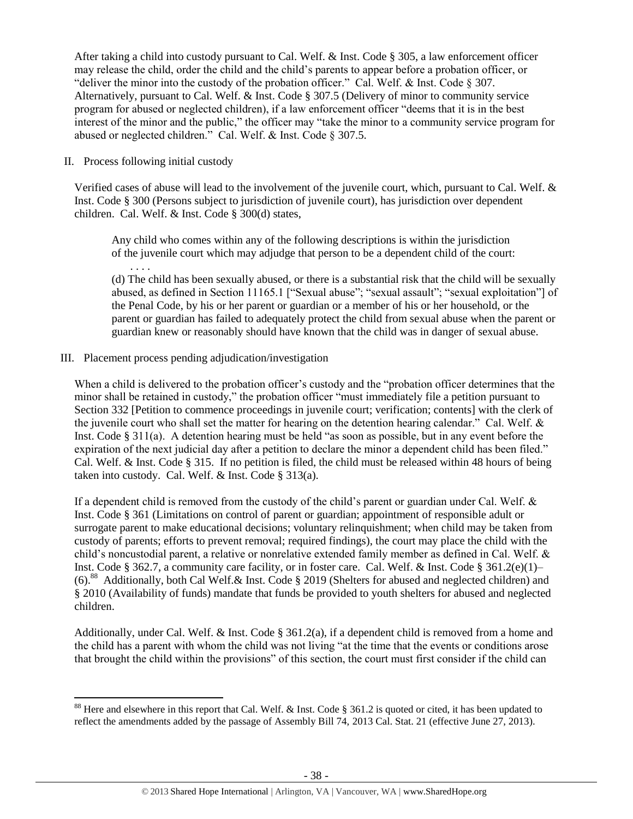After taking a child into custody pursuant to Cal. Welf. & Inst. Code § 305, a law enforcement officer may release the child, order the child and the child's parents to appear before a probation officer, or "deliver the minor into the custody of the probation officer." Cal. Welf. & Inst. Code § 307. Alternatively, pursuant to Cal. Welf. & Inst. Code § 307.5 (Delivery of minor to community service program for abused or neglected children), if a law enforcement officer "deems that it is in the best interest of the minor and the public," the officer may "take the minor to a community service program for abused or neglected children." Cal. Welf. & Inst. Code § 307.5.

II. Process following initial custody

. . . .

l

Verified cases of abuse will lead to the involvement of the juvenile court, which, pursuant to Cal. Welf. & Inst. Code § 300 (Persons subject to jurisdiction of juvenile court), has jurisdiction over dependent children. Cal. Welf. & Inst. Code § 300(d) states,

Any child who comes within any of the following descriptions is within the jurisdiction of the juvenile court which may adjudge that person to be a dependent child of the court:

(d) The child has been sexually abused, or there is a substantial risk that the child will be sexually abused, as defined in Section 11165.1 ["Sexual abuse"; "sexual assault"; "sexual exploitation"] of the Penal Code, by his or her parent or guardian or a member of his or her household, or the parent or guardian has failed to adequately protect the child from sexual abuse when the parent or guardian knew or reasonably should have known that the child was in danger of sexual abuse.

III. Placement process pending adjudication/investigation

When a child is delivered to the probation officer's custody and the "probation officer determines that the minor shall be retained in custody," the probation officer "must immediately file a petition pursuant to Section 332 [Petition to commence proceedings in juvenile court; verification; contents] with the clerk of the juvenile court who shall set the matter for hearing on the detention hearing calendar." Cal. Welf. & Inst. Code § 311(a). A detention hearing must be held "as soon as possible, but in any event before the expiration of the next judicial day after a petition to declare the minor a dependent child has been filed." Cal. Welf. & Inst. Code § 315. If no petition is filed, the child must be released within 48 hours of being taken into custody. Cal. Welf. & Inst. Code § 313(a).

If a dependent child is removed from the custody of the child's parent or guardian under Cal. Welf. & Inst. Code § 361 (Limitations on control of parent or guardian; appointment of responsible adult or surrogate parent to make educational decisions; voluntary relinquishment; when child may be taken from custody of parents; efforts to prevent removal; required findings), the court may place the child with the child's noncustodial parent, a relative or nonrelative extended family member as defined in Cal. Welf. & Inst. Code § 362.7, a community care facility, or in foster care. Cal. Welf. & Inst. Code § 361.2(e)(1)– (6).<sup>88</sup> Additionally, both Cal Welf.& Inst. Code § 2019 (Shelters for abused and neglected children) and § 2010 (Availability of funds) mandate that funds be provided to youth shelters for abused and neglected children.

Additionally, under Cal. Welf. & Inst. Code § 361.2(a), if a dependent child is removed from a home and the child has a parent with whom the child was not living "at the time that the events or conditions arose that brought the child within the provisions" of this section, the court must first consider if the child can

<sup>&</sup>lt;sup>88</sup> Here and elsewhere in this report that Cal. Welf. & Inst. Code § 361.2 is quoted or cited, it has been updated to reflect the amendments added by the passage of Assembly Bill 74, 2013 Cal. Stat. 21 (effective June 27, 2013).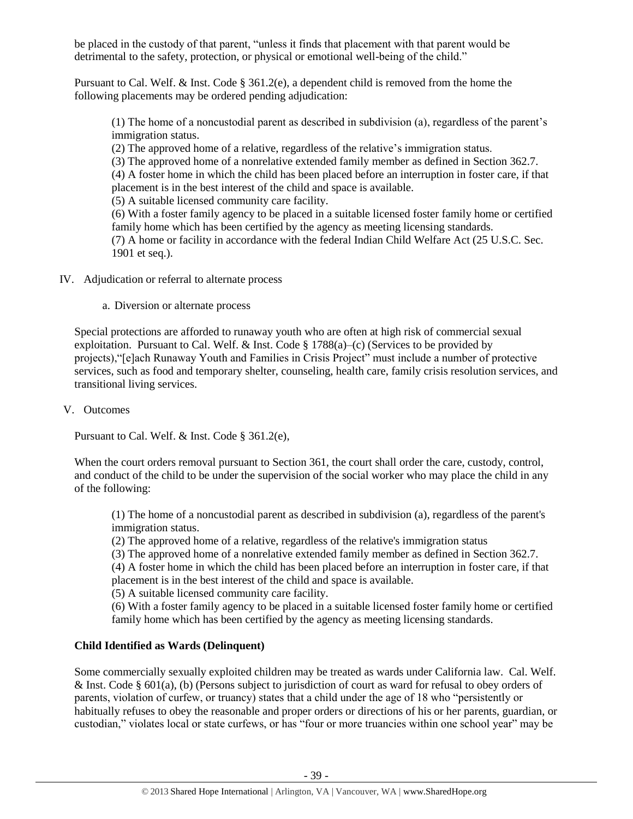be placed in the custody of that parent, "unless it finds that placement with that parent would be detrimental to the safety, protection, or physical or emotional well-being of the child."

Pursuant to Cal. Welf. & Inst. Code § 361.2(e), a dependent child is removed from the home the following placements may be ordered pending adjudication:

(1) The home of a noncustodial parent as described in subdivision (a), regardless of the parent's immigration status.

(2) The approved home of a relative, regardless of the relative's immigration status.

(3) The approved home of a nonrelative extended family member as defined in Section 362.7.

(4) A foster home in which the child has been placed before an interruption in foster care, if that placement is in the best interest of the child and space is available.

(5) A suitable licensed community care facility.

(6) With a foster family agency to be placed in a suitable licensed foster family home or certified family home which has been certified by the agency as meeting licensing standards.

(7) A home or facility in accordance with the federal Indian Child Welfare Act (25 U.S.C. Sec. 1901 et seq.).

IV. Adjudication or referral to alternate process

a. Diversion or alternate process

Special protections are afforded to runaway youth who are often at high risk of commercial sexual exploitation. Pursuant to Cal. Welf.  $\&$  Inst. Code § 1788(a)–(c) (Services to be provided by projects),"[e]ach Runaway Youth and Families in Crisis Project" must include a number of protective services, such as food and temporary shelter, counseling, health care, family crisis resolution services, and transitional living services.

V. Outcomes

Pursuant to Cal. Welf. & Inst. Code § 361.2(e),

When the court orders removal pursuant to Section 361, the court shall order the care, custody, control, and conduct of the child to be under the supervision of the social worker who may place the child in any of the following:

(1) The home of a noncustodial parent as described in subdivision (a), regardless of the parent's immigration status.

(2) The approved home of a relative, regardless of the relative's immigration status

(3) The approved home of a nonrelative extended family member as defined in Section 362.7.

(4) A foster home in which the child has been placed before an interruption in foster care, if that placement is in the best interest of the child and space is available.

(5) A suitable licensed community care facility.

(6) With a foster family agency to be placed in a suitable licensed foster family home or certified family home which has been certified by the agency as meeting licensing standards.

# **Child Identified as Wards (Delinquent)**

Some commercially sexually exploited children may be treated as wards under California law. Cal. Welf. & Inst. Code § 601(a), (b) (Persons subject to jurisdiction of court as ward for refusal to obey orders of parents, violation of curfew, or truancy) states that a child under the age of 18 who "persistently or habitually refuses to obey the reasonable and proper orders or directions of his or her parents, guardian, or custodian," violates local or state curfews, or has "four or more truancies within one school year" may be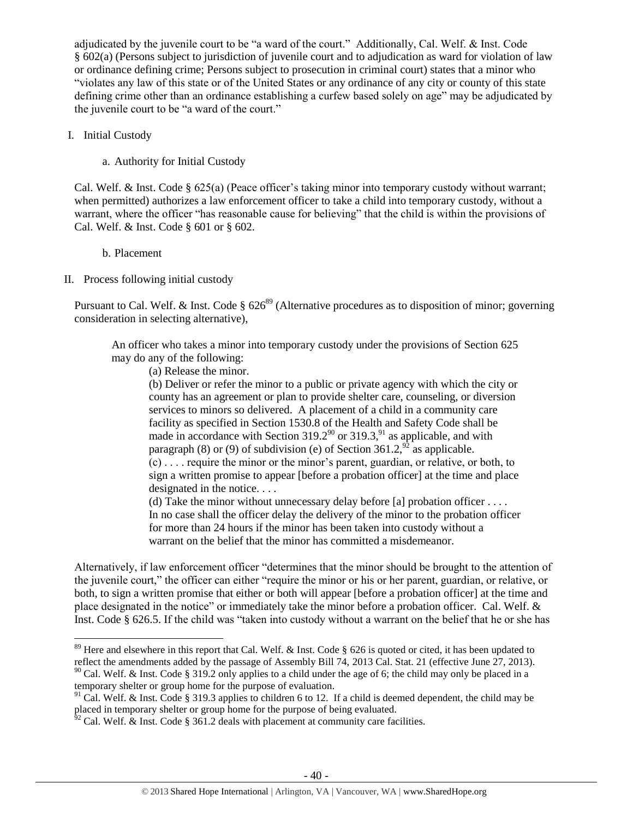adjudicated by the juvenile court to be "a ward of the court." Additionally, Cal. Welf. & Inst. Code § 602(a) (Persons subject to jurisdiction of juvenile court and to adjudication as ward for violation of law or ordinance defining crime; Persons subject to prosecution in criminal court) states that a minor who "violates any law of this state or of the United States or any ordinance of any city or county of this state defining crime other than an ordinance establishing a curfew based solely on age" may be adjudicated by the juvenile court to be "a ward of the court."

- I. Initial Custody
	- a. Authority for Initial Custody

Cal. Welf. & Inst. Code § 625(a) (Peace officer's taking minor into temporary custody without warrant; when permitted) authorizes a law enforcement officer to take a child into temporary custody, without a warrant, where the officer "has reasonable cause for believing" that the child is within the provisions of Cal. Welf. & Inst. Code § 601 or § 602.

- b. Placement
- II. Process following initial custody

Pursuant to Cal. Welf. & Inst. Code  $\S 626^{89}$  (Alternative procedures as to disposition of minor; governing consideration in selecting alternative),

An officer who takes a minor into temporary custody under the provisions of Section 625 may do any of the following:

<span id="page-39-0"></span>(a) Release the minor.

(b) Deliver or refer the minor to a public or private agency with which the city or county has an agreement or plan to provide shelter care, counseling, or diversion services to minors so delivered. A placement of a child in a community care facility as specified in Section 1530.8 of the Health and Safety Code shall be made in accordance with Section  $319.2^{90}$  or  $319.3$ , <sup>91</sup> as applicable, and with paragraph (8) or (9) of subdivision (e) of Section  $361.2$ ,  $2^{92}$  as applicable. (c) . . . . require the minor or the minor's parent, guardian, or relative, or both, to

sign a written promise to appear [before a probation officer] at the time and place designated in the notice....

(d) Take the minor without unnecessary delay before [a] probation officer  $\dots$ In no case shall the officer delay the delivery of the minor to the probation officer for more than 24 hours if the minor has been taken into custody without a warrant on the belief that the minor has committed a misdemeanor.

Alternatively, if law enforcement officer "determines that the minor should be brought to the attention of the juvenile court," the officer can either "require the minor or his or her parent, guardian, or relative, or both, to sign a written promise that either or both will appear [before a probation officer] at the time and place designated in the notice" or immediately take the minor before a probation officer. Cal. Welf. & Inst. Code § 626.5. If the child was "taken into custody without a warrant on the belief that he or she has

 $\overline{a}$  $89$  Here and elsewhere in this report that Cal. Welf. & Inst. Code § 626 is quoted or cited, it has been updated to reflect the amendments added by the passage of Assembly Bill 74, 2013 Cal. Stat. 21 (effective June 27, 2013).

 $90$  Cal. Welf. & Inst. Code § 319.2 only applies to a child under the age of 6; the child may only be placed in a temporary shelter or group home for the purpose of evaluation.

<sup>&</sup>lt;sup>91</sup> Cal. Welf. & Inst. Code § 319.3 applies to children 6 to 12. If a child is deemed dependent, the child may be placed in temporary shelter or group home for the purpose of being evaluated.

 $^{62}$  Cal. Welf. & Inst. Code § 361.2 deals with placement at community care facilities.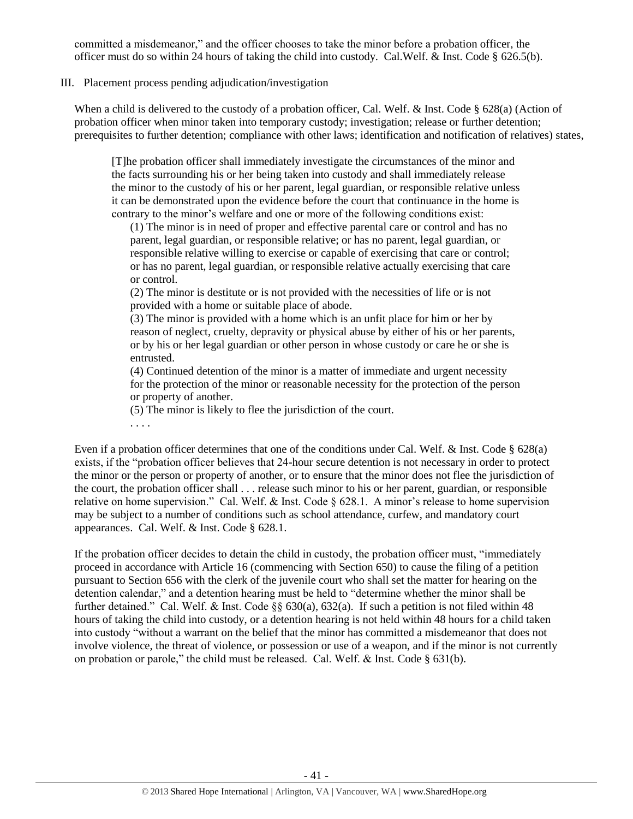committed a misdemeanor," and the officer chooses to take the minor before a probation officer, the officer must do so within 24 hours of taking the child into custody. Cal.Welf. & Inst. Code § 626.5(b).

### III. Placement process pending adjudication/investigation

. . . .

When a child is delivered to the custody of a probation officer, Cal. Welf. & Inst. Code § 628(a) (Action of probation officer when minor taken into temporary custody; investigation; release or further detention; prerequisites to further detention; compliance with other laws; identification and notification of relatives) states,

[T]he probation officer shall immediately investigate the circumstances of the minor and the facts surrounding his or her being taken into custody and shall immediately release the minor to the custody of his or her parent, legal guardian, or responsible relative unless it can be demonstrated upon the evidence before the court that continuance in the home is contrary to the minor's welfare and one or more of the following conditions exist:

(1) The minor is in need of proper and effective parental care or control and has no parent, legal guardian, or responsible relative; or has no parent, legal guardian, or responsible relative willing to exercise or capable of exercising that care or control; or has no parent, legal guardian, or responsible relative actually exercising that care or control.

(2) The minor is destitute or is not provided with the necessities of life or is not provided with a home or suitable place of abode.

(3) The minor is provided with a home which is an unfit place for him or her by reason of neglect, cruelty, depravity or physical abuse by either of his or her parents, or by his or her legal guardian or other person in whose custody or care he or she is entrusted.

(4) Continued detention of the minor is a matter of immediate and urgent necessity for the protection of the minor or reasonable necessity for the protection of the person or property of another.

(5) The minor is likely to flee the jurisdiction of the court.

Even if a probation officer determines that one of the conditions under Cal. Welf. & Inst. Code § 628(a) exists, if the "probation officer believes that 24-hour secure detention is not necessary in order to protect the minor or the person or property of another, or to ensure that the minor does not flee the jurisdiction of the court, the probation officer shall . . . release such minor to his or her parent, guardian, or responsible relative on home supervision." Cal. Welf. & Inst. Code § 628.1. A minor's release to home supervision may be subject to a number of conditions such as school attendance, curfew, and mandatory court appearances. Cal. Welf. & Inst. Code § 628.1.

If the probation officer decides to detain the child in custody, the probation officer must, "immediately proceed in accordance with Article 16 (commencing with Section 650) to cause the filing of a petition pursuant to Section 656 with the clerk of the juvenile court who shall set the matter for hearing on the detention calendar," and a detention hearing must be held to "determine whether the minor shall be further detained." Cal. Welf. & Inst. Code  $\S$ § 630(a), 632(a). If such a petition is not filed within 48 hours of taking the child into custody, or a detention hearing is not held within 48 hours for a child taken into custody "without a warrant on the belief that the minor has committed a misdemeanor that does not involve violence, the threat of violence, or possession or use of a weapon, and if the minor is not currently on probation or parole," the child must be released. Cal. Welf.  $\&$  Inst. Code  $\S$  631(b).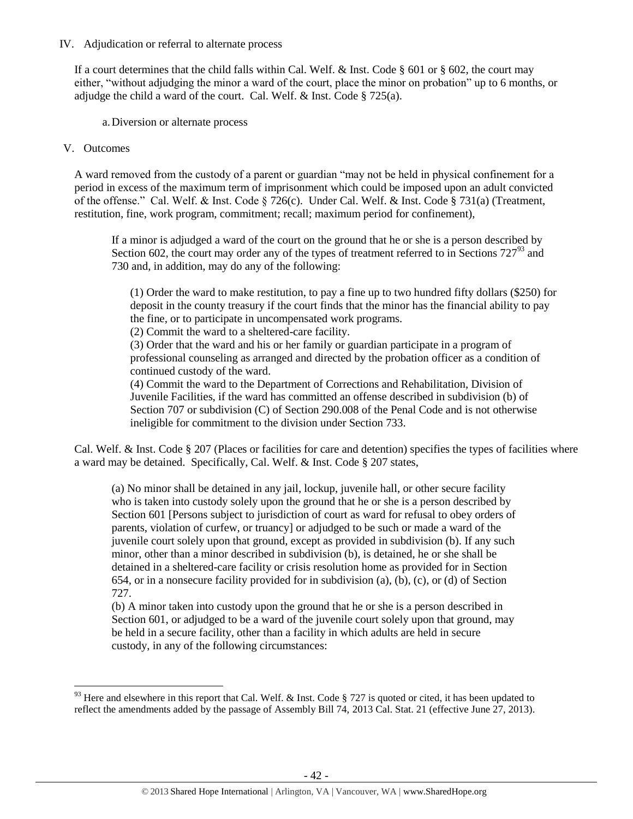### IV. Adjudication or referral to alternate process

If a court determines that the child falls within Cal. Welf. & Inst. Code § 601 or § 602, the court may either, "without adjudging the minor a ward of the court, place the minor on probation" up to 6 months, or adjudge the child a ward of the court. Cal. Welf. & Inst. Code § 725(a).

a.Diversion or alternate process

### V. Outcomes

 $\overline{\phantom{a}}$ 

A ward removed from the custody of a parent or guardian "may not be held in physical confinement for a period in excess of the maximum term of imprisonment which could be imposed upon an adult convicted of the offense." Cal. Welf. & Inst. Code § 726(c). Under Cal. Welf. & Inst. Code § 731(a) (Treatment, restitution, fine, work program, commitment; recall; maximum period for confinement),

If a minor is adjudged a ward of the court on the ground that he or she is a person described by Section 602, the court may order any of the types of treatment referred to in Sections  $727<sup>93</sup>$  and 730 and, in addition, may do any of the following:

<span id="page-41-0"></span>(1) Order the ward to make restitution, to pay a fine up to two hundred fifty dollars (\$250) for deposit in the county treasury if the court finds that the minor has the financial ability to pay the fine, or to participate in uncompensated work programs.

(2) Commit the ward to a sheltered-care facility.

(3) Order that the ward and his or her family or guardian participate in a program of professional counseling as arranged and directed by the probation officer as a condition of continued custody of the ward.

(4) Commit the ward to the Department of Corrections and Rehabilitation, Division of Juvenile Facilities, if the ward has committed an offense described in subdivision (b) of Section 707 or subdivision (C) of Section 290.008 of the Penal Code and is not otherwise ineligible for commitment to the division under Section 733.

Cal. Welf. & Inst. Code § 207 (Places or facilities for care and detention) specifies the types of facilities where a ward may be detained. Specifically, Cal. Welf. & Inst. Code § 207 states,

(a) No minor shall be detained in any jail, lockup, juvenile hall, or other secure facility who is taken into custody solely upon the ground that he or she is a person described by Section 601 [Persons subject to jurisdiction of court as ward for refusal to obey orders of parents, violation of curfew, or truancy] or adjudged to be such or made a ward of the juvenile court solely upon that ground, except as provided in subdivision (b). If any such minor, other than a minor described in subdivision (b), is detained, he or she shall be detained in a sheltered-care facility or crisis resolution home as provided for in Section 654, or in a nonsecure facility provided for in subdivision (a),  $(b)$ ,  $(c)$ , or  $(d)$  of Section 727.

(b) A minor taken into custody upon the ground that he or she is a person described in Section 601, or adjudged to be a ward of the juvenile court solely upon that ground, may be held in a secure facility, other than a facility in which adults are held in secure custody, in any of the following circumstances:

<sup>&</sup>lt;sup>93</sup> Here and elsewhere in this report that Cal. Welf. & Inst. Code § 727 is quoted or cited, it has been updated to reflect the amendments added by the passage of Assembly Bill 74, 2013 Cal. Stat. 21 (effective June 27, 2013).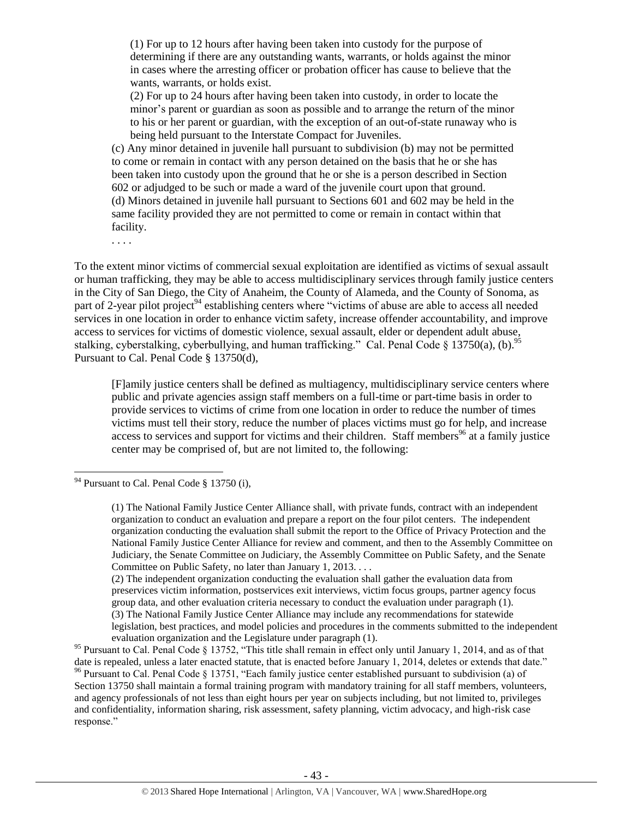(1) For up to 12 hours after having been taken into custody for the purpose of determining if there are any outstanding wants, warrants, or holds against the minor in cases where the arresting officer or probation officer has cause to believe that the wants, warrants, or holds exist.

(2) For up to 24 hours after having been taken into custody, in order to locate the minor's parent or guardian as soon as possible and to arrange the return of the minor to his or her parent or guardian, with the exception of an out-of-state runaway who is being held pursuant to the Interstate Compact for Juveniles.

(c) Any minor detained in juvenile hall pursuant to subdivision (b) may not be permitted to come or remain in contact with any person detained on the basis that he or she has been taken into custody upon the ground that he or she is a person described in Section 602 or adjudged to be such or made a ward of the juvenile court upon that ground. (d) Minors detained in juvenile hall pursuant to Sections 601 and 602 may be held in the same facility provided they are not permitted to come or remain in contact within that facility.

. . . .

To the extent minor victims of commercial sexual exploitation are identified as victims of sexual assault or human trafficking, they may be able to access multidisciplinary services through family justice centers in the City of San Diego, the City of Anaheim, the County of Alameda, and the County of Sonoma, as part of 2-year pilot project<sup>94</sup> establishing centers where "victims of abuse are able to access all needed services in one location in order to enhance victim safety, increase offender accountability, and improve access to services for victims of domestic violence, sexual assault, elder or dependent adult abuse, stalking, cyberstalking, cyberbullying, and human trafficking." Cal. Penal Code § 13750(a), (b).<sup>95</sup> Pursuant to Cal. Penal Code § 13750(d),

[F]amily justice centers shall be defined as multiagency, multidisciplinary service centers where public and private agencies assign staff members on a full-time or part-time basis in order to provide services to victims of crime from one location in order to reduce the number of times victims must tell their story, reduce the number of places victims must go for help, and increase access to services and support for victims and their children. Staff members<sup>96</sup> at a family justice center may be comprised of, but are not limited to, the following:

 $\overline{\phantom{a}}$ 

(2) The independent organization conducting the evaluation shall gather the evaluation data from preservices victim information, postservices exit interviews, victim focus groups, partner agency focus group data, and other evaluation criteria necessary to conduct the evaluation under paragraph (1). (3) The National Family Justice Center Alliance may include any recommendations for statewide legislation, best practices, and model policies and procedures in the comments submitted to the independent evaluation organization and the Legislature under paragraph (1).

 $94$  Pursuant to Cal. Penal Code § 13750 (i),

<sup>(1)</sup> The National Family Justice Center Alliance shall, with private funds, contract with an independent organization to conduct an evaluation and prepare a report on the four pilot centers. The independent organization conducting the evaluation shall submit the report to the Office of Privacy Protection and the National Family Justice Center Alliance for review and comment, and then to the Assembly Committee on Judiciary, the Senate Committee on Judiciary, the Assembly Committee on Public Safety, and the Senate Committee on Public Safety, no later than January 1, 2013. . . .

<sup>&</sup>lt;sup>95</sup> Pursuant to Cal. Penal Code § 13752, "This title shall remain in effect only until January 1, 2014, and as of that date is repealed, unless a later enacted statute, that is enacted before January 1, 2014, deletes or extends that date." <sup>96</sup> Pursuant to Cal. Penal Code § 13751, "Each family justice center established pursuant to subdivision (a) of Section 13750 shall maintain a formal training program with mandatory training for all staff members, volunteers, and agency professionals of not less than eight hours per year on subjects including, but not limited to, privileges and confidentiality, information sharing, risk assessment, safety planning, victim advocacy, and high-risk case response."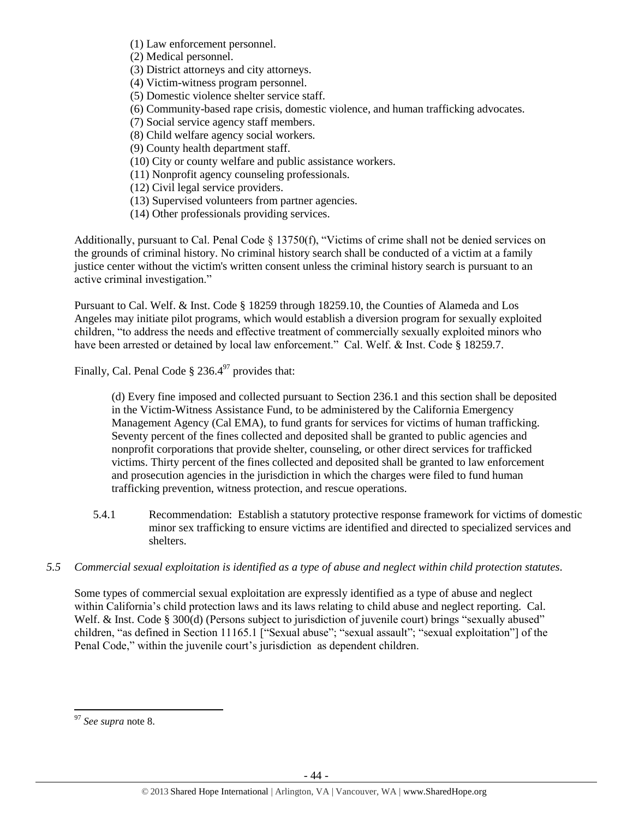(1) Law enforcement personnel.

(2) Medical personnel.

(3) District attorneys and city attorneys.

(4) Victim-witness program personnel.

(5) Domestic violence shelter service staff.

(6) Community-based rape crisis, domestic violence, and human trafficking advocates.

(7) Social service agency staff members.

(8) Child welfare agency social workers.

(9) County health department staff.

(10) City or county welfare and public assistance workers.

(11) Nonprofit agency counseling professionals.

(12) Civil legal service providers.

(13) Supervised volunteers from partner agencies.

(14) Other professionals providing services.

Additionally, pursuant to Cal. Penal Code § 13750(f), "Victims of crime shall not be denied services on the grounds of criminal history. No criminal history search shall be conducted of a victim at a family justice center without the victim's written consent unless the criminal history search is pursuant to an active criminal investigation."

Pursuant to Cal. Welf. & Inst. Code § 18259 through 18259.10, the Counties of Alameda and Los Angeles may initiate pilot programs, which would establish a diversion program for sexually exploited children, "to address the needs and effective treatment of commercially sexually exploited minors who have been arrested or detained by local law enforcement." Cal. Welf. & Inst. Code § 18259.7.

Finally, Cal. Penal Code  $\S 236.4^{97}$  provides that:

(d) Every fine imposed and collected pursuant to Section 236.1 and this section shall be deposited in the Victim-Witness Assistance Fund, to be administered by the California Emergency Management Agency (Cal EMA), to fund grants for services for victims of human trafficking. Seventy percent of the fines collected and deposited shall be granted to public agencies and nonprofit corporations that provide shelter, counseling, or other direct services for trafficked victims. Thirty percent of the fines collected and deposited shall be granted to law enforcement and prosecution agencies in the jurisdiction in which the charges were filed to fund human trafficking prevention, witness protection, and rescue operations.

- 5.4.1 Recommendation: Establish a statutory protective response framework for victims of domestic minor sex trafficking to ensure victims are identified and directed to specialized services and shelters.
- *5.5 Commercial sexual exploitation is identified as a type of abuse and neglect within child protection statutes.*

Some types of commercial sexual exploitation are expressly identified as a type of abuse and neglect within California's child protection laws and its laws relating to child abuse and neglect reporting. Cal. Welf. & Inst. Code § 300(d) (Persons subject to jurisdiction of juvenile court) brings "sexually abused" children, "as defined in Section 11165.1 ["Sexual abuse"; "sexual assault"; "sexual exploitation"] of the Penal Code," within the juvenile court's jurisdiction as dependent children.

 $\overline{a}$ <sup>97</sup> *See supra* note [8.](#page-2-1)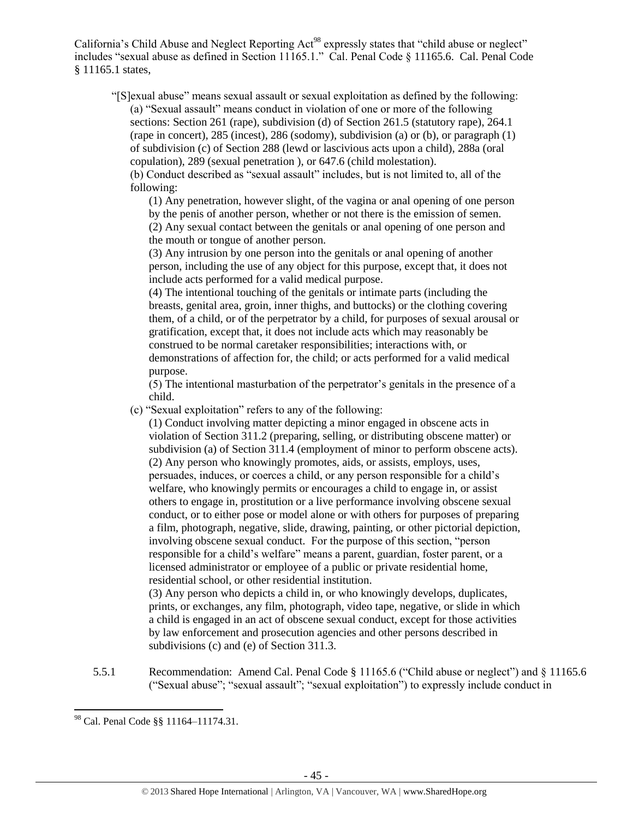California's Child Abuse and Neglect Reporting Act<sup>98</sup> expressly states that "child abuse or neglect" includes "sexual abuse as defined in Section 11165.1." Cal. Penal Code § 11165.6. Cal. Penal Code § 11165.1 states,

"[S]exual abuse" means sexual assault or sexual exploitation as defined by the following: (a) "Sexual assault" means conduct in violation of one or more of the following sections: Section 261 (rape), subdivision (d) of Section 261.5 (statutory rape), 264.1 (rape in concert), 285 (incest), 286 (sodomy), subdivision (a) or (b), or paragraph (1) of subdivision (c) of Section 288 (lewd or lascivious acts upon a child), 288a (oral copulation), 289 (sexual penetration ), or 647.6 (child molestation).

(b) Conduct described as "sexual assault" includes, but is not limited to, all of the following:

(1) Any penetration, however slight, of the vagina or anal opening of one person by the penis of another person, whether or not there is the emission of semen. (2) Any sexual contact between the genitals or anal opening of one person and

the mouth or tongue of another person.

(3) Any intrusion by one person into the genitals or anal opening of another person, including the use of any object for this purpose, except that, it does not include acts performed for a valid medical purpose.

(4) The intentional touching of the genitals or intimate parts (including the breasts, genital area, groin, inner thighs, and buttocks) or the clothing covering them, of a child, or of the perpetrator by a child, for purposes of sexual arousal or gratification, except that, it does not include acts which may reasonably be construed to be normal caretaker responsibilities; interactions with, or demonstrations of affection for, the child; or acts performed for a valid medical purpose.

(5) The intentional masturbation of the perpetrator's genitals in the presence of a child.

(c) "Sexual exploitation" refers to any of the following:

(1) Conduct involving matter depicting a minor engaged in obscene acts in violation of Section 311.2 (preparing, selling, or distributing obscene matter) or subdivision (a) of Section 311.4 (employment of minor to perform obscene acts). (2) Any person who knowingly promotes, aids, or assists, employs, uses, persuades, induces, or coerces a child, or any person responsible for a child's welfare, who knowingly permits or encourages a child to engage in, or assist others to engage in, prostitution or a live performance involving obscene sexual conduct, or to either pose or model alone or with others for purposes of preparing a film, photograph, negative, slide, drawing, painting, or other pictorial depiction, involving obscene sexual conduct. For the purpose of this section, "person responsible for a child's welfare" means a parent, guardian, foster parent, or a licensed administrator or employee of a public or private residential home, residential school, or other residential institution.

(3) Any person who depicts a child in, or who knowingly develops, duplicates, prints, or exchanges, any film, photograph, video tape, negative, or slide in which a child is engaged in an act of obscene sexual conduct, except for those activities by law enforcement and prosecution agencies and other persons described in subdivisions (c) and (e) of Section 311.3.

5.5.1 Recommendation: Amend Cal. Penal Code § 11165.6 ("Child abuse or neglect") and § 11165.6 ("Sexual abuse"; "sexual assault"; "sexual exploitation") to expressly include conduct in

 $\overline{a}$ <sup>98</sup> Cal. Penal Code §§ 11164–11174.31.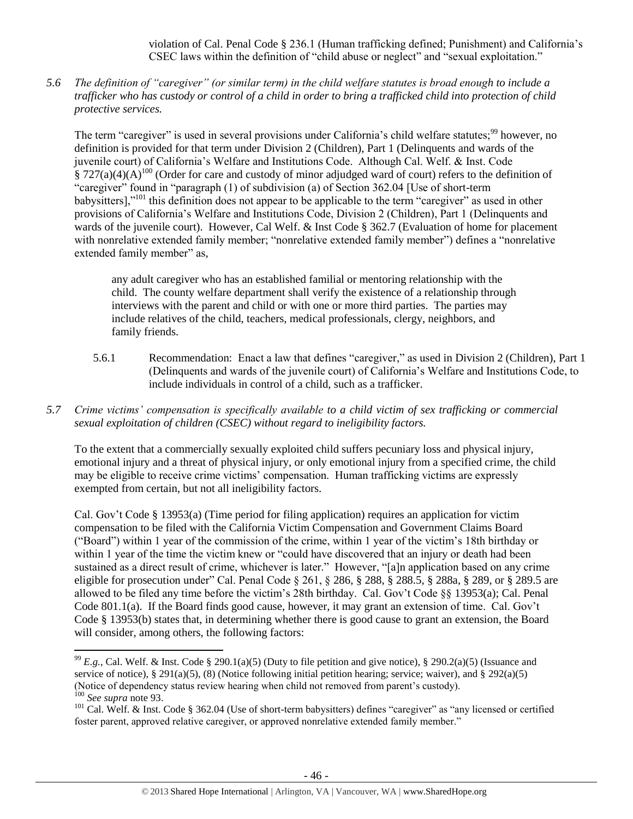violation of Cal. Penal Code § 236.1 (Human trafficking defined; Punishment) and California's CSEC laws within the definition of "child abuse or neglect" and "sexual exploitation."

*5.6 The definition of "caregiver" (or similar term) in the child welfare statutes is broad enough to include a trafficker who has custody or control of a child in order to bring a trafficked child into protection of child protective services.*

The term "caregiver" is used in several provisions under California's child welfare statutes;<sup>99</sup> however, no definition is provided for that term under Division 2 (Children), Part 1 (Delinquents and wards of the juvenile court) of California's Welfare and Institutions Code. Although Cal. Welf. & Inst. Code  $\S 727(a)(4)(A)^{100}$  (Order for care and custody of minor adjudged ward of court) refers to the definition of "caregiver" found in "paragraph (1) of subdivision (a) of Section 362.04 [Use of short-term babysitters],"<sup>101</sup> this definition does not appear to be applicable to the term "caregiver" as used in other provisions of California's Welfare and Institutions Code, Division 2 (Children), Part 1 (Delinquents and wards of the juvenile court). However, Cal Welf. & Inst Code § 362.7 (Evaluation of home for placement with nonrelative extended family member; "nonrelative extended family member") defines a "nonrelative extended family member" as,

any adult caregiver who has an established familial or mentoring relationship with the child. The county welfare department shall verify the existence of a relationship through interviews with the parent and child or with one or more third parties. The parties may include relatives of the child, teachers, medical professionals, clergy, neighbors, and family friends.

- 5.6.1 Recommendation: Enact a law that defines "caregiver," as used in Division 2 (Children), Part 1 (Delinquents and wards of the juvenile court) of California's Welfare and Institutions Code, to include individuals in control of a child, such as a trafficker.
- *5.7 Crime victims' compensation is specifically available to a child victim of sex trafficking or commercial sexual exploitation of children (CSEC) without regard to ineligibility factors.*

To the extent that a commercially sexually exploited child suffers pecuniary loss and physical injury, emotional injury and a threat of physical injury, or only emotional injury from a specified crime, the child may be eligible to receive crime victims' compensation. Human trafficking victims are expressly exempted from certain, but not all ineligibility factors.

Cal. Gov't Code § 13953(a) (Time period for filing application) requires an application for victim compensation to be filed with the California Victim Compensation and Government Claims Board ("Board") within 1 year of the commission of the crime, within 1 year of the victim's 18th birthday or within 1 year of the time the victim knew or "could have discovered that an injury or death had been sustained as a direct result of crime, whichever is later." However, "[a]n application based on any crime eligible for prosecution under" Cal. Penal Code § 261, § 286, § 288, § 288.5, § 288a, § 289, or § 289.5 are allowed to be filed any time before the victim's 28th birthday. Cal. Gov't Code §§ 13953(a); Cal. Penal Code 801.1(a). If the Board finds good cause, however, it may grant an extension of time. Cal. Gov't Code § 13953(b) states that, in determining whether there is good cause to grant an extension, the Board will consider, among others, the following factors:

 $\overline{\phantom{a}}$ <sup>99</sup>  $E.g.,$  Cal. Welf. & Inst. Code § 290.1(a)(5) (Duty to file petition and give notice), § 290.2(a)(5) (Issuance and service of notice), § 291(a)(5), (8) (Notice following initial petition hearing; service; waiver), and § 292(a)(5) (Notice of dependency status review hearing when child not removed from parent's custody). <sup>100</sup> *See supra* not[e 93.](#page-41-0)

<sup>&</sup>lt;sup>101</sup> Cal. Welf. & Inst. Code § 362.04 (Use of short-term babysitters) defines "caregiver" as "any licensed or certified foster parent, approved relative caregiver, or approved nonrelative extended family member."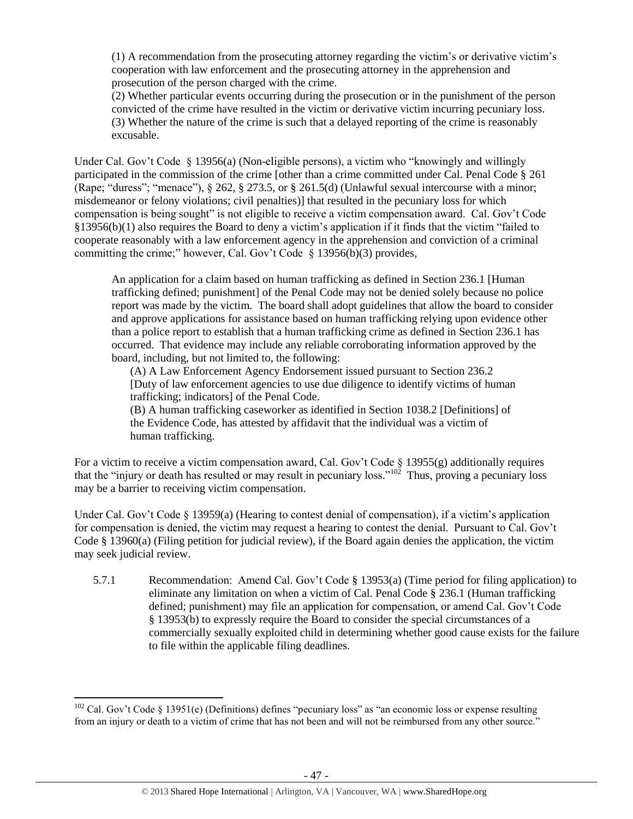(1) A recommendation from the prosecuting attorney regarding the victim's or derivative victim's cooperation with law enforcement and the prosecuting attorney in the apprehension and prosecution of the person charged with the crime.

(2) Whether particular events occurring during the prosecution or in the punishment of the person convicted of the crime have resulted in the victim or derivative victim incurring pecuniary loss. (3) Whether the nature of the crime is such that a delayed reporting of the crime is reasonably excusable.

Under Cal. Gov't Code § 13956(a) (Non-eligible persons), a victim who "knowingly and willingly participated in the commission of the crime [other than a crime committed under Cal. Penal Code § 261 (Rape; "duress"; "menace"),  $\S 262$ ,  $\S 273.5$ , or  $\S 261.5(d)$  (Unlawful sexual intercourse with a minor; misdemeanor or felony violations; civil penalties)] that resulted in the pecuniary loss for which compensation is being sought" is not eligible to receive a victim compensation award. Cal. Gov't Code §13956(b)(1) also requires the Board to deny a victim's application if it finds that the victim "failed to cooperate reasonably with a law enforcement agency in the apprehension and conviction of a criminal committing the crime;" however, Cal. Gov't Code § 13956(b)(3) provides,

An application for a claim based on human trafficking as defined in Section 236.1 [Human trafficking defined; punishment] of the Penal Code may not be denied solely because no police report was made by the victim. The board shall adopt guidelines that allow the board to consider and approve applications for assistance based on human trafficking relying upon evidence other than a police report to establish that a human trafficking crime as defined in Section 236.1 has occurred. That evidence may include any reliable corroborating information approved by the board, including, but not limited to, the following:

(A) A Law Enforcement Agency Endorsement issued pursuant to Section 236.2 [Duty of law enforcement agencies to use due diligence to identify victims of human trafficking; indicators] of the Penal Code.

(B) A human trafficking caseworker as identified in Section 1038.2 [Definitions] of the Evidence Code, has attested by affidavit that the individual was a victim of human trafficking.

For a victim to receive a victim compensation award, Cal. Gov't Code § 13955(g) additionally requires that the "injury or death has resulted or may result in pecuniary loss."<sup>102</sup> Thus, proving a pecuniary loss may be a barrier to receiving victim compensation.

Under Cal. Gov't Code § 13959(a) (Hearing to contest denial of compensation), if a victim's application for compensation is denied, the victim may request a hearing to contest the denial. Pursuant to Cal. Gov't Code § 13960(a) (Filing petition for judicial review), if the Board again denies the application, the victim may seek judicial review.

5.7.1 Recommendation: Amend Cal. Gov't Code § 13953(a) (Time period for filing application) to eliminate any limitation on when a victim of Cal. Penal Code § 236.1 (Human trafficking defined; punishment) may file an application for compensation, or amend Cal. Gov't Code § 13953(b) to expressly require the Board to consider the special circumstances of a commercially sexually exploited child in determining whether good cause exists for the failure to file within the applicable filing deadlines.

l

<sup>&</sup>lt;sup>102</sup> Cal. Gov't Code § 13951(e) (Definitions) defines "pecuniary loss" as "an economic loss or expense resulting from an injury or death to a victim of crime that has not been and will not be reimbursed from any other source."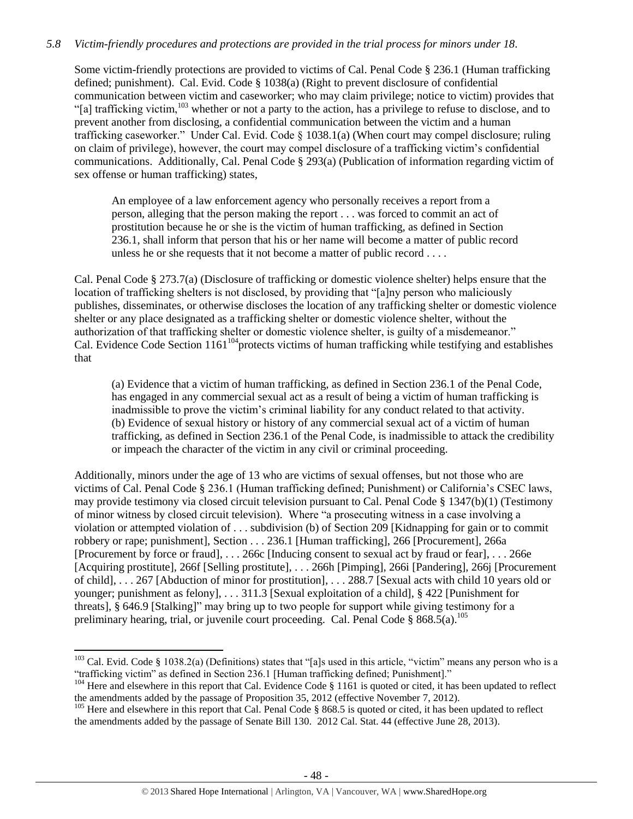# *5.8 Victim-friendly procedures and protections are provided in the trial process for minors under 18.*

Some victim-friendly protections are provided to victims of Cal. Penal Code § 236.1 (Human trafficking defined; punishment). Cal. Evid. Code § 1038(a) (Right to prevent disclosure of confidential communication between victim and caseworker; who may claim privilege; notice to victim) provides that "[a] trafficking victim,<sup>103</sup> whether or not a party to the action, has a privilege to refuse to disclose, and to prevent another from disclosing, a confidential communication between the victim and a human trafficking caseworker." Under Cal. Evid. Code § 1038.1(a) (When court may compel disclosure; ruling on claim of privilege), however, the court may compel disclosure of a trafficking victim's confidential communications. Additionally, Cal. Penal Code § 293(a) (Publication of information regarding victim of sex offense or human trafficking) states,

An employee of a law enforcement agency who personally receives a report from a person, alleging that the person making the report . . . was forced to commit an act of prostitution because he or she is the victim of human trafficking, as defined in Section 236.1, shall inform that person that his or her name will become a matter of public record unless he or she requests that it not become a matter of public record . . . .

Cal. Penal Code § 273.7(a) (Disclosure of trafficking or domestic violence shelter) helps ensure that the location of trafficking shelters is not disclosed, by providing that "[a]ny person who maliciously publishes, disseminates, or otherwise discloses the location of any trafficking shelter or domestic violence shelter or any place designated as a trafficking shelter or domestic violence shelter, without the authorization of that trafficking shelter or domestic violence shelter, is guilty of a misdemeanor." Cal. Evidence Code Section 1161<sup>104</sup> protects victims of human trafficking while testifying and establishes that

(a) Evidence that a victim of human trafficking, as defined in Section 236.1 of the Penal Code, has engaged in any commercial sexual act as a result of being a victim of human trafficking is inadmissible to prove the victim's criminal liability for any conduct related to that activity. (b) Evidence of sexual history or history of any commercial sexual act of a victim of human trafficking, as defined in Section 236.1 of the Penal Code, is inadmissible to attack the credibility or impeach the character of the victim in any civil or criminal proceeding.

Additionally, minors under the age of 13 who are victims of sexual offenses, but not those who are victims of Cal. Penal Code § 236.1 (Human trafficking defined; Punishment) or California's CSEC laws, may provide testimony via closed circuit television pursuant to Cal. Penal Code § 1347(b)(1) (Testimony of minor witness by closed circuit television). Where "a prosecuting witness in a case involving a violation or attempted violation of . . . subdivision (b) of Section 209 [Kidnapping for gain or to commit robbery or rape; punishment], Section . . . 236.1 [Human trafficking], 266 [Procurement], 266a [Procurement by force or fraud], . . . 266c [Inducing consent to sexual act by fraud or fear], . . . 266e [Acquiring prostitute], 266f [Selling prostitute], . . . 266h [Pimping], 266i [Pandering], 266j [Procurement of child], . . . 267 [Abduction of minor for prostitution], . . . 288.7 [Sexual acts with child 10 years old or younger; punishment as felony], . . . 311.3 [Sexual exploitation of a child], § 422 [Punishment for threats], § 646.9 [Stalking]" may bring up to two people for support while giving testimony for a preliminary hearing, trial, or juvenile court proceeding. Cal. Penal Code  $\S$  868.5(a).<sup>105</sup>

<sup>&</sup>lt;sup>103</sup> Cal. Evid. Code § 1038.2(a) (Definitions) states that "[a]s used in this article, "victim" means any person who is a "trafficking victim" as defined in Section 236.1 [Human trafficking defined; Punishment]."

<sup>&</sup>lt;sup>104</sup> Here and elsewhere in this report that Cal. Evidence Code § 1161 is quoted or cited, it has been updated to reflect the amendments added by the passage of Proposition 35, 2012 (effective November 7, 2012).

<sup>&</sup>lt;sup>105</sup> Here and elsewhere in this report that Cal. Penal Code  $\S$  868.5 is quoted or cited, it has been updated to reflect the amendments added by the passage of Senate Bill 130. 2012 Cal. Stat. 44 (effective June 28, 2013).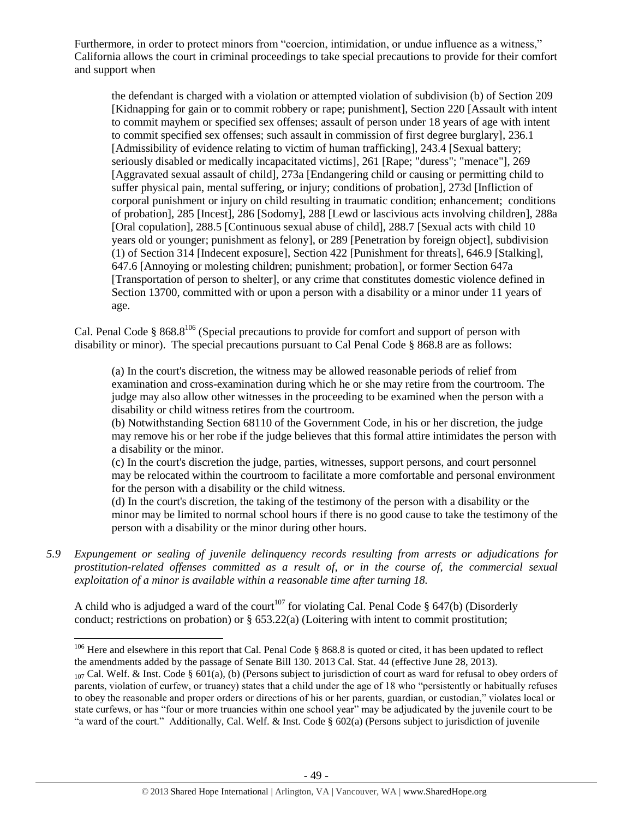Furthermore, in order to protect minors from "coercion, intimidation, or undue influence as a witness," California allows the court in criminal proceedings to take special precautions to provide for their comfort and support when

the defendant is charged with a violation or attempted violation of subdivision (b) of Section 209 [Kidnapping for gain or to commit robbery or rape; punishment], Section 220 [Assault with intent to commit mayhem or specified sex offenses; assault of person under 18 years of age with intent to commit specified sex offenses; such assault in commission of first degree burglary], 236.1 [Admissibility of evidence relating to victim of human trafficking], 243.4 [Sexual battery; seriously disabled or medically incapacitated victims], 261 [Rape; "duress"; "menace"], 269 [Aggravated sexual assault of child], 273a [Endangering child or causing or permitting child to suffer physical pain, mental suffering, or injury; conditions of probation], 273d [Infliction of corporal punishment or injury on child resulting in traumatic condition; enhancement; conditions of probation], 285 [Incest], 286 [Sodomy], 288 [Lewd or lascivious acts involving children], 288a [Oral copulation], 288.5 [Continuous sexual abuse of child], 288.7 [Sexual acts with child 10 years old or younger; punishment as felony], or 289 [Penetration by foreign object], subdivision (1) of Section 314 [Indecent exposure], Section 422 [Punishment for threats], 646.9 [Stalking], 647.6 [Annoying or molesting children; punishment; probation], or former Section 647a [Transportation of person to shelter], or any crime that constitutes domestic violence defined in Section 13700, committed with or upon a person with a disability or a minor under 11 years of age.

Cal. Penal Code §  $868.8^{106}$  (Special precautions to provide for comfort and support of person with disability or minor). The special precautions pursuant to Cal Penal Code § 868.8 are as follows:

(a) In the court's discretion, the witness may be allowed reasonable periods of relief from examination and cross-examination during which he or she may retire from the courtroom. The judge may also allow other witnesses in the proceeding to be examined when the person with a disability or child witness retires from the courtroom.

(b) Notwithstanding Section 68110 of the Government Code, in his or her discretion, the judge may remove his or her robe if the judge believes that this formal attire intimidates the person with a disability or the minor.

(c) In the court's discretion the judge, parties, witnesses, support persons, and court personnel may be relocated within the courtroom to facilitate a more comfortable and personal environment for the person with a disability or the child witness.

(d) In the court's discretion, the taking of the testimony of the person with a disability or the minor may be limited to normal school hours if there is no good cause to take the testimony of the person with a disability or the minor during other hours.

*5.9 Expungement or sealing of juvenile delinquency records resulting from arrests or adjudications for prostitution-related offenses committed as a result of, or in the course of, the commercial sexual exploitation of a minor is available within a reasonable time after turning 18.*

A child who is adjudged a ward of the court<sup>107</sup> for violating Cal. Penal Code § 647(b) (Disorderly conduct; restrictions on probation) or  $\S$  653.22(a) (Loitering with intent to commit prostitution;

 $\overline{a}$ 

 $106$  Here and elsewhere in this report that Cal. Penal Code § 868.8 is quoted or cited, it has been updated to reflect the amendments added by the passage of Senate Bill 130. 2013 Cal. Stat. 44 (effective June 28, 2013).

 $_{107}$  Cal. Welf. & Inst. Code § 601(a), (b) (Persons subject to jurisdiction of court as ward for refusal to obey orders of parents, violation of curfew, or truancy) states that a child under the age of 18 who "persistently or habitually refuses to obey the reasonable and proper orders or directions of his or her parents, guardian, or custodian," violates local or state curfews, or has "four or more truancies within one school year" may be adjudicated by the juvenile court to be "a ward of the court." Additionally, Cal. Welf. & Inst. Code § 602(a) (Persons subject to jurisdiction of juvenile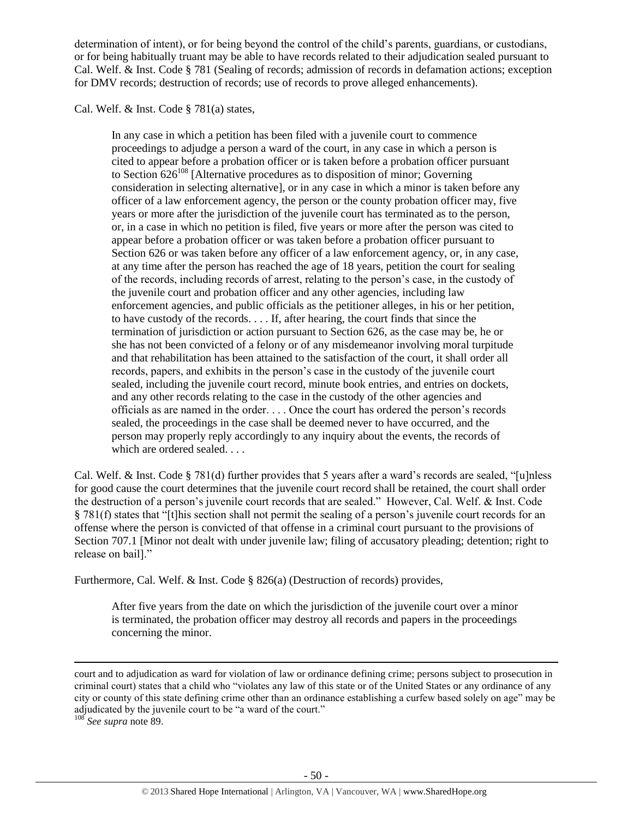determination of intent), or for being beyond the control of the child's parents, guardians, or custodians, or for being habitually truant may be able to have records related to their adjudication sealed pursuant to Cal. Welf. & Inst. Code § 781 (Sealing of records; admission of records in defamation actions; exception for DMV records; destruction of records; use of records to prove alleged enhancements).

Cal. Welf. & Inst. Code § 781(a) states,

In any case in which a petition has been filed with a juvenile court to commence proceedings to adjudge a person a ward of the court, in any case in which a person is cited to appear before a probation officer or is taken before a probation officer pursuant to Section  $626^{108}$  [Alternative procedures as to disposition of minor; Governing consideration in selecting alternative], or in any case in which a minor is taken before any officer of a law enforcement agency, the person or the county probation officer may, five years or more after the jurisdiction of the juvenile court has terminated as to the person, or, in a case in which no petition is filed, five years or more after the person was cited to appear before a probation officer or was taken before a probation officer pursuant to Section 626 or was taken before any officer of a law enforcement agency, or, in any case, at any time after the person has reached the age of 18 years, petition the court for sealing of the records, including records of arrest, relating to the person's case, in the custody of the juvenile court and probation officer and any other agencies, including law enforcement agencies, and public officials as the petitioner alleges, in his or her petition, to have custody of the records. . . . If, after hearing, the court finds that since the termination of jurisdiction or action pursuant to Section 626, as the case may be, he or she has not been convicted of a felony or of any misdemeanor involving moral turpitude and that rehabilitation has been attained to the satisfaction of the court, it shall order all records, papers, and exhibits in the person's case in the custody of the juvenile court sealed, including the juvenile court record, minute book entries, and entries on dockets, and any other records relating to the case in the custody of the other agencies and officials as are named in the order. . . . Once the court has ordered the person's records sealed, the proceedings in the case shall be deemed never to have occurred, and the person may properly reply accordingly to any inquiry about the events, the records of which are ordered sealed. . . .

Cal. Welf. & Inst. Code § 781(d) further provides that 5 years after a ward's records are sealed, "[u]nless for good cause the court determines that the juvenile court record shall be retained, the court shall order the destruction of a person's juvenile court records that are sealed." However, Cal. Welf. & Inst. Code § 781(f) states that "[t]his section shall not permit the sealing of a person's juvenile court records for an offense where the person is convicted of that offense in a criminal court pursuant to the provisions of Section 707.1 [Minor not dealt with under juvenile law; filing of accusatory pleading; detention; right to release on bail]."

Furthermore, Cal. Welf. & Inst. Code § 826(a) (Destruction of records) provides,

After five years from the date on which the jurisdiction of the juvenile court over a minor is terminated, the probation officer may destroy all records and papers in the proceedings concerning the minor.

court and to adjudication as ward for violation of law or ordinance defining crime; persons subject to prosecution in criminal court) states that a child who "violates any law of this state or of the United States or any ordinance of any city or county of this state defining crime other than an ordinance establishing a curfew based solely on age" may be adjudicated by the juvenile court to be "a ward of the court."

<sup>108</sup> *See supra* not[e 89.](#page-39-0)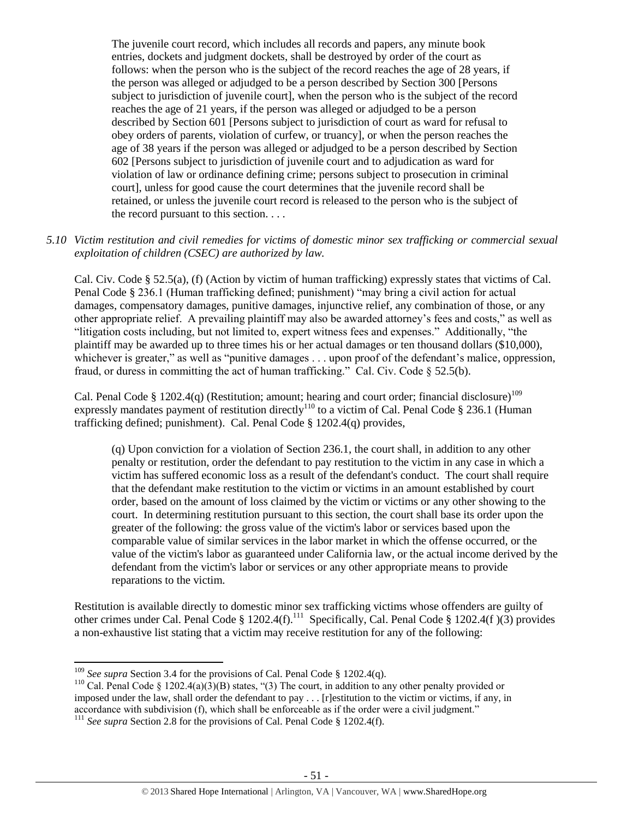The juvenile court record, which includes all records and papers, any minute book entries, dockets and judgment dockets, shall be destroyed by order of the court as follows: when the person who is the subject of the record reaches the age of 28 years, if the person was alleged or adjudged to be a person described by Section 300 [Persons subject to jurisdiction of juvenile court], when the person who is the subject of the record reaches the age of 21 years, if the person was alleged or adjudged to be a person described by Section 601 [Persons subject to jurisdiction of court as ward for refusal to obey orders of parents, violation of curfew, or truancy], or when the person reaches the age of 38 years if the person was alleged or adjudged to be a person described by Section 602 [Persons subject to jurisdiction of juvenile court and to adjudication as ward for violation of law or ordinance defining crime; persons subject to prosecution in criminal court], unless for good cause the court determines that the juvenile record shall be retained, or unless the juvenile court record is released to the person who is the subject of the record pursuant to this section. . . .

# *5.10 Victim restitution and civil remedies for victims of domestic minor sex trafficking or commercial sexual exploitation of children (CSEC) are authorized by law.*

Cal. Civ. Code § 52.5(a), (f) (Action by victim of human trafficking) expressly states that victims of Cal. Penal Code § 236.1 (Human trafficking defined; punishment) "may bring a civil action for actual damages, compensatory damages, punitive damages, injunctive relief, any combination of those, or any other appropriate relief. A prevailing plaintiff may also be awarded attorney's fees and costs," as well as "litigation costs including, but not limited to, expert witness fees and expenses." Additionally, "the plaintiff may be awarded up to three times his or her actual damages or ten thousand dollars (\$10,000), whichever is greater," as well as "punitive damages . . . upon proof of the defendant's malice, oppression, fraud, or duress in committing the act of human trafficking." Cal. Civ. Code § 52.5(b).

Cal. Penal Code § 1202.4(q) (Restitution; amount; hearing and court order; financial disclosure)<sup>109</sup> expressly mandates payment of restitution directly<sup>110</sup> to a victim of Cal. Penal Code § 236.1 (Human trafficking defined; punishment). Cal. Penal Code § 1202.4(q) provides,

(q) Upon conviction for a violation of Section 236.1, the court shall, in addition to any other penalty or restitution, order the defendant to pay restitution to the victim in any case in which a victim has suffered economic loss as a result of the defendant's conduct. The court shall require that the defendant make restitution to the victim or victims in an amount established by court order, based on the amount of loss claimed by the victim or victims or any other showing to the court. In determining restitution pursuant to this section, the court shall base its order upon the greater of the following: the gross value of the victim's labor or services based upon the comparable value of similar services in the labor market in which the offense occurred, or the value of the victim's labor as guaranteed under California law, or the actual income derived by the defendant from the victim's labor or services or any other appropriate means to provide reparations to the victim.

Restitution is available directly to domestic minor sex trafficking victims whose offenders are guilty of other crimes under Cal. Penal Code § 1202.4(f).<sup>111</sup> Specifically, Cal. Penal Code § 1202.4(f )(3) provides a non-exhaustive list stating that a victim may receive restitution for any of the following:

<sup>&</sup>lt;sup>109</sup> *See supra* Section 3.4 for the provisions of Cal. Penal Code § 1202.4(q).

<sup>&</sup>lt;sup>110</sup> Cal. Penal Code § 1202.4(a)( $3$ )(B) states, "(3) The court, in addition to any other penalty provided or imposed under the law, shall order the defendant to pay . . . [r]estitution to the victim or victims, if any, in accordance with subdivision (f), which shall be enforceable as if the order were a civil judgment."

<sup>&</sup>lt;sup>111</sup> *See supra* Section 2.8 for the provisions of Cal. Penal Code § 1202.4(f).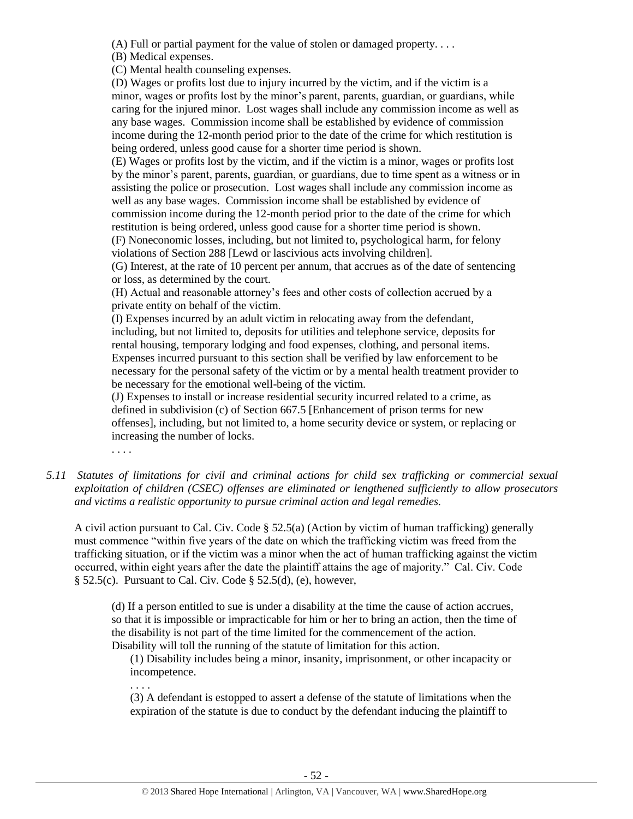(A) Full or partial payment for the value of stolen or damaged property. . . .

(B) Medical expenses.

(C) Mental health counseling expenses.

(D) Wages or profits lost due to injury incurred by the victim, and if the victim is a minor, wages or profits lost by the minor's parent, parents, guardian, or guardians, while caring for the injured minor. Lost wages shall include any commission income as well as any base wages. Commission income shall be established by evidence of commission income during the 12-month period prior to the date of the crime for which restitution is being ordered, unless good cause for a shorter time period is shown.

(E) Wages or profits lost by the victim, and if the victim is a minor, wages or profits lost by the minor's parent, parents, guardian, or guardians, due to time spent as a witness or in assisting the police or prosecution. Lost wages shall include any commission income as well as any base wages. Commission income shall be established by evidence of commission income during the 12-month period prior to the date of the crime for which restitution is being ordered, unless good cause for a shorter time period is shown.

(F) Noneconomic losses, including, but not limited to, psychological harm, for felony violations of Section 288 [Lewd or lascivious acts involving children].

(G) Interest, at the rate of 10 percent per annum, that accrues as of the date of sentencing or loss, as determined by the court.

(H) Actual and reasonable attorney's fees and other costs of collection accrued by a private entity on behalf of the victim.

(I) Expenses incurred by an adult victim in relocating away from the defendant, including, but not limited to, deposits for utilities and telephone service, deposits for rental housing, temporary lodging and food expenses, clothing, and personal items. Expenses incurred pursuant to this section shall be verified by law enforcement to be necessary for the personal safety of the victim or by a mental health treatment provider to be necessary for the emotional well-being of the victim.

(J) Expenses to install or increase residential security incurred related to a crime, as defined in subdivision (c) of Section 667.5 [Enhancement of prison terms for new offenses], including, but not limited to, a home security device or system, or replacing or increasing the number of locks.

. . . .

*5.11 Statutes of limitations for civil and criminal actions for child sex trafficking or commercial sexual exploitation of children (CSEC) offenses are eliminated or lengthened sufficiently to allow prosecutors and victims a realistic opportunity to pursue criminal action and legal remedies.*

A civil action pursuant to Cal. Civ. Code § 52.5(a) (Action by victim of human trafficking) generally must commence "within five years of the date on which the trafficking victim was freed from the trafficking situation, or if the victim was a minor when the act of human trafficking against the victim occurred, within eight years after the date the plaintiff attains the age of majority." Cal. Civ. Code § 52.5(c). Pursuant to Cal. Civ. Code § 52.5(d), (e), however,

(d) If a person entitled to sue is under a disability at the time the cause of action accrues, so that it is impossible or impracticable for him or her to bring an action, then the time of the disability is not part of the time limited for the commencement of the action. Disability will toll the running of the statute of limitation for this action.

(1) Disability includes being a minor, insanity, imprisonment, or other incapacity or incompetence.

. . . .

(3) A defendant is estopped to assert a defense of the statute of limitations when the expiration of the statute is due to conduct by the defendant inducing the plaintiff to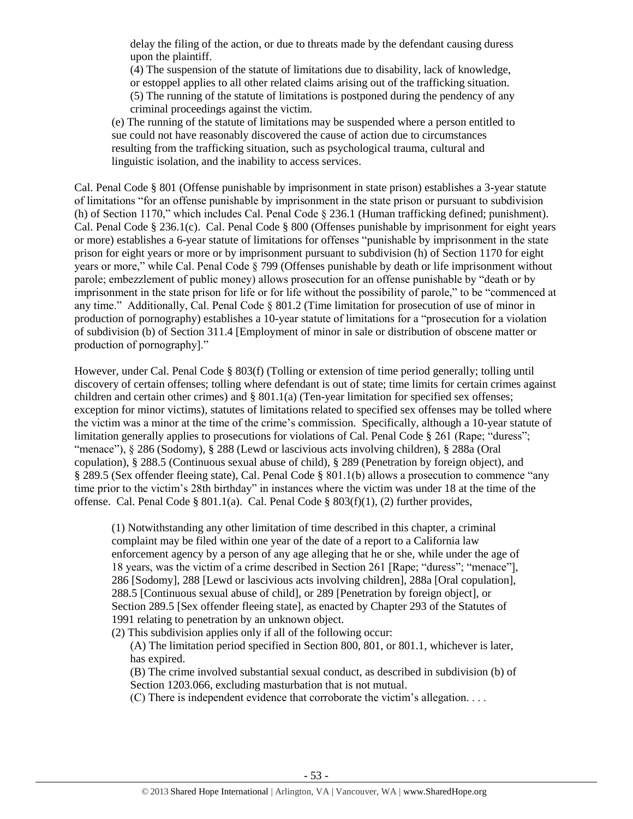delay the filing of the action, or due to threats made by the defendant causing duress upon the plaintiff.

(4) The suspension of the statute of limitations due to disability, lack of knowledge, or estoppel applies to all other related claims arising out of the trafficking situation. (5) The running of the statute of limitations is postponed during the pendency of any criminal proceedings against the victim.

(e) The running of the statute of limitations may be suspended where a person entitled to sue could not have reasonably discovered the cause of action due to circumstances resulting from the trafficking situation, such as psychological trauma, cultural and linguistic isolation, and the inability to access services.

Cal. Penal Code § 801 (Offense punishable by imprisonment in state prison) establishes a 3-year statute of limitations "for an offense punishable by imprisonment in the state prison or pursuant to subdivision (h) of Section 1170," which includes Cal. Penal Code § 236.1 (Human trafficking defined; punishment). Cal. Penal Code § 236.1(c). Cal. Penal Code § 800 (Offenses punishable by imprisonment for eight years or more) establishes a 6-year statute of limitations for offenses "punishable by imprisonment in the state prison for eight years or more or by imprisonment pursuant to subdivision (h) of Section 1170 for eight years or more," while Cal. Penal Code § 799 (Offenses punishable by death or life imprisonment without parole; embezzlement of public money) allows prosecution for an offense punishable by "death or by imprisonment in the state prison for life or for life without the possibility of parole," to be "commenced at any time." Additionally, Cal. Penal Code § 801.2 (Time limitation for prosecution of use of minor in production of pornography) establishes a 10-year statute of limitations for a "prosecution for a violation of subdivision (b) of Section 311.4 [Employment of minor in sale or distribution of obscene matter or production of pornography]."

However, under Cal. Penal Code § 803(f) (Tolling or extension of time period generally; tolling until discovery of certain offenses; tolling where defendant is out of state; time limits for certain crimes against children and certain other crimes) and § 801.1(a) (Ten-year limitation for specified sex offenses; exception for minor victims), statutes of limitations related to specified sex offenses may be tolled where the victim was a minor at the time of the crime's commission. Specifically, although a 10-year statute of limitation generally applies to prosecutions for violations of Cal. Penal Code § 261 (Rape: "duress"; "menace"), § 286 (Sodomy), § 288 (Lewd or lascivious acts involving children), § 288a (Oral copulation), § 288.5 (Continuous sexual abuse of child), § 289 (Penetration by foreign object), and § 289.5 (Sex offender fleeing state), Cal. Penal Code § 801.1(b) allows a prosecution to commence "any time prior to the victim's 28th birthday" in instances where the victim was under 18 at the time of the offense. Cal. Penal Code § 801.1(a). Cal. Penal Code § 803(f)(1), (2) further provides,

(1) Notwithstanding any other limitation of time described in this chapter, a criminal complaint may be filed within one year of the date of a report to a California law enforcement agency by a person of any age alleging that he or she, while under the age of 18 years, was the victim of a crime described in Section 261 [Rape; "duress"; "menace"], 286 [Sodomy], 288 [Lewd or lascivious acts involving children], 288a [Oral copulation], 288.5 [Continuous sexual abuse of child], or 289 [Penetration by foreign object], or Section 289.5 [Sex offender fleeing state], as enacted by Chapter 293 of the Statutes of 1991 relating to penetration by an unknown object.

(2) This subdivision applies only if all of the following occur:

(A) The limitation period specified in Section 800, 801, or 801.1, whichever is later, has expired.

(B) The crime involved substantial sexual conduct, as described in subdivision (b) of Section 1203.066, excluding masturbation that is not mutual.

(C) There is independent evidence that corroborate the victim's allegation. . . .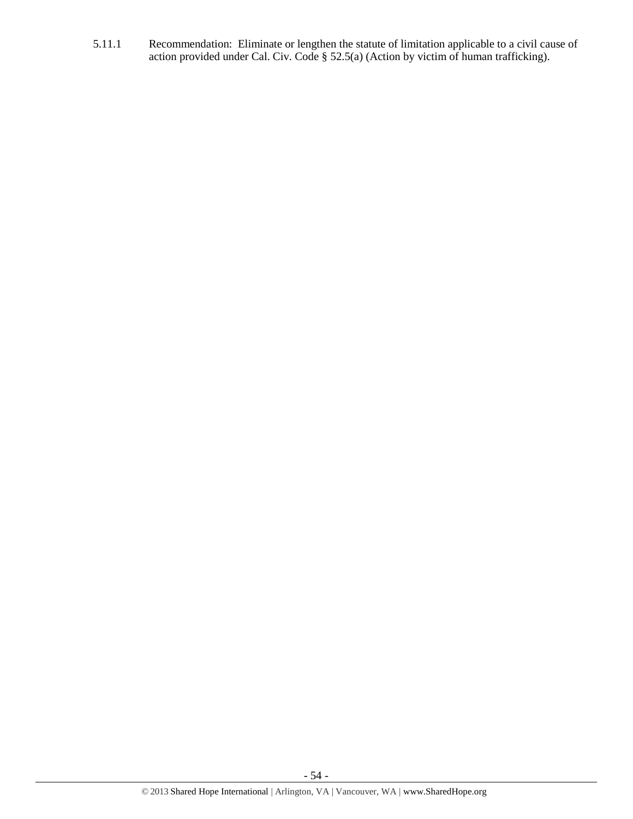5.11.1 Recommendation: Eliminate or lengthen the statute of limitation applicable to a civil cause of action provided under Cal. Civ. Code § 52.5(a) (Action by victim of human trafficking).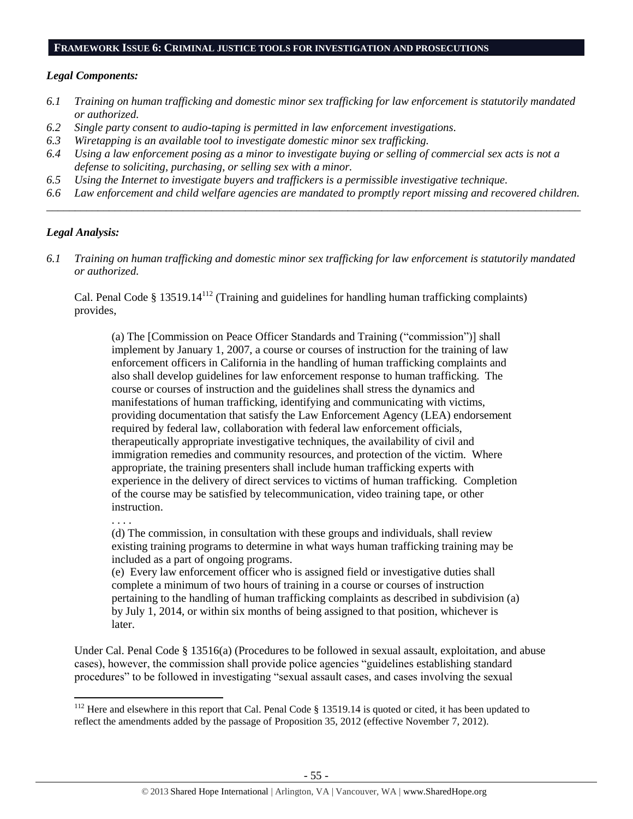### **FRAMEWORK ISSUE 6: CRIMINAL JUSTICE TOOLS FOR INVESTIGATION AND PROSECUTIONS**

### *Legal Components:*

- *6.1 Training on human trafficking and domestic minor sex trafficking for law enforcement is statutorily mandated or authorized.*
- *6.2 Single party consent to audio-taping is permitted in law enforcement investigations.*
- *6.3 Wiretapping is an available tool to investigate domestic minor sex trafficking.*
- *6.4 Using a law enforcement posing as a minor to investigate buying or selling of commercial sex acts is not a defense to soliciting, purchasing, or selling sex with a minor.*
- *6.5 Using the Internet to investigate buyers and traffickers is a permissible investigative technique.*
- *6.6 Law enforcement and child welfare agencies are mandated to promptly report missing and recovered children. \_\_\_\_\_\_\_\_\_\_\_\_\_\_\_\_\_\_\_\_\_\_\_\_\_\_\_\_\_\_\_\_\_\_\_\_\_\_\_\_\_\_\_\_\_\_\_\_\_\_\_\_\_\_\_\_\_\_\_\_\_\_\_\_\_\_\_\_\_\_\_\_\_\_\_\_\_\_\_\_\_\_\_\_\_\_\_\_\_\_\_\_\_\_*

### *Legal Analysis:*

*6.1 Training on human trafficking and domestic minor sex trafficking for law enforcement is statutorily mandated or authorized.*

Cal. Penal Code  $\S 13519.14<sup>112</sup>$  (Training and guidelines for handling human trafficking complaints) provides,

(a) The [Commission on Peace Officer Standards and Training ("commission")] shall implement by January 1, 2007, a course or courses of instruction for the training of law enforcement officers in California in the handling of human trafficking complaints and also shall develop guidelines for law enforcement response to human trafficking. The course or courses of instruction and the guidelines shall stress the dynamics and manifestations of human trafficking, identifying and communicating with victims, providing documentation that satisfy the Law Enforcement Agency (LEA) endorsement required by federal law, collaboration with federal law enforcement officials, therapeutically appropriate investigative techniques, the availability of civil and immigration remedies and community resources, and protection of the victim. Where appropriate, the training presenters shall include human trafficking experts with experience in the delivery of direct services to victims of human trafficking. Completion of the course may be satisfied by telecommunication, video training tape, or other instruction.

. . . .

l

(d) The commission, in consultation with these groups and individuals, shall review existing training programs to determine in what ways human trafficking training may be included as a part of ongoing programs.

(e) Every law enforcement officer who is assigned field or investigative duties shall complete a minimum of two hours of training in a course or courses of instruction pertaining to the handling of human trafficking complaints as described in subdivision (a) by July 1, 2014, or within six months of being assigned to that position, whichever is later.

Under Cal. Penal Code § 13516(a) (Procedures to be followed in sexual assault, exploitation, and abuse cases), however, the commission shall provide police agencies "guidelines establishing standard procedures" to be followed in investigating "sexual assault cases, and cases involving the sexual

<sup>&</sup>lt;sup>112</sup> Here and elsewhere in this report that Cal. Penal Code  $\S$  13519.14 is quoted or cited, it has been updated to reflect the amendments added by the passage of Proposition 35, 2012 (effective November 7, 2012).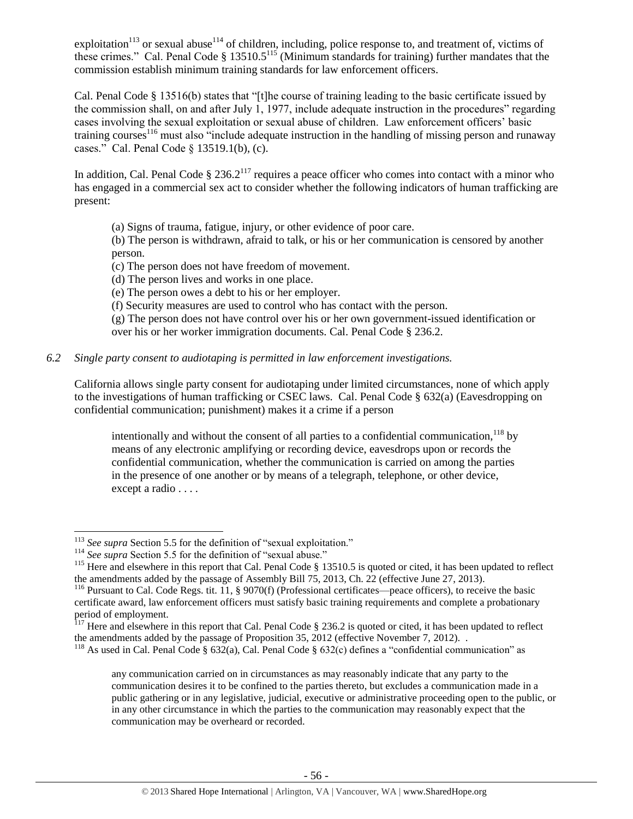exploitation<sup>113</sup> or sexual abuse<sup>114</sup> of children, including, police response to, and treatment of, victims of these crimes." Cal. Penal Code  $\S$  13510.5<sup>115</sup> (Minimum standards for training) further mandates that the commission establish minimum training standards for law enforcement officers.

Cal. Penal Code § 13516(b) states that "[t]he course of training leading to the basic certificate issued by the commission shall, on and after July 1, 1977, include adequate instruction in the procedures" regarding cases involving the sexual exploitation or sexual abuse of children. Law enforcement officers' basic training courses<sup>116</sup> must also "include adequate instruction in the handling of missing person and runaway cases." Cal. Penal Code § 13519.1(b), (c).

In addition, Cal. Penal Code  $\S 236.2^{117}$  requires a peace officer who comes into contact with a minor who has engaged in a commercial sex act to consider whether the following indicators of human trafficking are present:

(a) Signs of trauma, fatigue, injury, or other evidence of poor care.

(b) The person is withdrawn, afraid to talk, or his or her communication is censored by another person.

(c) The person does not have freedom of movement.

- (d) The person lives and works in one place.
- (e) The person owes a debt to his or her employer.
- (f) Security measures are used to control who has contact with the person.

(g) The person does not have control over his or her own government-issued identification or over his or her worker immigration documents. Cal. Penal Code § 236.2.

# *6.2 Single party consent to audiotaping is permitted in law enforcement investigations.*

California allows single party consent for audiotaping under limited circumstances, none of which apply to the investigations of human trafficking or CSEC laws. Cal. Penal Code § 632(a) (Eavesdropping on confidential communication; punishment) makes it a crime if a person

intentionally and without the consent of all parties to a confidential communication,  $^{118}$  by means of any electronic amplifying or recording device, eavesdrops upon or records the confidential communication, whether the communication is carried on among the parties in the presence of one another or by means of a telegraph, telephone, or other device, except a radio . . . .

 $\overline{a}$ <sup>113</sup> See supra Section 5.5 for the definition of "sexual exploitation."

<sup>&</sup>lt;sup>114</sup> See supra Section 5.5 for the definition of "sexual abuse."

<sup>&</sup>lt;sup>115</sup> Here and elsewhere in this report that Cal. Penal Code § 13510.5 is quoted or cited, it has been updated to reflect the amendments added by the passage of Assembly Bill 75, 2013, Ch. 22 (effective June 27, 2013).

<sup>&</sup>lt;sup>116</sup> Pursuant to Cal. Code Regs. tit. 11, § 9070(f) (Professional certificates—peace officers), to receive the basic certificate award, law enforcement officers must satisfy basic training requirements and complete a probationary period of employment.

 $117$  Here and elsewhere in this report that Cal. Penal Code § 236.2 is quoted or cited, it has been updated to reflect the amendments added by the passage of Proposition 35, 2012 (effective November 7, 2012). .

<sup>&</sup>lt;sup>118</sup> As used in Cal. Penal Code § 632(a), Cal. Penal Code § 632(c) defines a "confidential communication" as

any communication carried on in circumstances as may reasonably indicate that any party to the communication desires it to be confined to the parties thereto, but excludes a communication made in a public gathering or in any legislative, judicial, executive or administrative proceeding open to the public, or in any other circumstance in which the parties to the communication may reasonably expect that the communication may be overheard or recorded.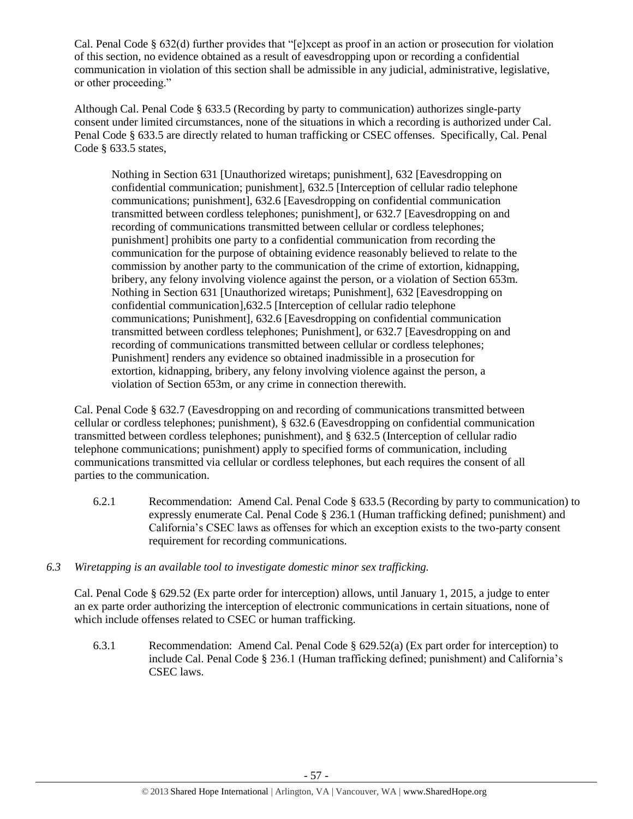Cal. Penal Code § 632(d) further provides that "[e]xcept as proof in an action or prosecution for violation of this section, no evidence obtained as a result of eavesdropping upon or recording a confidential communication in violation of this section shall be admissible in any judicial, administrative, legislative, or other proceeding."

Although Cal. Penal Code § 633.5 (Recording by party to communication) authorizes single-party consent under limited circumstances, none of the situations in which a recording is authorized under Cal. Penal Code § 633.5 are directly related to human trafficking or CSEC offenses. Specifically, Cal. Penal Code § 633.5 states,

Nothing in Section 631 [Unauthorized wiretaps; punishment], 632 [Eavesdropping on confidential communication; punishment], 632.5 [Interception of cellular radio telephone communications; punishment], 632.6 [Eavesdropping on confidential communication transmitted between cordless telephones; punishment], or 632.7 [Eavesdropping on and recording of communications transmitted between cellular or cordless telephones; punishment] prohibits one party to a confidential communication from recording the communication for the purpose of obtaining evidence reasonably believed to relate to the commission by another party to the communication of the crime of extortion, kidnapping, bribery, any felony involving violence against the person, or a violation of Section 653m. Nothing in Section 631 [Unauthorized wiretaps; Punishment], 632 [Eavesdropping on confidential communication],632.5 [Interception of cellular radio telephone communications; Punishment], 632.6 [Eavesdropping on confidential communication transmitted between cordless telephones; Punishment], or 632.7 [Eavesdropping on and recording of communications transmitted between cellular or cordless telephones; Punishment] renders any evidence so obtained inadmissible in a prosecution for extortion, kidnapping, bribery, any felony involving violence against the person, a violation of Section 653m, or any crime in connection therewith.

Cal. Penal Code § 632.7 (Eavesdropping on and recording of communications transmitted between cellular or cordless telephones; punishment), § 632.6 (Eavesdropping on confidential communication transmitted between cordless telephones; punishment), and § 632.5 (Interception of cellular radio telephone communications; punishment) apply to specified forms of communication, including communications transmitted via cellular or cordless telephones, but each requires the consent of all parties to the communication.

- 6.2.1 Recommendation: Amend Cal. Penal Code § 633.5 (Recording by party to communication) to expressly enumerate Cal. Penal Code § 236.1 (Human trafficking defined; punishment) and California's CSEC laws as offenses for which an exception exists to the two-party consent requirement for recording communications.
- *6.3 Wiretapping is an available tool to investigate domestic minor sex trafficking.*

Cal. Penal Code § 629.52 (Ex parte order for interception) allows, until January 1, 2015, a judge to enter an ex parte order authorizing the interception of electronic communications in certain situations, none of which include offenses related to CSEC or human trafficking.

6.3.1 Recommendation: Amend Cal. Penal Code § 629.52(a) (Ex part order for interception) to include Cal. Penal Code § 236.1 (Human trafficking defined; punishment) and California's CSEC laws.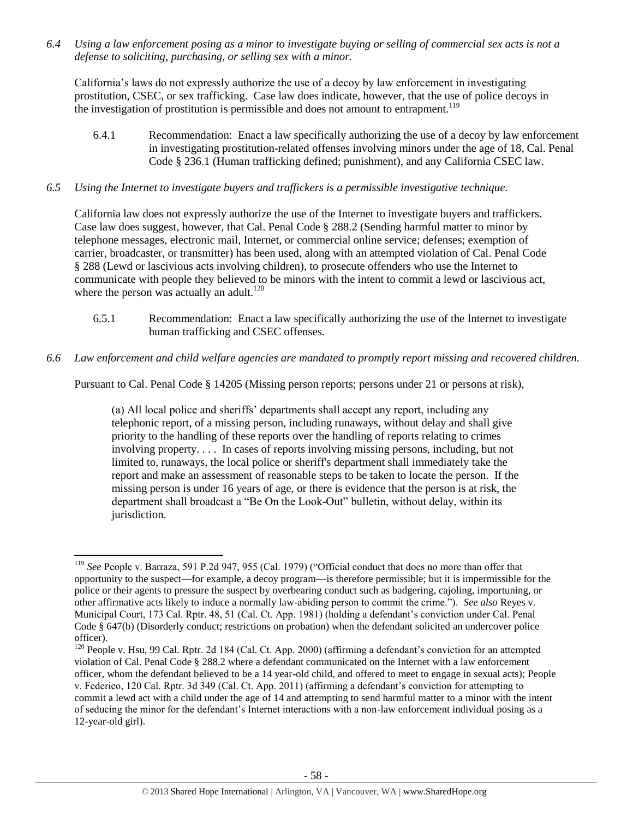*6.4 Using a law enforcement posing as a minor to investigate buying or selling of commercial sex acts is not a defense to soliciting, purchasing, or selling sex with a minor.*

California's laws do not expressly authorize the use of a decoy by law enforcement in investigating prostitution, CSEC, or sex trafficking. Case law does indicate, however, that the use of police decoys in the investigation of prostitution is permissible and does not amount to entrapment.<sup>119</sup>

6.4.1 Recommendation: Enact a law specifically authorizing the use of a decoy by law enforcement in investigating prostitution-related offenses involving minors under the age of 18, Cal. Penal Code § 236.1 (Human trafficking defined; punishment), and any California CSEC law.

### *6.5 Using the Internet to investigate buyers and traffickers is a permissible investigative technique.*

California law does not expressly authorize the use of the Internet to investigate buyers and traffickers. Case law does suggest, however, that Cal. Penal Code § 288.2 (Sending harmful matter to minor by telephone messages, electronic mail, Internet, or commercial online service; defenses; exemption of carrier, broadcaster, or transmitter) has been used, along with an attempted violation of Cal. Penal Code § 288 (Lewd or lascivious acts involving children), to prosecute offenders who use the Internet to communicate with people they believed to be minors with the intent to commit a lewd or lascivious act, where the person was actually an adult. $120$ 

- 6.5.1 Recommendation: Enact a law specifically authorizing the use of the Internet to investigate human trafficking and CSEC offenses.
- *6.6 Law enforcement and child welfare agencies are mandated to promptly report missing and recovered children.*

Pursuant to Cal. Penal Code § 14205 (Missing person reports; persons under 21 or persons at risk),

(a) All local police and sheriffs' departments shall accept any report, including any telephonic report, of a missing person, including runaways, without delay and shall give priority to the handling of these reports over the handling of reports relating to crimes involving property. . . . In cases of reports involving missing persons, including, but not limited to, runaways, the local police or sheriff's department shall immediately take the report and make an assessment of reasonable steps to be taken to locate the person. If the missing person is under 16 years of age, or there is evidence that the person is at risk, the department shall broadcast a "Be On the Look-Out" bulletin, without delay, within its jurisdiction.

 $\overline{\phantom{a}}$ <sup>119</sup> *See* People v. Barraza, 591 P.2d 947, 955 (Cal. 1979) ("Official conduct that does no more than offer that opportunity to the suspect—for example, a decoy program—is therefore permissible; but it is impermissible for the police or their agents to pressure the suspect by overbearing conduct such as badgering, cajoling, importuning, or other affirmative acts likely to induce a normally law-abiding person to commit the crime."). *See also* Reyes v. Municipal Court, 173 Cal. Rptr. 48, 51 (Cal. Ct. App. 1981) (holding a defendant's conviction under Cal. Penal Code § 647(b) (Disorderly conduct; restrictions on probation) when the defendant solicited an undercover police officer).

<sup>&</sup>lt;sup>120</sup> People v. Hsu, 99 Cal. Rptr. 2d 184 (Cal. Ct. App. 2000) (affirming a defendant's conviction for an attempted violation of Cal. Penal Code § 288.2 where a defendant communicated on the Internet with a law enforcement officer, whom the defendant believed to be a 14 year-old child, and offered to meet to engage in sexual acts); People v. Federico, 120 Cal. Rptr. 3d 349 (Cal. Ct. App. 2011) (affirming a defendant's conviction for attempting to commit a lewd act with a child under the age of 14 and attempting to send harmful matter to a minor with the intent of seducing the minor for the defendant's Internet interactions with a non-law enforcement individual posing as a 12-year-old girl).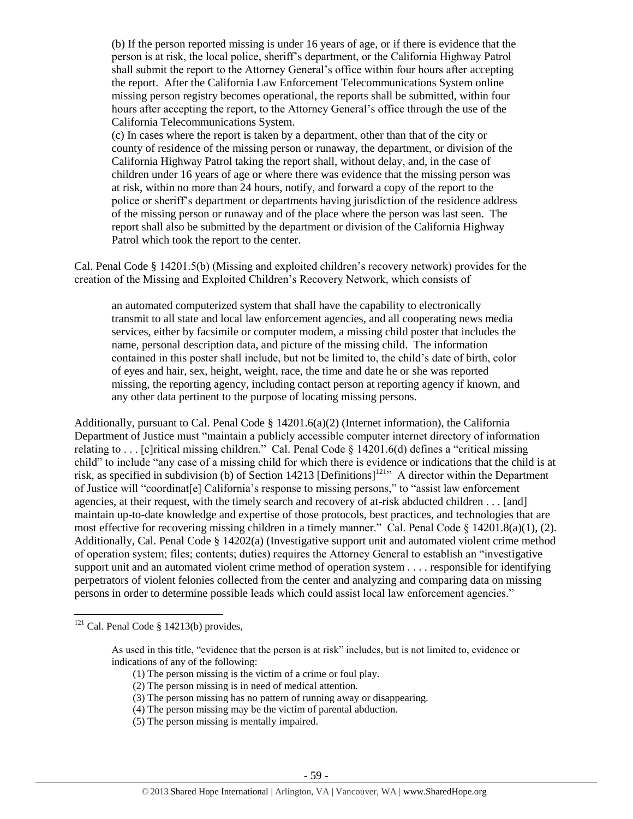(b) If the person reported missing is under 16 years of age, or if there is evidence that the person is at risk, the local police, sheriff's department, or the California Highway Patrol shall submit the report to the Attorney General's office within four hours after accepting the report. After the California Law Enforcement Telecommunications System online missing person registry becomes operational, the reports shall be submitted, within four hours after accepting the report, to the Attorney General's office through the use of the California Telecommunications System.

(c) In cases where the report is taken by a department, other than that of the city or county of residence of the missing person or runaway, the department, or division of the California Highway Patrol taking the report shall, without delay, and, in the case of children under 16 years of age or where there was evidence that the missing person was at risk, within no more than 24 hours, notify, and forward a copy of the report to the police or sheriff's department or departments having jurisdiction of the residence address of the missing person or runaway and of the place where the person was last seen. The report shall also be submitted by the department or division of the California Highway Patrol which took the report to the center.

Cal. Penal Code § 14201.5(b) (Missing and exploited children's recovery network) provides for the creation of the Missing and Exploited Children's Recovery Network, which consists of

an automated computerized system that shall have the capability to electronically transmit to all state and local law enforcement agencies, and all cooperating news media services, either by facsimile or computer modem, a missing child poster that includes the name, personal description data, and picture of the missing child. The information contained in this poster shall include, but not be limited to, the child's date of birth, color of eyes and hair, sex, height, weight, race, the time and date he or she was reported missing, the reporting agency, including contact person at reporting agency if known, and any other data pertinent to the purpose of locating missing persons.

Additionally, pursuant to Cal. Penal Code § 14201.6(a)(2) (Internet information), the California Department of Justice must "maintain a publicly accessible computer internet directory of information relating to . . . [c]ritical missing children." Cal. Penal Code § 14201.6(d) defines a "critical missing child" to include "any case of a missing child for which there is evidence or indications that the child is at risk, as specified in subdivision (b) of Section 14213 [Definitions]<sup>121</sup> A director within the Department of Justice will "coordinat[e] California's response to missing persons," to "assist law enforcement agencies, at their request, with the timely search and recovery of at-risk abducted children . . . [and] maintain up-to-date knowledge and expertise of those protocols, best practices, and technologies that are most effective for recovering missing children in a timely manner." Cal. Penal Code  $\S$  14201.8(a)(1), (2). Additionally, Cal. Penal Code § 14202(a) (Investigative support unit and automated violent crime method of operation system; files; contents; duties) requires the Attorney General to establish an "investigative support unit and an automated violent crime method of operation system . . . . responsible for identifying perpetrators of violent felonies collected from the center and analyzing and comparing data on missing persons in order to determine possible leads which could assist local law enforcement agencies."

- (1) The person missing is the victim of a crime or foul play.
- (2) The person missing is in need of medical attention.
- (3) The person missing has no pattern of running away or disappearing.
- (4) The person missing may be the victim of parental abduction.
- (5) The person missing is mentally impaired.

<sup>&</sup>lt;sup>121</sup> Cal. Penal Code § 14213(b) provides,

As used in this title, "evidence that the person is at risk" includes, but is not limited to, evidence or indications of any of the following: